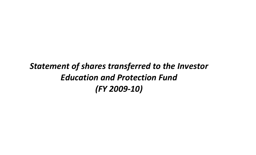## *Statement of shares transferred to the Investor Education and Protection Fund (FY 2009‐10)*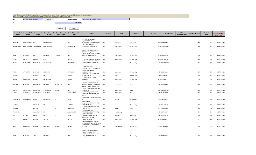|                               |                               |                                     |                                     | Make sure that the details are in accordance with the information already provided in e-form IEPF-4. | Note: This sheet is applicable for uploading the particulars related to the shares transferred to Investor Education and Protection Fund. |                                                                                                                       |                              |                            |                 |                 |                                  |                                           |                         |                            |                                                            |
|-------------------------------|-------------------------------|-------------------------------------|-------------------------------------|------------------------------------------------------------------------------------------------------|-------------------------------------------------------------------------------------------------------------------------------------------|-----------------------------------------------------------------------------------------------------------------------|------------------------------|----------------------------|-----------------|-----------------|----------------------------------|-------------------------------------------|-------------------------|----------------------------|------------------------------------------------------------|
| CIN                           | L15420PN1933PLC133303         |                                     | Prefill                             |                                                                                                      | <b>Company Name</b>                                                                                                                       | <b>TILAKNAGAR INDUSTRIES LIMITED</b>                                                                                  |                              |                            |                 |                 |                                  |                                           |                         |                            |                                                            |
| Nominal value of shares       |                               |                                     |                                     |                                                                                                      | 1006870.00                                                                                                                                |                                                                                                                       |                              |                            |                 |                 |                                  |                                           |                         |                            |                                                            |
|                               |                               |                                     |                                     | Validate                                                                                             | Clear                                                                                                                                     |                                                                                                                       |                              |                            |                 |                 |                                  |                                           |                         |                            |                                                            |
| <b>Investor First</b><br>Name | nvestor Middle<br><b>Name</b> | <b>Investor Last</b><br><b>Name</b> | Father/Husband<br><b>First Name</b> | Father/Husband<br><b>Middle Name</b>                                                                 | Father/Husband Last<br><b>Name</b>                                                                                                        | <b>Address</b>                                                                                                        | Country                      | State                      | <b>District</b> | <b>Pin Code</b> | <b>Folio Number</b>              | DP Id-Client Id-<br><b>Account Number</b> | <b>Number of shares</b> | Nominal value of<br>shares | <b>Actual Date of</b><br>transfer to IEPF (DD<br>MON-YYYY) |
|                               |                               |                                     |                                     |                                                                                                      |                                                                                                                                           | 24-1-66, A SAMBAMURTHY<br>RD, DURGAPURAM                                                                              |                              |                            |                 |                 |                                  |                                           |                         |                            |                                                            |
| ANUPAMA                       | DISTRIBUTORSP LTD             |                                     | <b>DISTRIBUTORSP</b>                |                                                                                                      | LTD                                                                                                                                       | VIJAYAWADA, ANDHRA PRADESH<br>3/27 GOREGAONKAR                                                                        | <b>INDIA</b>                 | Telangana                  | Hyderabad       |                 | 500003 A000430                   |                                           | 3196                    | 31960                      | 06-FEB-2018                                                |
| MATHURABAI                    | RAMCHANDRA TAMHANKAR          |                                     | RAMCHANDRA                          |                                                                                                      | TAMHANKAR                                                                                                                                 | BLDG, GIRGAUM, MUMBAI,                                                                                                | <b>INDIA</b>                 | Maharashtra                | Mumbai City     |                 | 400004 M000918                   |                                           | 2397                    | 23970                      | 06-FEB-2018                                                |
|                               |                               |                                     |                                     |                                                                                                      |                                                                                                                                           | C/O APTE AMALGAMATIONS<br>LTD, UNIT NO.4, SUMER<br>KENDRA, PANDURANG BUDHKAR                                          |                              |                            |                 |                 |                                  |                                           |                         |                            |                                                            |
| SHEELA                        | MADHAV                        | APTE                                | MADHAV                              | LAXMAN                                                                                               | APTE                                                                                                                                      | MARG, WORLI, MUMBAI                                                                                                   | <b>INDIA</b>                 | Maharashtra                | Mumbai City     |                 | 400018 S001795                   |                                           | 2292                    | 22920                      | 06-FEB-2018                                                |
| PERIN                         | ERUCH                         | <b>DASTUR</b>                       | ERUCH                               |                                                                                                      | <b>DASTUR</b>                                                                                                                             | 23 NEPEAN SEA ROAD, MUMBAI,,<br>4TH FLOOR MOHAN NIWAS, 20                                                             | <b>INDIA</b>                 | Maharashtra                | Mumbai City     |                 | 400006 P000754                   |                                           | 2106                    | 21060                      | 06-FEB-2018                                                |
| RATILAL                       | CHHABILDAS                    | <b>MUKHTYAR</b>                     | CHHABILDAS                          |                                                                                                      | <b>MUKHTYAR</b>                                                                                                                           | KUMBHAR TUKDA, MUMBAI,                                                                                                | <b>INDIA</b>                 | Maharashtra                | Mumbai City     |                 | 400004 M000807                   |                                           | 1968                    | 19680                      | 06-FEB-2018                                                |
|                               |                               |                                     |                                     |                                                                                                      |                                                                                                                                           | C/O PREMIER SALES<br>CORPORATION,1 1 10 NAVJIVAN<br>SOCIETY, LAMINGTON                                                |                              |                            |                 |                 |                                  |                                           |                         |                            |                                                            |
| RUKI                          | <b>HASMATRAI</b>              | BHAVNANI                            | HASMATRAI                           |                                                                                                      | BHAVNANI                                                                                                                                  | ROAD, MUMBAI<br>1952 GALI NEELAWALI, BAZAR                                                                            | <b>INDIA</b>                 | Maharashtra                | Mumbai City     |                 | 400008 B000211                   |                                           | 1950                    | 19500                      | 06-FEB-2018                                                |
| PARKASH                       |                               | CHAND                               | MR                                  |                                                                                                      | CHAND                                                                                                                                     | SITARAM, DELHI,<br>41 PATEL TERRACE, PAREL                                                                            | <b>INDIA</b>                 | Delhi                      | Central Delhi   |                 | 110006 P000202                   |                                           | 1686                    | 16860                      | 06-FEB-2018                                                |
| KUSUM                         | BALKRISHNA                    | BHIDAY                              | BALKRISHNA                          |                                                                                                      | BHIDAY                                                                                                                                    | MUMBAI,,                                                                                                              | <b>INDIA</b>                 | Maharashtra                | Mumbai City     |                 | 400012 B000157                   |                                           | 1539                    | 15390                      | 06-FEB-2018                                                |
| KESHAO                        | MADHAO                        | DESHPANDE                           | MADHAO                              | RAJESHWAR                                                                                            | DES                                                                                                                                       | MOUKTIKA, VIDYA WARDHINI<br>HOUSING SOCIETY, SAKRI ROAD,<br>USHA COOP HSG SOCIETY, A-11<br>IIIRD FLOOR RAMBAG LANE NO | <b>INDIA</b>                 | Maharashtra                | Dhule           |                 | 424001 K001232                   |                                           | 1536                    | 15360                      | 06-FEB-2018                                                |
| <b>MANDVI</b><br>ANAND        | SHAILENDRA<br>KASHINATH       | GANGWAR<br>CHINCHANKAR KASHINATH    | SHAILENDRA                          | KUMAR                                                                                                | GAN<br>CHINCHANKAR                                                                                                                        | 4, KALYAN W,<br>ANAND PARK, AUNDH, PUNE,                                                                              | <b>INDIA</b><br><b>INDIA</b> | Maharashtra<br>Maharashtra | Thane<br>Pune   |                 | 421304 M001549<br>411007 C000052 |                                           | 1200<br>1050            | 12000<br>10500             | 06-FEB-2018<br>06-FEB-2018                                 |
|                               |                               |                                     |                                     |                                                                                                      |                                                                                                                                           | B/5 PAVAN APARTMENTS, OPP<br><b>JUDGES</b>                                                                            |                              |                            |                 |                 |                                  |                                           |                         |                            |                                                            |
| DHANJIBHAI                    | ARAJANBHAI                    | PORIA                               | ARJANBHAI                           | G                                                                                                    | PORIA                                                                                                                                     | BUNGLOW, BODAKDEV, AHMEDAB<br>AD                                                                                      | <b>INDIA</b>                 | Gujarat                    | Ahmedabad       |                 | 380054 D000881                   |                                           | 1008                    | 10080                      | 06-FEB-2018                                                |
| LAKSHMI                       |                               | GANAPATHI                           | MR                                  |                                                                                                      | GANAPATHI                                                                                                                                 | C-303 GOLDEN<br>OAK, HIRANANDANI GARDENS<br>POWAI, MUMBAI,                                                            | <b>INDIA</b>                 | Maharashtra                | Mumbai City     |                 | 400076 L000113                   |                                           | 1008                    | 10080                      | 06-FEB-2018                                                |
| <b>JYOTIKA</b>                |                               | RATNAM                              | <sub>S</sub>                        | N                                                                                                    | BARANWAL                                                                                                                                  | 42 GRAND SQUARE, DANAPUR<br>CANTT, PATNA,                                                                             | <b>INDIA</b>                 | Bihar                      | Patna           |                 | 801503 J000766                   |                                           | 900                     | 9000                       | 06-FEB-2018                                                |
| RATHINAM                      |                               | SUBRAMANIEN MR                      |                                     |                                                                                                      | SUBRAMANIEN                                                                                                                               | 110 NIDARAJAPYER<br>STREET, PONDICHERRY STATE,,                                                                       | <b>INDIA</b>                 | Pondicherry                | NA              |                 | 605001 R000977                   |                                           | 900                     | 9000                       | 06-FEB-2018                                                |
| SRI                           | KUMAR                         | RAJAN                               | M                                   | S                                                                                                    | RAJAN                                                                                                                                     | A 6 KAILASH NAGAR NO<br>1, NIMBAHERA, RAJASTHAN,                                                                      | <b>INDIA</b>                 | Rajasthan                  | Chittorgarh     |                 | 312601 S002531                   |                                           | 900                     | 9000                       | 06-FEB-2018                                                |
| EVA                           | <b>VICTOR</b>                 | ABOODY                              | <b>VICTOR</b>                       |                                                                                                      | ABOODY                                                                                                                                    | QUESTAND, 47 CUFFE<br>PARADE, MUMBAI,                                                                                 | <b>INDIA</b>                 | Maharashtra                | Mumbai City     |                 | 400005 A000007                   |                                           | 825                     | 8250                       | 06-FEB-2018                                                |
|                               |                               |                                     |                                     |                                                                                                      |                                                                                                                                           | 302 HIMGIRI, ABOVE BANK OF<br>MAHARASHTRA, 105-A TAKANDAS<br>KATARIA ROAD, MATUNGA W                                  |                              |                            |                 |                 |                                  |                                           |                         |                            |                                                            |
| AHMED                         | MOHAMED                       | <b>MAMSA</b>                        | MOHAMED                             | <b>ISMAIL</b>                                                                                        | MAMSA                                                                                                                                     | <b>MUMBAI</b>                                                                                                         | <b>INDIA</b>                 | Maharashtra                | Mumbai City     |                 | 400016 A000299                   |                                           | 807                     | 8070                       | 06-FEB-2018                                                |
|                               |                               |                                     |                                     |                                                                                                      |                                                                                                                                           | C/O APTE AMALGAMATIONS<br>LTD, UNIT NO.4, SUMER<br>KENDRA, PANDURANG BUDHKAR                                          |                              |                            |                 |                 |                                  |                                           |                         |                            |                                                            |
| SHEELA                        | MADHAV                        | APTE                                | MADHAV                              |                                                                                                      | APTE                                                                                                                                      | MARG, WORLI, MUMBAI                                                                                                   | <b>INDIA</b>                 | Maharashtra                | Mumbai City     |                 | 400018 A000149                   |                                           | 798                     | 7980                       | 06-FEB-2018                                                |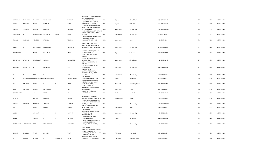| JAYANTILAL     | BHIMGIBHAI     | THAKKAR             | <b>BHIMGIBHAI</b>                       |           | THAKKAR          | H/5 SUSHMITA APARTMENT, OPP<br>ANJLI CINEMA VASNA<br>ROAD, AHMEDABAD,                             | <b>INDIA</b> | Gujarat              | Ahmedabad       | 380007 J000545 | 774 | 7740 | 06-FEB-2018 |
|----------------|----------------|---------------------|-----------------------------------------|-----------|------------------|---------------------------------------------------------------------------------------------------|--------------|----------------------|-----------------|----------------|-----|------|-------------|
| RATILAL        | NATHALAL       | SHAH                | NATHALAL                                |           | SHAH             | 25/37 LAXMI BHUVAN, BHATIA<br>SHERI BAJWADA, BARODA,<br>C/O MRS MARY S MAMA, MEHR                 | <b>INDIA</b> | Gujarat              | Vadodara        | 391310 S000309 | 750 | 7500 | 06-FEB-2018 |
| MEHERA         | ARDESHIR       | <b>NARIMAN</b>      | ARDESHIR                                |           | NARIMAN          | DAL FLAT NO 174, CUFF PARADE<br>COLABA, MUMBAI<br>4 SHRI SHEETALA APARTMENT, 146                  | <b>INDIA</b> | Maharashtra          | Mumbai City     | 400005 M001050 | 744 | 7440 | 06-FEB-2018 |
| SHANTABAI      | $\overline{A}$ | CHINCHANKAR ATMARAM |                                         | KESHAV    | CHINC            | LT DILIP GUPTE MARG, MAHIM<br>MUMBAI,<br>1787 SADASHIV PETH, NEAR PUNE                            | <b>INDIA</b> | Maharashtra          | Mumbai City     | 400016 C000027 | 735 | 7350 | 06-FEB-2018 |
| TEJAPAL        | KRISHNAJI      | VERLEKAR            | KRISHNAJI                               |           | VERKEKAR         | VIDYARTHI GRIHA, 20<br><b>BHAGYASHREE APTS PUNE,</b>                                              | <b>INDIA</b> | Maharashtra          | Pune            | 411030 T000324 | 711 | 7110 | 06-FEB-2018 |
|                |                |                     |                                         |           |                  | SHREE SADAN V B PHADKA<br>MARG, 90 FT RD SANE GURUJI                                              |              |                      |                 |                |     |      |             |
| <b>ANANT</b>   | P              | MASURKEAR           | PARSHURAM                               |           | MASURKAR         | NAGAR, MULUND EAST MUMBAI, INDIA                                                                  |              | Maharashtra          | Mumbai City     | 400081 A000534 | 675 | 6750 | 06-FEB-2018 |
| PRAKASHBEN     |                | MODI                | NAVNITLAL                               |           | <b>MODI</b>      | BAJWADA SETH SERI, KATWALAS<br>KHADKI, VADODARA,<br>C/O G R MOKASHI, TRUPTI<br>SUBHASH            | <b>INDIA</b> | Gujarat              | Vadodara        | 390001 P000869 | 675 | 6750 | 06-FEB-2018 |
| SHOBHANA       | GAJANAN        | NAMPURKAR           | GAJANAN                                 |           | NAMPURKAR        | COLONY, SHRIRAMPUR, DIST<br>AHMEDNAGAR<br>C/O G R MOKASHI, TRUPTI                                 | <b>INDIA</b> | Maharashtra          | Ahmednagar      | 413709 S001485 | 675 | 6750 | 06-FEB-2018 |
| SUHASINI       | MADHUKAR       | POL                 | MADHUKAR                                |           | POL              | SUBHASH<br>COLONY, SHRIRAMPUR, DIST<br>AHMEDNAGAR<br>D/10 JANARDAN<br>APARTMENTS, SHANKAR         | <b>INDIA</b> | Maharashtra          | Ahmednagar      | 413709 S001486 | 675 | 6750 | 06-FEB-2018 |
|                | D              | KINI                | D                                       |           | KINI             | <b>GHANEKAR MARG, DADAR</b><br>MUMBAI,                                                            | <b>INDIA</b> | Maharashtra          | Mumbai City     | 400028 D001031 | 600 | 6000 | 06-FEB-2018 |
| к              |                |                     | PPARAMESWARA NAMBUDIRIPAD PPARAMESWARAN |           | NAMBUDIRIPAD     | 36/188 LAYAM<br>ROAD, ERNAKULAM, COCHIN,<br>C/O MANOJ SHARMA, JOSHI                               | <b>INDIA</b> | Kerala               | Ernakulam       | 682011 K000745 | 600 | 6000 | 06-FEB-2018 |
| OM             | PRAKASH        | <b>GUPTA</b>        | N                                       | К         | <b>GUPTA</b>     | ELECTRICAL MANGO DIMNA<br>ROAD, JAMSHEDPUR,<br>C/O SGT MAHTO RS                                   | <b>INDIA</b> | Jharkhand            | Purba Singhbhum | 831012 0000103 | 600 | 6000 | 06-FEB-2018 |
| RAM            | SHANKAR        | <b>MAHTO</b>        | BALESHWAR                               |           | MAHTO            | WPN/FIT, SNCOS MESS, A F STN<br>OJHAR NASIK,                                                      | <b>INDIA</b> | Maharashtra          | Nashik          | 422206 R000885 | 600 | 6000 | 06-FEB-2018 |
| SHARFUDHEEN    |                | ALI                 | MAYAN                                   |           | ALI              | MUDHUVANA HOUSE, PO<br>ALIYUR, KERALA,                                                            | <b>INDIA</b> | Kerala               | Kozhikode       | 673309 S001962 | 600 | 6000 | 06-FEB-2018 |
| <b>HORILAL</b> |                | PATWA               | NENHALAL                                |           | PATWA            | NEAR GANNA OFFICE CIVIL<br>LINES, PATEL NAGAR, BUDAUN U P, INDIA<br>C/O MRS MARY S MAMA, MEHR     |              | <b>Uttar Pradesh</b> | Badaun          | 243601 H000470 | 600 | 6000 | 06-FEB-2018 |
| MEHERA         | ARDESHIR       | <b>NARIMAN</b>      | ARDESHIR                                |           | NARIMAN          | DAL FLAT NO 174, CUFF PARADE<br>COLABA, MUMBAI                                                    | <b>INDIA</b> | Maharashtra          | Mumbai City     | 400005 M000907 | 528 | 5280 | 06-FEB-2018 |
| <b>BRIJ</b>    |                | GARG                | PAWAN                                   |           | KUMAR            | ICIM BHAVAN, PLOT NO 318<br><b>GIDNEY PARK, PUNE,</b><br>C-303 GOLDEN<br>OAK, HIRANANDANI GARDENS | <b>INDIA</b> | Maharashtra          | Pune            | 411001 B000662 | 525 | 5250 | 06-FEB-2018 |
| LAKSHMI        |                | GANAPATHI           | G                                       | S         | <b>GANAPATHI</b> | POWAI, MUMBAI,<br>HONEE DEN 39/79<br>KRISHNA, SWAMY CROSS                                         | <b>INDIA</b> | Maharashtra          | Mumbai City     | 400076 G000021 | 525 | 5250 | 06-FEB-2018 |
| SHEEBA         |                | THOMAS              | P                                       | M         | THOMAS           | ROAD, ERNAKULAM,<br>C-909 USHA NAGAR CO OP HSG<br>SOCIETY, KHANDELWAL                             | <b>INDIA</b> | Kerala               | Ernakulam       | 682011 S001576 | 486 | 4860 | 06-FEB-2018 |
| BELTHANGADI    | VIVEKANAND     | RAO                 | BELTHANGADI                             |           | CHIDANAN         | MARG, BHANDUP MUMBAI,                                                                             | <b>INDIA</b> | Maharashtra          | Mumbai City     | 400078 B000603 | 450 | 4500 | 06-FEB-2018 |
|                |                |                     |                                         |           |                  | A2/55 MAYURI<br>APARTMENTS, BLOCK A2 FLAT NO<br>55, MAYURI MARG, PO                               |              |                      |                 |                |     |      |             |
| DAULAT         | JAMSEDJI       | TALATI              | JAMSEDJI                                |           | TALATI           | BAGUMPET, HYDERABAD A P PIN, INDIA<br>113 NEELMAHAL OUT<br>HOUSE, SURVEYOR STREET                 |              | Telangana            | Hyderabad       | 500016 D000924 | 450 | 4500 | 06-FEB-2018 |
|                | <b>NSHESH</b>  | <b>KUMAR</b>        | H                                       | SNAGARAJA | SETTY            | BASAVANAGUDI, BANGALORE,                                                                          | <b>INDIA</b> | Karnataka            | Bangalore Urban | 560004 H000243 | 450 | 4500 | 06-FEB-2018 |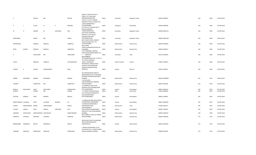|                      |            |                        |             |                 |                | MONTY S WEAR NO 198 R T<br>STREET 1ST F, SANTVANI |              |                |                        |                |     |      |             |
|----------------------|------------|------------------------|-------------|-----------------|----------------|---------------------------------------------------|--------------|----------------|------------------------|----------------|-----|------|-------------|
| К                    |            | GEETHA                 | MR          |                 | GEETHA         | MINSONS, BANGALORE,                               | <b>INDIA</b> | Karnataka      | Bangalore Urban        | 560053 K000954 | 450 | 4500 | 06-FEB-2018 |
|                      |            |                        |             |                 |                | H NO 10-2-74,101, SARADA                          |              |                |                        |                |     |      |             |
|                      |            |                        |             |                 |                | NIWAS, PLOT NO 312 STREET NO                      |              |                |                        |                |     |      |             |
|                      |            |                        |             |                 |                | 7, WEST MARRADPALLY                               |              |                |                        |                |     |      |             |
| к                    | L          | TULASI                 | N           | $\mathsf{v}$    | RAMANA         | SECUNDERABAD<br>FLAT NO 15 UTTARADHI MUTT         | <b>INDIA</b> | Telangana      | Hyderabad              | 500026 K000958 | 450 | 4500 | 06-FEB-2018 |
|                      |            |                        |             |                 |                | BLDGS, SHANKARA                                   |              |                |                        |                |     |      |             |
| M                    | G          | SRIHARI                | M           | <b>GURURAJA</b> | RAO            | PURAM, BANGALORE,                                 | <b>INDIA</b> | Karnataka      | <b>Bangalore Urban</b> | 560004 M001155 | 450 | 4500 | 06-FEB-2018 |
|                      |            |                        |             |                 |                | EAST INDIA TRANSPORT                              |              |                |                        |                |     |      |             |
|                      |            |                        |             |                 |                | AGENCY, 112 5TH CROSS                             |              |                |                        |                |     |      |             |
|                      |            |                        |             |                 |                | KALASIPALYAM NEW                                  |              |                |                        |                |     |      |             |
| MIRCHAMAL            |            | ASHOK                  | MR          |                 | ASHOK          | EXTN, BANGALORE,<br>98/2 LOHAR CHAWL, HARHAR      | <b>INDIA</b> | Karnataka      | <b>Bangalore Urban</b> | 560002 M001188 | 450 | 4500 | 06-FEB-2018 |
|                      |            |                        |             |                 |                | WALA BUILDING NO 2 1ST                            |              |                |                        |                |     |      |             |
| NITINKUMAR           |            | MANILAL                | MANILAL     |                 | JAMNALAL       | FLOOR, MUMBAI,                                    | <b>INDIA</b> | Maharashtra    | Mumbai City            | 400002 N000403 | 450 | 4500 | 06-FEB-2018 |
|                      |            |                        |             |                 |                | 98/2 LOHAR                                        |              |                |                        |                |     |      |             |
|                      |            |                        |             |                 |                | CHAWL, HARHARWALA BLDG NO                         |              |                |                        |                |     |      |             |
| <b>NITIN</b>         | KUMAR      | MANILAL                | MANILAL     |                 | JAMNADAS       | 2, MUMBAI,<br>C/O P PARASMULL BANTIA,I            | <b>INDIA</b> | Maharashtra    | Mumbai City            | 400002 N000412 | 450 | 4500 | 06-FEB-2018 |
|                      |            |                        |             |                 |                | CROSS ROAD, ROBERTSONPET, K G                     |              |                |                        |                |     |      |             |
|                      |            | ANILKUMAR              | MR          |                 | ANILKUMAR      | F KARNATAK                                        | <b>INDIA</b> | Karnataka      | Kolar                  | 563122 P000926 | 450 | 4500 | 06-FEB-2018 |
|                      |            |                        |             |                 |                | W/O VENKATA                                       |              |                |                        |                |     |      |             |
|                      |            |                        |             |                 |                | SATYANARAYANA, D NO. 11-63-3/1                    |              |                |                        |                |     |      |             |
| VIJAYA               |            | NIRMALA                | VENKATA     |                 | SATYANARAYAN   | 1ST FLOOR,, BRAHMIN<br>STREET,, VIJAYWADA         | <b>INDIA</b> | Andhra Pradesh | Krishna                | 520001 V000419 | 450 | 4500 | 06-FEB-2018 |
|                      |            |                        |             |                 |                | MITHAIWALA CONSULTANCY                            |              |                |                        |                |     |      |             |
|                      |            |                        |             |                 |                | SERVICES, 5/B NANDANVAN                           |              |                |                        |                |     |      |             |
|                      |            |                        |             |                 |                | COMPLEX, SINDHVAI ROAD                            |              |                |                        |                |     |      |             |
| YOGESH               | К          | SHUKLA                 | KRASHNAKANT |                 | BHAI           | BHARUCH,                                          | <b>INDIA</b> | Gujarat        | Bharuch                | 392001 Y000115 | 450 | 4500 | 06-FEB-2018 |
|                      |            |                        |             |                 |                | 302 HIMGIRI, ABOVE BANK OF                        |              |                |                        |                |     |      |             |
|                      |            |                        |             |                 |                | MAHARASHTRA, 105-A TAKANDAS                       |              |                |                        |                |     |      |             |
|                      |            |                        |             |                 |                | KATARIA ROAD, MATUNGA WEST                        |              |                |                        |                |     |      |             |
| AHMED                | MOHAMED    | MAMSA                  | MOHAMED     |                 | MAMSA          | <b>MUMBAI</b>                                     | <b>INDIA</b> | Maharashtra    | Mumbai City            | 400016 M000069 | 441 | 4410 | 06-FEB-2018 |
|                      |            |                        |             |                 |                | C-303 GOLDEN                                      |              |                |                        |                |     |      |             |
| LAKSHMI              |            | GANAPATHI              | MR          |                 | GANAPATHI      | OAK, HIRANANDANI GARDENS<br>POWAI, MUMBAI,        | <b>INDIA</b> | Maharashtra    | Mumbai City            | 400076 L000108 | 423 | 4230 | 06-FEB-2018 |
|                      |            |                        |             |                 |                | C/O RAMESH B JHEEL, 2078                          |              |                |                        |                |     |      |             |
|                      |            |                        |             |                 |                | MUNDVIS POLE NAGJIBHUDERS                         |              |                |                        |                |     |      |             |
| BHAILAL              | MULCHAND   | SHAH                   | MULCHAND    |                 | KURMCHAND      | POLE, AHMEDABAD,                                  | <b>INDIA</b> | Gujarat        | Ahmedabad              | 380001 B000612 | 387 | 3870 | 06-FEB-2018 |
| GURDEV               |            | KUMAR                  | MR          |                 | KUMAR          | Y 17 GREEN PARK, NEW DELHI,,                      | <b>INDIA</b> | Delhi          | South Delhi            | 110016 G000435 | 387 | 3870 | 06-FEB-2018 |
|                      |            |                        |             |                 |                | C/O R B SHAH, 2078 MANDVIS<br>POLE, NAGJIHHYDERS  |              |                |                        |                |     |      |             |
| <b>JOYSTNA</b>       | RAMESH     | SHAH                   | RAMESH      |                 | BHAILAL        | POLE, AHMEDABAD                                   | <b>INDIA</b> | Gujarat        | Ahmedabad              | 380001 J000444 | 387 | 3870 | 06-FEB-2018 |
|                      |            |                        |             |                 |                |                                                   |              |                |                        |                |     |      |             |
|                      |            |                        |             |                 |                | 11 HARGAVAN PARK NEAR ANKUR                       |              |                |                        |                |     |      |             |
| NAROTTAMDAS LALUBHAI |            | PATEL                  | LALUBHAI    | BAJIBHAI        | PA             | 2, NARANPURA, AHMEDABAD,                          | <b>INDIA</b> | Gujarat        | Ahmedabad              | 380013 N000328 | 387 | 3870 | 06-FEB-2018 |
| SUSHILA              | RAMCHANDRA | <b>BODHE</b>           | RAMCHANDRA  |                 | <b>BODHE</b>   | 2 DAMODAR APARTMENT, 7<br>ERANDWANA, PUNE,        | <b>INDIA</b> | Maharashtra    | Pune                   | 411004 S001917 | 387 | 3870 | 06-FEB-2018 |
|                      |            |                        |             |                 |                | 1080 KIKABHAT'S                                   |              |                |                        |                |     |      |             |
| <b>TUSHAR</b>        | HIRALAL    | SHAH                   | HIRALAL     | VIRCHAND        | SHA            | POLE, DARIAPUR, AHMEDABAD,                        | <b>INDIA</b> | Gujarat        | Ahmedabad              | 380001 T000333 | 387 | 3870 | 06-FEB-2018 |
|                      |            |                        |             |                 |                | DEEPALI, ST CYRIL ROAD, BANDRA                    |              |                |                        |                |     |      |             |
| HARIRAM              | NIHCHALDAS | RAMCHANDANI NIHCHALDAS |             |                 | RAMCHANDANI    | MUMBAI,<br>903 CUMBALLA CREST, 42 PEDDER          | <b>INDIA</b> | Maharashtra    | Mumbai City            | 400050 H000102 | 378 | 3780 | 06-FEB-2018 |
| <b>DINSHAW</b>       | COOVERJI   | <b>DINSHAW</b>         | COOVERJI    |                 | <b>DINSHAW</b> | ROAD, MUMBAI,                                     | <b>INDIA</b> | Maharashtra    | Mumbai City            | 400026 D000639 | 375 | 3750 | 06-FEB-2018 |
|                      |            |                        |             |                 |                |                                                   |              |                |                        |                |     |      |             |
|                      |            |                        |             |                 |                | 38A KACHHI SOCIETY, CHHAPARIA                     |              |                |                        |                |     |      |             |
|                      |            |                        |             |                 |                | ROAD HIMATNAGAR, DIST                             |              |                |                        |                |     |      |             |
| NIRMALABEN           | RAMNIKLAL  | MEHTA                  | RAMNIKLAL   |                 | MEHTA          | SABARKANTHA,                                      | <b>INDIA</b> | Gujarat        | Sabar Kantha           | 383001 N000356 | 375 | 3750 | 06-FEB-2018 |
|                      |            |                        |             |                 |                | 1 MANAS PALNAKAMAL CO OP                          |              |                |                        |                |     |      |             |
|                      |            |                        |             |                 |                | HSG SOCIETY, M L C ROAD PESTAM                    |              |                |                        |                |     |      |             |
| SHANKAR              | NARAYAN    | MORALWAR               | NARAYAN     |                 | MORALWAR       | SAGAR, CHEMBUR MUMBAI,                            | <b>INDIA</b> | Maharashtra    | Mumbai City            | 400089 S001382 | 375 | 3750 | 06-FEB-2018 |
|                      |            |                        |             |                 |                |                                                   |              |                |                        |                |     |      |             |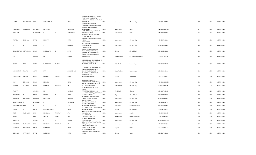|                    |                         |                |                    |          |                | VIVEKANAND ROAD, NEAR<br>AKBARALLY S STORES, SANTACRUZ     |              |                      |                     |                |     |      |             |
|--------------------|-------------------------|----------------|--------------------|----------|----------------|------------------------------------------------------------|--------------|----------------------|---------------------|----------------|-----|------|-------------|
| VEENA              | JASHWANTLAL JOLIA       |                | <b>JASHWANTLAL</b> |          | <b>JOLIA</b>   | W.MUMBAI                                                   | <b>INDIA</b> | Maharashtra          | Mumbai City         | 400054 V000252 | 375 | 3750 | 06-FEB-2018 |
|                    |                         |                |                    |          |                | C/O MESSRS HUKMATRAI<br>KEVALRAM, 406/24 SUKHASAGAR        |              |                      |                     |                |     |      |             |
|                    |                         |                |                    |          |                | BUILDING, NEAR QUARTER                                     |              |                      |                     |                |     |      |             |
| HUKMATRAI          | KEVALRAM                | MOTWANI        | KEVALRAM           |          | MOTWANI        | GATE, POONA<br>A-1 AMAR TOWER, WANOWARI                    | <b>INDIA</b> | Maharashtra          | Pune                | 411002 M000702 | 372 | 3720 | 06-FEB-2018 |
| PRITILATA          |                         | CHAUDHURI      | H                  | C        | CHAUDHURI      | VAIRABINALA, PUNE,                                         | INDIA        | Maharashtra          | Pune                | 411013 C000017 | 366 | 3660 | 06-FEB-2018 |
|                    |                         |                |                    |          |                | OVAL VIEW 1ST FLOOR FLAT NO<br>3, CHURCHGATE               |              |                      |                     |                |     |      |             |
|                    |                         |                |                    |          |                | RECLAMATION, MUMBAI, MUMBAI                                |              |                      |                     |                |     |      |             |
| RUSTOM             | <b>DINSHAW</b>          | PATEL          | <b>DINSHAW</b>     |          | PATEL          | 400020<br>C-303 GOLDEN                                     | <b>INDIA</b> | Maharashtra          | Mumbai City         | 400020 R000399 | 351 | 3510 | 06-FEB-2018 |
|                    |                         |                |                    |          |                | OAK, HIRANANDANI GARDENS                                   |              |                      |                     |                |     |      |             |
| G                  | s                       | GANPATI        | <sub>S</sub>       |          | GANPATI        | POWAI, MUMBAI,<br>12A UMIYAVIJAY                           | <b>INDIA</b> | Maharashtra          | Mumbai City         | 400076 G000366 | 351 | 3510 | 06-FEB-2018 |
|                    |                         |                |                    |          |                | SOCIETY, CHANDODIA ROAD                                    |              |                      |                     |                |     |      |             |
|                    | CHANDRIKABEN KIRITKUMAR | SHAH           | KIRITKUMAR         | C        | SHAH           | NAWA WADY, AHMEDABAD,<br>C/O SINGHAL & CO, ROLLAND         | <b>INDIA</b> | Gujarat              | Ahmedabad           | 380013 C000313 | 336 | 3360 | 06-FEB-2018 |
|                    |                         |                |                    |          |                | TOWER 3RD FLOOR, 17/5 THA                                  |              |                      |                     |                |     |      |             |
| LALIT              |                         | SINGHAL        | MR                 |          | SINGHAL        | MALL, KANPUR                                               | <b>INDIA</b> | Uttar Pradesh        | Gautam Buddha Nagar | 208001 L000248 | 336 | 3360 | 06-FEB-2018 |
|                    |                         |                |                    |          |                | C/O M/S SANJAY TEXTILES, 51/10 K                           |              |                      |                     |                |     |      |             |
| SAVITRI            | DEVI                    | <b>GUPTA</b>   | YUDHISHTHIR        | PRASAD   | G              | K GARG MARKET, RAMGANJ<br>NAUGHARA, KANPUR U P             | <b>INDIA</b> | Uttar Pradesh        | Kanpur Nagar        | 208001 S001677 | 336 | 3360 | 06-FEB-2018 |
|                    |                         |                |                    |          |                |                                                            |              |                      |                     |                |     |      |             |
|                    |                         |                |                    |          |                | C/O M/S SANJAY TEXTILES, 51/10 K<br>K GARG MARKET, RAMGANJ |              |                      |                     |                |     |      |             |
| YUDHISHTHIR PRASAD |                         | <b>GUPTA</b>   | LATE               |          | JAGNANDHLAL    | NAUGHARA, KANPUR U P                                       | <b>INDIA</b> | <b>Uttar Pradesh</b> | Kanpur Nagar        | 208001 Y000041 | 336 | 3360 | 06-FEB-2018 |
|                    |                         |                |                    |          |                | I/5 GANESH APARTMENT, NR<br>SUTAR KARKHANA                 |              |                      |                     |                |     |      |             |
| GIRISHKUMAR        | BABULAL                 | SHAH           | BABULAL            | DOSALAL  | SHAH           | NARODA, AHMEDABAD,                                         | <b>INDIA</b> | Gujarat              | Ahmedabad           | 382325 G000416 | 330 | 3300 | 06-FEB-2018 |
|                    |                         |                |                    |          |                | AIDOON BUILDING TOP                                        |              |                      |                     |                |     |      |             |
| MANI               | BEHRAMJI                | MIRZA          | BEHRAMJI           |          | MIRZA          | FLOOR, DHOBI TALAO MUMBAI,,                                | <b>INDIA</b> | Maharashtra          | Mumbai City         | 400002 M000596 | 330 | 3300 | 06-FEB-2018 |
| RASHMI             | LILADHAR                | MEHTA          | LILADHAR           | ARJUNLAL | ME             | NIRMAL BHUVAN, ANSARI ROAD<br>VILE PARLE W, MUMBAI,        | INDIA        | Maharashtra          | Mumbai City         | 400056 R000620 | 327 | 3270 | 06-FEB-2018 |
|                    |                         |                |                    |          |                | 10 SEETHANAMAL EXTN,1ST                                    |              |                      |                     |                |     |      |             |
| FARHAT             |                         | GANESAN        | MR                 |          | GANESAN        | CROSS<br>STREET, TEYAMPET, CHENNAI                         | <b>INDIA</b> | Tamil Nadu           | Chennai             | 600018 F000243 | 315 | 3150 | 06-FEB-2018 |
|                    |                         |                |                    |          |                | 10 A PUNIT SOCIETY, O/S SHAHPUR                            |              |                      |                     |                |     |      |             |
| BHAVNABEN          | D                       | PATEL          | <b>DINESH</b>      | P        | PATEL          | GATE, AHMEDABAD,<br>JAL-KIRAN, 13TH FLOOR, CUFFE           | INDIA        | Gujarat              | Ahmedabad           | 380004 B000635 | 300 | 3000 | 06-FEB-2018 |
| <b>BAHADUR</b>     | RATANSHA                | <b>DASTOOR</b> | RATANSHA           |          | <b>DASTOOR</b> | PARADE COLABA, MUMBAI                                      | INDIA        | Maharashtra          | Mumbai City         | 400005 B000685 | 300 | 3000 | 06-FEB-2018 |
| BHAGWANDAS         |                         | BHARWANI       | $\mathsf{R}$       |          | BHARWANI       | M I G 6/5 BHAVE<br>NAGAR, KURLA, MUMBAI,                   | <b>INDIA</b> | Maharashtra          | Mumbai City         | 400070 B000741 | 300 | 3000 | 06-FEB-2018 |
|                    |                         |                |                    | T        |                | JAI RAM MANDIR, PO                                         |              |                      |                     |                |     |      |             |
| CHANDRASHEKAI NAIK |                         | K              | н.                 |          | <b>NAIK</b>    | HAREKALA, MANGALORE,<br>10 A PUNIT SOCIETY, O/S SHAHPUR    | INDIA        | Karnataka            | Dakshina Kannada    | 574181 C000373 | 300 | 3000 | 06-FEB-2018 |
| <b>DINESH</b>      | P                       | PATEL          | PURSHOTTAMDAS      |          | PATEL          | GATE, AHMEDABAD,                                           | INDIA        | Gujarat              | Ahmedabad           | 380004 D000896 | 300 | 3000 | 06-FEB-2018 |
| <b>JYOTI</b>       | MADHUKAR                | SALI           | MADHUKAR           | TOTARAM  | SAL            | N-32/N-5/40/06,SV NAGAR NEW<br>CIDCO, NASIK,               | INDIA        | Maharashtra          | Nashik              | 422009 J000768 | 300 | 3000 | 06-FEB-2018 |
| KUNAL              |                         | PAN            | AKSHAY             | KUMAR    | PAN            | 21-5 RUBY PARK<br>EAST, HALTU, CALCUTTA,                   | <b>INDIA</b> |                      |                     | 700078 K001314 | 300 | 3000 | 06-FEB-2018 |
|                    |                         |                |                    |          |                | 20 SEABELLE, NAPEANSEA                                     |              | West Bengal          | South 24 Parganas   |                |     |      |             |
| MANDEEP            |                         | <b>VOHRA</b>   | G                  | К        | VOHRA          | ROAD, MUMBAI,<br>N-32/N-5/40/06,S V NAGAR NEW              | INDIA        | Maharashtra          | Mumbai City         | 400006 M001535 | 300 | 3000 | 06-FEB-2018 |
| NARENDRA           | MADHUKAR                | SALI           | MADHUKAR           | TOTARAM  | SAL            | CIDCO, NASIK,                                              | INDIA        | Maharashtra          | Nashik              | 422009 N000664 | 300 | 3000 | 06-FEB-2018 |
| <b>GOVINDJI</b>    | NATHUBHAI               | PATEL          | NATHUBHAI          |          | PATEL          | TANKEL POST TANKEL, DIST<br>BULSAR, VIA BILIMORA,          | <b>INDIA</b> | Gujarat              | Valsad              | 396321 P000142 | 300 | 3000 | 06-FEB-2018 |
|                    |                         |                |                    |          |                | AT & POST TANKEL, VIA                                      |              |                      |                     |                |     |      |             |
| <b>GOVINDJI</b>    | NATHUBHAI               | PATEL          | <b>NATHUBHAI</b>   |          | PATEL          | RANKUVA, TALUKA CHIKHLI, DIST<br><b>BULSAR</b>             | <b>INDIA</b> | Gujarat              | Valsad              | 396521 P000143 | 300 | 3000 | 06-FEB-2018 |
|                    |                         |                |                    |          |                |                                                            |              |                      |                     |                |     |      |             |

502 KIRTI MANAR PLOT 3,SWAMI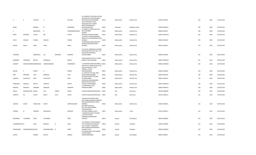| P              | К                          | KOTHARI                 | K              |          | KOTHARI          | C/O SANDEEP P KOTHARI, A/13 OM<br>GAUTAM 4TH FLOOR, HAJI BAPU<br>ROAD MALAD EAST, MUMBAI<br>B-52, OAKYARD APT, 38TH<br>CROSS, EAST END `C'MAIN | <b>INDIA</b> | Maharashtra | Mumbai City            | 400097 P000791 | 300 | 3000 | 06-FEB-2018 |
|----------------|----------------------------|-------------------------|----------------|----------|------------------|------------------------------------------------------------------------------------------------------------------------------------------------|--------------|-------------|------------------------|----------------|-----|------|-------------|
| REMA           |                            | RAMESH                  | N              |          | RAMESHAN         | ROAD, JAYANAGAR 9TH<br>BLOCK, BANGALORE                                                                                                        | INDIA        | Karnataka   | <b>Bangalore Urban</b> | 560069 R000378 | 300 | 3000 | 06-FEB-2018 |
| S              |                            | MEENAKSHI               | $\mathsf{R}$   |          | SIVARAMAKRISHNAN | B-7 RANJIT,S N ROAD MULUND<br>WEST, MUMBAI,<br>NAVROZ                                                                                          | <b>INDIA</b> | Maharashtra | Mumbai City            | 400080 S002427 | 300 | 3000 | 06-FEB-2018 |
| MINU           | <b>JEHANGIR</b>            | CHHOY                   | MR             |          | CHHOY            | MANSION, TARDEO, MUMBAI,<br>C/O SHRI V A PHADKE, KRISHNA                                                                                       | <b>INDIA</b> | Maharashtra | Mumbai City            | 400007 M001250 | 300 | 3000 | 06-FEB-2018 |
| VIDYA          | VINAYAK                    | PHADKE                  | VINAYAK        |          | PHADKE           | MAHAL 4TH FLOOR, MARINE DRIVE<br>MUMBAI,<br>95 NAIGAUM CROSS ROAD, OPP                                                                         | <b>INDIA</b> | Maharashtra | Mumbai City            | 400020 P000594 | 291 | 2910 | 06-FEB-2018 |
| SOHAN          | SINGH                      | SARAI                   | <b>TEHAL</b>   |          | SINGH            | VISANJI PARK, DADAR (EAST)<br>MUMBAI,                                                                                                          | <b>INDIA</b> | Maharashtra | Mumbai City            | 400014 S001612 | 279 | 2790 | 06-FEB-2018 |
|                |                            |                         |                |          |                  | C/O JASI JAL PARDIWALLA, GODREJ<br>BAUG BLDG MO M FLAT NO 7,1ST<br>FLOOR OPP NEPEANSEA                                                         |              |             |                        |                |     |      |             |
| COOMIJAL       |                            | PARDIWALA               | JAL            | NADIRSHA | PARDIWA          | ROAD, MUMBAI                                                                                                                                   | <b>INDIA</b> | Maharashtra | Mumbai City            | 400026 C000355 | 261 | 2610 | 06-FEB-2018 |
| RAMABEN        | CHIMANLAL                  | MEHTA                   | CHIMANLAL      |          | MEHTA            | 50 BALASINOR SOCIETY, S V ROAD<br>KANDIVLI WEST, MUMBAI,                                                                                       | <b>INDIA</b> | Maharashtra | Mumbai City            | 400067 M000252 | 261 | 2610 | 06-FEB-2018 |
| SUMANT         |                            | HARISHCHANDRA WANDREKAR | HARISHCHANDRA  |          | WANDREKAR        | 110 MEDOWS STREET, MUMBAI 1,, INDIA<br>BLOCK NO 13 AMBE NEVAS CO OP                                                                            |              | Maharashtra | Mumbai City            | 400001 W000005 | 261 | 2610 | 06-FEB-2018 |
|                |                            |                         |                |          |                  | HSG SOC, NEAR CITY LIGHT<br>CINEMA,L J ROAD                                                                                                    |              |             |                        |                |     |      |             |
| RAGINI         | s                          | PANDIT                  | S              |          | PANDIT           | MAHIM, MUMBAI<br>2-A, KARAI ESTATE, 248, JAWJI                                                                                                 | <b>INDIA</b> | Maharashtra | Mumbai City            | 400016 P000187 | 250 | 2500 | 06-FEB-2018 |
| KEKI           | ARDESHIR                   | TATA                    | ARDESHIR       |          | TATA             | DADAJI MARG, MUMBAI,<br>98 VADALA BLOCK NO 9,2ND                                                                                               | INDIA        | Maharashtra | Mumbai City            | 400007 K001393 | 240 | 2400 | 06-FEB-2018 |
| KANTILAL       | CHHOTALAL                  | DANI                    | CHHOTALAL      |          | DANI             | FLOOR, MUMBAI,<br>KUSUM VILLA GHODBUNDER<br>ROAD, OPP PUPILS HIGH                                                                              | <b>INDIA</b> | Maharashtra | Mumbai City            | 400031 K000723 | 234 | 2340 | 06-FEB-2018 |
| RAMAKANT       | SAKERLAL                   | MEHTA                   | SAKERLAL       |          | MEHTA            | SCHOOL, KHAR MUMBAI,                                                                                                                           | <b>INDIA</b> | Maharashtra | Mumbai City            | 400052 M000225 | 228 | 2280 | 06-FEB-2018 |
| MEHERA         | ARDESHIR                   | <b>NARIMAN</b>          | ARDESHIR       |          | <b>NARIMAN</b>   | 174 MEHR DAD, CUFFE<br>PARADE, MUMBAI,                                                                                                         | <b>INDIA</b> | Maharashtra | Mumbai City            | 400005 N000124 | 228 | 2280 | 06-FEB-2018 |
| ABILIO         | DACONCEICAOE SOUSA         |                         | LUIS           | JOSEDE   | SOUSA            | CHURCH SQUARE, QUEPEM, GOA,                                                                                                                    | <b>INDIA</b> | Goa         | South Goa              | 403705 A000298 | 225 | 2250 | 06-FEB-2018 |
| ALBERTO        | DE                         | SOUSA                   | ABILIO         | DACE     | SOUSA            | CHURCH SQUARE, QUEPEM, GOA, INDIA                                                                                                              |              | Goa         | South Goa              | 403705 A000311 | 225 | 2250 | 06-FEB-2018 |
|                |                            |                         |                |          |                  | VISHWA KUTIR VAIDYA WADI<br>PLOT NO892, SHANKAR GHANEKAR<br>ROAD DADAR, GOKHALE ROAD                                                           |              |             |                        |                |     |      |             |
| ANAGHA         | ASHOK                      | TENDULKAR               | ASHOK          |          | HARITENDULKAR    | MUMBAI,<br>B/29 NEW ASARA CO.<br>HSC., SOC. GURU MANDIR                                                                                        | <b>INDIA</b> | Maharashtra | Mumbai City            | 400028 A000322 | 225 | 2250 | 06-FEB-2018 |
| APARNA         | M                          | KANHERE                 | MADHUKAR       |          | KANHERE          | ROAD, SARASWAT<br>COLONEY, DOMBIVLI (EAST)<br>7 PARASKUNJ SOCIETY DVN NO                                                                       | INDIA        | Maharashtra | Thane                  | 421201 A000517 | 225 | 2250 | 06-FEB-2018 |
| BECHARLAL      | TULSHIBHAI                 | PATEL                   | TULSHIBHAI     |          | PATEL            | 1, SATELLITE ROAD<br>AMBAWADI, AHMEDABAD<br>GUJARAT,                                                                                           | <b>INDIA</b> | Gujarat     | Ahmedabad              | 380015 B000601 | 225 | 2250 | 06-FEB-2018 |
| CHANDRAKANTA N |                            | SHAH                    | NANALAL        | N        | SHAH             | C/O NANALAL N SHAH, GHADIALI<br>POLE VIRASANI POLE, BARODA,<br>C/O V H RAJPUT PIRAMITAR                                                        | <b>INDIA</b> | Gujarat     | Vadodara               | 390001 C000304 | 225 | 2250 | 06-FEB-2018 |
| GOPALSINGH     | <b>HANAMANTSING RAJPUT</b> |                         | HANAMANTSING N |          | RAJPU            | ROAD, DANDIA BAZAR, BARODA<br><b>GUJARAT STATE,</b><br>522 GANGA GHIYA POLE, MANEK                                                             | INDIA        | Gujarat     | Vadodara               | 390001 G000420 | 225 | 2250 | 06-FEB-2018 |
| JAYESH         |                            | GANDHI                  | KATILAL        |          | GANDHI           | <b>CHOWK SANKDI</b><br>SHERI, AHMEDABAD,                                                                                                       | <b>INDIA</b> | Gujarat     | Ahmedabad              | 380001 J000427 | 225 | 2250 | 06-FEB-2018 |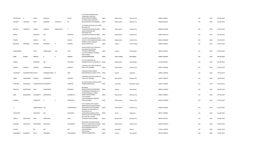| <b>JYOTPRASAD</b><br>KALPANA | HASMUKH             | <b>GUPTA</b><br>SHAH   | BAIJNATH<br>HASMUKH       | SUMATILAL    | <b>GUPTA</b><br>SH | C/O PAVAN INTERNATIONAL<br>CORPN, 3RD FLOOR 395<br>KABADEVIROAD, MUMBAI,<br>31 KURLA ROAD 9 MADHAV                                                    | <b>INDIA</b><br><b>INDIA</b> | Maharashtra                     | Mumbai City            | 400002 J000452                   | 225<br>225 | 2250<br>2250 | 06-FEB-2018<br>06-FEB-2018 |
|------------------------------|---------------------|------------------------|---------------------------|--------------|--------------------|-------------------------------------------------------------------------------------------------------------------------------------------------------|------------------------------|---------------------------------|------------------------|----------------------------------|------------|--------------|----------------------------|
|                              |                     |                        |                           |              |                    | BAUG, ANDHERI EAST, MUMBAI,                                                                                                                           |                              | Maharashtra                     | Mumbai City            | 400069 K000751                   |            |              |                            |
| KANTILAL                     | SHAKERLAL           | DHARIA                 | SAKERLAL                  | RAMESHHOD    | D                  | C/O PANKAJ M MUDY,132-A YRMI<br><b>BUILDING 4TH</b><br>FLOOR, WALKESHWAR MUMBAI, INDIA<br>JADAVJI MANSION, 3RD<br>FOFALWADI 4TH                       |                              | Maharashtra                     | Mumbai City            | 400006 K000780                   | 225        | 2250         | 06-FEB-2018                |
| MANJU                        |                     | PALRECHA               | MR                        |              | PALRECHA           | FLOOR, BHULESHWAR MUMBAI,                                                                                                                             | <b>INDIA</b>                 | Maharashtra                     | Mumbai City            | 400002 M001221                   | 225        | 2250         | 06-FEB-2018                |
| PUSHPA                       |                     | NAGPAL                 | MR                        |              | NAGPAL             | 375 SHEETALA DARSHAN 43/4TH<br>FLOOR,L J ROAD MAHIM, MUMBAI, INDIA<br>PRABHA COLONY, MISSION                                                          |                              | Maharashtra                     | Mumbai City            | 400016 P000899                   | 225        | 2250         | 06-FEB-2018                |
| RAJENDRA                     | PRAMANIK            | PURANIK                | PRAMANIK                  | G            | PURANIK            | ROAD, GODHRA GUJ,                                                                                                                                     | <b>INDIA</b>                 | Gujarat                         | Panch Mahals           | 389001 R000531                   | 225        | 2250         | 06-FEB-2018                |
| SHANKERBHAI<br>SUNIL         | <b>KUMAR</b>        | PATEL<br>SINGHAL       | KHEMCHAND<br>$\mathsf{R}$ | DAS          | PATEL<br>SINGHAL   | <b>GULBAI TEKRA GOVT TEN BLOCK</b><br>W/4, NEAR POLYTECHNIC<br>COLLEGE, AHMEDABAD,<br>C/O DR.S.KUMAR, A-76 PRINCE<br>ROAD, GANDHI<br>NAGAR, MORADABAD | <b>INDIA</b><br><b>INDIA</b> | Gujarat<br><b>Uttar Pradesh</b> | Ahmedabad<br>Moradabad | 380015 S001553<br>244001 S001643 | 225<br>225 | 2250<br>2250 | 06-FEB-2018<br>06-FEB-2018 |
|                              |                     |                        |                           |              |                    |                                                                                                                                                       |                              |                                 |                        |                                  |            |              |                            |
| SURESH                       |                     | <b>DUDHEDIA</b>        | MR                        |              | <b>DUDHEDIA</b>    | AT & PO HARIGAON, TAL<br>SHRIRAMPUR, DIST & NAGAR M S, INDIA                                                                                          |                              | Maharashtra                     | Ahmednagar             | 413718 S001657                   | 225        | 2250         | 06-FEB-2018                |
| SUSHILA                      | KRISHNA             | SHARMA                 | SHRIKRISHNA               |              | <b>JAIGOPAL</b>    | 6 MADHAV KUNJ DIXIT ROAD, VILE<br>PARLE EAST, MUMBAI,                                                                                                 | <b>INDIA</b>                 | Maharashtra                     | Mumbai City            | 400057 S001669                   | 225        | 2250         | 06-FEB-2018                |
| VIJAYSINGH                   | HANAMANTSING RAJPUT |                        | JANAMANTSINGH N           |              | RAJP               | PIRAMITAR ROAD DANDIA<br>BAZAR, BARODA, GUJARAT STATE, INDIA                                                                                          |                              | Gujarat                         | Vadodara               | 390001 V000302                   | 225        | 2250         | 06-FEB-2018                |
| VINEET                       | SHRIKRISHNA         | SHARMA                 | SHRIKRISHNA               |              | <b>JAIGOPAL</b>    | 6 MADHAV KUNJ DIXIT ROAD, VILE<br>PARLE EAST, MUMBAI,                                                                                                 | <b>INDIA</b>                 | Maharashtra                     | Mumbai City            | 400057 V000307                   | 225        | 2250         | 06-FEB-2018                |
| YEDATORE                     | VISWANATH           | CHANDRASEKHAFVISWANATH |                           |              | SOMAYAJI           | NO 430 ELEVENTH CROSS, WILSON<br>GARDEN, BANGALORE,                                                                                                   | <b>INDIA</b>                 | Karnataka                       | Bangalore Urban        | 560027 Y000036                   | 225        | 2250         | 06-FEB-2018                |
| HEMLATA                      | <b>GANPATBHAI</b>   | DAVE                   | <b>GANPATBHAI</b>         |              | KANJIBHAI          | BHARADIA<br>NIWAS, KHANPUR, AHMEDABAD,<br>CHANDRAKANT MANSION 4TH                                                                                     | <b>INDIA</b>                 | Gujarat                         | Ahmedabad              | 380001 H000235                   | 225        | 2250         | 06-FEB-2018                |
| DINA                         | BEHRAMSHA           | KHUMBATTA              | BEHRAMSHA                 |              | KHUMBATTA          | FLOOR, URANWALLA STREET<br>GRANT ROAD, MUMBAI,<br>C-303 GOLDEN                                                                                        | <b>INDIA</b>                 | Maharashtra                     | Mumbai City            | 400007 D000817                   | 224        | 2240         | 06-FEB-2018                |
| LAKSHMI                      |                     | GANAPATHI              | G                         | <sub>S</sub> | GANAPATHI          | OAK, HIRANANDANI GARDENS<br>POWAI, MUMBAI,                                                                                                            | <b>INDIA</b>                 | Maharashtra                     | Mumbai City            | 400076 G000002                   | 219        | 2190         | 06-FEB-2018                |
|                              |                     |                        |                           |              |                    | B-204 ADARSH APTS ADARSH                                                                                                                              |                              |                                 |                        |                                  |            |              |                            |
| G                            |                     | SUBRAMANIAN MR         |                           |              | SUBRAMANIAN        | MAIN ROAD, OFF MALAD MARVE<br>ROAD MALAD WEST, MUMBAI,<br>PARAMPIL JOY BUILDING, PO<br>MULAKAZHA VIA                                                  | <b>INDIA</b>                 | Maharashtra                     | Mumbai City            | 400064 S001386                   | 216        | 2160         | 06-FEB-2018                |
| VARUGHESE                    |                     | ZACHARIAH              | MR                        |              | ZACHARIAH          | CHENGANNUR, KERALA STATE,<br>VORA HOUSE 1ST FLOOR ROOM                                                                                                | <b>INDIA</b>                 | Kerala                          | Alappuzha              | 689121 Z000001                   | 216        | 2160         | 06-FEB-2018                |
| VIMALA                       | SOMCHAND            | SHAH                   | SOMCHAND                  |              | SHAH               | NO 2, OPP RLY STATION<br>GOREGAON WEST, MUMBAI,                                                                                                       | <b>INDIA</b>                 | Maharashtra                     | Mumbai City            | 400062 S001071                   | 210        | 2100         | 06-FEB-2018                |
| GAJANAN                      | RANCHHOD            | GOWARIKAR              | RANCHHOD                  |              | GOWARIKAR          | INDUSTRIAL ASSURANCE BLDG<br>3RD FLR, CHURCHGATE MUMBAI,, INDIA<br>C/O NARASIMHA MURTHY,1ST<br>CROSS SRIRAMA BLOCK, KR                                |                              | Maharashtra                     | Mumbai City            | 400020 G000276                   | 204        | 2040         | 06-FEB-2018                |
| LALITHA                      |                     | BAI                    | MR                        |              | BAI                | NAGAR MYSORE,                                                                                                                                         | <b>INDIA</b>                 | Karnataka                       | Mysore                 | 571602 L000228                   | 204        | 2040         | 06-FEB-2018                |
| RAMANBHAI                    | SOMABHAI            | PATEL                  | SOMABHAI                  |              | <b>JESHIHGBHHA</b> | NAVI KHADKI<br>NARODA, AHMEDABAD,,                                                                                                                    | <b>INDIA</b>                 | Gujarat                         | Ahmedabad              | 382325 R000323                   | 200        | 2000         | 06-FEB-2018                |
|                              |                     |                        |                           |              |                    |                                                                                                                                                       |                              |                                 |                        |                                  |            |              |                            |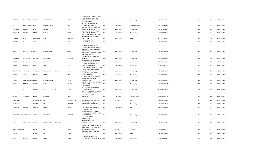| REVTIKANT             | PURUSHOTTAM DHEBRI  |                     | PURUSHOTTAM    |               | DHEBRI         | ROAD, BHIMRAO HOUSE, 4TH<br>FLOOR BLOCK NO 20, MUMBAI<br>SRI SUDHINDRA                                                                           | <b>INDIA</b> | Maharashtra | Mumbai City      | 400004 R000580 | 200 | 2000 | 06-FEB-2018 |
|-----------------------|---------------------|---------------------|----------------|---------------|----------------|--------------------------------------------------------------------------------------------------------------------------------------------------|--------------|-------------|------------------|----------------|-----|------|-------------|
| H                     | KRISHNANANDA BHAT   |                     | KRISHNANANDA   |               | BHAT           | INVESTMENT, POST BOX NO<br>21, CAR STREET KARKALA,                                                                                               | <b>INDIA</b> | Karnataka   | Dakshina Kannada | 574104 B000425 | 195 | 1950 | 06-FEB-2018 |
| RUSTOMJI              | SORABJI             | <b>BARIA</b>        | SORABJI        |               | BARIA          | AVA MANSION 4TH FLOOR, 230<br>TARDEO ROAD, MUMBAI,                                                                                               | <b>INDIA</b> | Maharashtra | Mumbai City      | 400007 B000067 | 186 | 1860 | 06-FEB-2018 |
| RUSTOMJI              | SORABJI             | BARIA               | SORABJI        |               | BARIA          | AVA MANSION 4TH FLOOR, 230<br>TARDEO ROAD, MUMBAI,<br>204/A RAMCHANDRA APTS, OM                                                                  | <b>INDIA</b> | Maharashtra | Mumbai City      | 400007 B000121 | 186 | 1860 | 06-FEB-2018 |
| OSWALD                | JUDE                | CARVALHO            | <b>JUDE</b>    |               | CARVALHO       | NAGAR AMBADI ROAD, VASAI<br>WEST, THANE                                                                                                          | <b>INDIA</b> | Maharashtra | Thane            | 401202 C000005 | 186 | 1860 | 06-FEB-2018 |
| DATTATRAY             | $\overline{1}$      | YANDE               | - 1            |               | YANDE          | SWABHIMAN, 64/18<br>ERANDWANE, PUNE,                                                                                                             | <b>INDIA</b> | Maharashtra | Pune             | 411004 D000813 | 186 | 1860 | 06-FEB-2018 |
| VEENA                 | JASHWANTLAL JOLIA   |                     | JASHWANTLAL    |               | <b>JOLIA</b>   | 502 KIRTI MANOR, PLOT NO 3<br>SWAMI VIVEKANAND ROAD, NEAR<br>AKBARALLY STORES, SANTACRUZ<br><b>WEST MUMBAI</b><br>VIKAS FINLAY TOWERS, 7TH FLOOR | <b>INDIA</b> | Maharashtra | Mumbai City      | 400056 J000262 | 186 | 1860 | 06-FEB-2018 |
|                       |                     |                     |                |               |                | FLAT NO 71/A, G D<br>AMBEKAR, PAREL TANK ROAD,                                                                                                   |              |             |                  |                |     |      |             |
| NARIMAN               | PHIROZSHA           | KAPADIA             | PHIROZSHA      |               | <b>KAPADIA</b> | MUMBAI,<br>FAKIRWAD MOTOR STAND, AT &                                                                                                            | <b>INDIA</b> | Maharashtra | Mumbai City      | 400033 K000075 | 186 | 1860 | 06-FEB-2018 |
| BALUBHAI              | DHANJIBHAI          | KAHAR               | DHANJIBHAI     |               | KAHAR          | POST RANDER, SURAT,<br>12 RAJSI MANSION, 4TH PASTA                                                                                               | <b>INDIA</b> | Gujarat     | Anand            | 395005 K000082 | 186 | 1860 | 06-FEB-2018 |
| THOMAS                | HENDRIK             | PINTO               | <b>HENDRIK</b> |               | PINTO          | LANE COLABA, MUMBAI,<br>4 SHRI SHEETALA APARTMENT, 146<br>LT DILIP GUPTE MARG, MAHIM                                                             | <b>INDIA</b> | Maharashtra | Mumbai City      | 400005 T000347 | 186 | 1860 | 06-FEB-2018 |
| SHANTABAI             | ATMARAM             | CHINCHANKAR ATMARAM |                | <b>KESHAO</b> | CHINC          | MUMBAI,<br>KISHORI VIHAR, SHIVAJI PARK                                                                                                           | <b>INDIA</b> | Maharashtra | Mumbai City      | 400016 C000047 | 183 | 1830 | 06-FEB-2018 |
| SATISH                | VITHAL              | DESAI               | VITHAL         |               | DESAI          | ROAD 2, MUMBAI,<br>C/O ATUL M SETALVAD, NIRANT                                                                                                   | <b>INDIA</b> | Maharashtra | Mumbai City      | 400028 D000324 | 183 | 1830 | 06-FEB-2018 |
| <b>NILAM</b>          | KRISHNAPRASAD DESAI |                     | KRISHNAPRASAD  |               | СННОТА         | BUNGALOW JUHU TARA<br>ROAD, MUMBAI,                                                                                                              | <b>INDIA</b> | Maharashtra | Mumbai City      | 400049 D000344 | 183 | 1830 | 06-FEB-2018 |
| MADHAV                | <b>NARHAR</b>       | WAGLE               | NARHAR         |               | WAGLE          | SHRI NIKETAN PLOT NO 217, SION<br>EAST MUMBAI,<br>C-303 GOLDEN                                                                                   | <b>INDIA</b> | Maharashtra | Mumbai City      | 400022 W000011 | 183 | 1830 | 06-FEB-2018 |
| G                     | -S                  | <b>GANAPATI</b>     | G              | $\mathsf{R}$  | <b>SUBBIER</b> | OAK, HIRANANDANI GARDENS<br>POWAI, MUMBAI,<br>SAVITRI NO 322, WEST OF CHORD<br>ROAD EXTENSION, III STAGE IV                                      | <b>INDIA</b> | Maharashtra | Mumbai City      | 400076 G000001 | 183 | 1830 | 06-FEB-2018 |
| SAVITRI               | GAJANAN             | HEGDE               | GAJANAN        |               | HEGDE          | BLOCK, HOSAHALLY P<br>O, BANGALORE                                                                                                               | <b>INDIA</b> | Karnataka   | Bangalore Urban  | 560040 S001414 | 180 | 1800 | 06-FEB-2018 |
| NAROTTAM              |                     | PURSHOTTAM          | MR             |               | PURSHOTTAM     | SACHIA FALIA, CUTCH MANDVI,,                                                                                                                     | <b>INDIA</b> | Gujarat     | Anand            | 370465 N000269 | 174 | 1740 | 06-FEB-2018 |
| KASTURBAI             |                     | LAXMIDAS            | MR             |               | LAXMIDAS       | FIONIKA 3RD FLOOR,59 B<br>WALKESHWAR ROAD, MUMBAI,                                                                                               | <b>INDIA</b> | Maharashtra | Mumbai City      | 400006 K000107 | 171 | 1710 | 06-FEB-2018 |
| VASUDEO               | VISHNU              | AKHAVE              | VISHNU         |               | AKHAVE         | 33/19 PRABHAT ROAD, POONA,,<br>C/O RADHESYAM<br>SEKSARIA, BHAWANI BHAWAN                                                                         | <b>INDIA</b> | Maharashtra | Pune             | 411004 V000245 | 165 | 1650 | 06-FEB-2018 |
| GANGAPRASAD KESHERDEO |                     | AGARWALA            | KESHERDEO      |               | AGARWALA       | DARABSHAW STREET, NEPEAN SEA<br>ROAD, MUMBAI<br>BLOCK NO G 40 3RD<br>FLR, SARVODAYA                                                              | <b>INDIA</b> | Maharashtra | Mumbai City      | 400006 A000031 | 163 | 1630 | 06-FEB-2018 |
| <b>HINA</b>           | MANHARLAL           | SHAH                | MANHARLAL      | DANMAL        | SHA            | NAGAR, PANJRAPOLE<br>ROAD, MUMBAI                                                                                                                | <b>INDIA</b> | Maharashtra | Mumbai City      | 400004 H000195 | 162 | 1620 | 06-FEB-2018 |
|                       |                     |                     |                |               |                | C/O J M PATEL 40 GANDHIVAS, AT                                                                                                                   |              |             |                  |                |     |      |             |
| MAHENDRAKUMAR         |                     | PATEL               | MR             |               | PATEL          | & POST KHARNA TAL VIJAPUR, DIST<br>MEHSANA N GUJARAT,                                                                                            | <b>INDIA</b> | Gujarat     | Mahesana         | 382825 M000952 | 162 | 1620 | 06-FEB-2018 |
|                       |                     |                     |                |               |                |                                                                                                                                                  |              |             |                  |                |     |      |             |
| KAMALA                |                     | BALAJI              | MR             |               | BALAJI         | D-15 ONGC TOWNSHIP PHASE-<br>I, PANVEL M S,,                                                                                                     | <b>INDIA</b> | Maharashtra | Raigad           | 410206 K001346 | 160 | 1600 | 06-FEB-2018 |
| SILLA                 | <b>BEJON</b>        | <b>BIRDY</b>        | <b>BEJON</b>   |               | <b>BIRDY</b>   | CHANDAN CHAMBERS, 4TH<br>FLOOR, BARRACK ROAD, MUMBAI INDIA                                                                                       |              | Maharashtra | Mumbai City      | 400020 B000473 | 150 | 1500 | 06-FEB-2018 |

281 JAGANNATH SHANKAR SHETH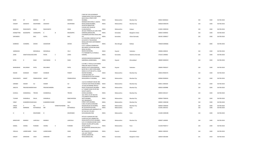|                 |                             |                   |                    |                |                  | P BOX NO 225A JEEJEEBHOY<br>TOWERS, NEW STOCK EXCHANGE<br>BLDG DALAL STREET, FORT                                  |                              |                            |                        |                                  |            |              |                            |
|-----------------|-----------------------------|-------------------|--------------------|----------------|------------------|--------------------------------------------------------------------------------------------------------------------|------------------------------|----------------------------|------------------------|----------------------------------|------------|--------------|----------------------------|
| <b>BANK</b>     | OF                          | <b>BARODA</b>     | OF                 |                | <b>BARODA</b>    | MUMBAI,                                                                                                            | <b>INDIA</b>                 | Maharashtra                | Mumbai City            | 400023 B000563                   | 150        | 1500         | 06-FEB-2018                |
| VASANT          | SADASHIV                    | DESHPANDE         | SADASHIV           |                | DESHPANDE        | MANGESH BHUVAN, D L VAIDYA<br>ROAD.DADAR MUMBAI.<br>SOLAPUR IRRIGATION                                             | <b>INDIA</b>                 | Maharashtra                | Mumbai City            | 400028 D000378                   | 150        | 1500         | 06-FEB-2018                |
| MADHAV          | RAGHUNATH                   | DESAI             | RAGHUNATH          |                | DESAI            | COLONY, OPP SOLAPUR<br>CLUB, SOLAPUR,<br>2B ALSA TERRACES, 26 LANE FORD                                            | <b>INDIA</b>                 | Maharashtra                | Solapur                | 413001 D000530                   | 150        | 1500         | 06-FEB-2018                |
| KONGETTIRA      | MUDDAPPA                    | CHENGAPPA         | $\mathsf{K}$       | $\overline{B}$ | <b>MUDDAPPA</b>  | GARDENS, BANGALORE,<br>CHILMIKERE, NATARAJ ROAD, SIRSI                                                             | <b>INDIA</b>                 | Karnataka                  | Bangalore Urban        | 560025 E000042                   | 150        | 1500         | 06-FEB-2018                |
| GNYANESH        |                             | RAO               | GOPAL              |                | RAO              | NK,<br>G K HOUSING COMPLEX FLAT NO<br>A/4,48 DR S P MUKHERJEE<br>ROAD, DUM DUM CANTONMENT                          | <b>INDIA</b>                 | Karnataka                  | Uttara Kannada         | 581401 G000617                   | 150        | 1500         | 06-FEB-2018                |
| <b>GOBINDA</b>  | CHANDRA                     | GHOSH             | GADADHAR           |                | GHOSH            | CALCUTTA,<br>C/O P J GADHIA VANDRAVAN<br>RESTARENT, FATEHPURA MAIN<br>ROAD OLD BELL                                | <b>INDIA</b>                 | West Bengal                | Kolkata                | 700028 G000666                   | 100        | 1000         | 06-FEB-2018                |
| <b>JAMNADAS</b> |                             | MOHANLAL          | MOHANLAL           |                | VELJI            | BAZAR, VADODARA,<br>P O TENKABETTU, K G ROAD, S                                                                    | <b>INDIA</b>                 | Gujarat                    | Vadodara               | 390006 J000010                   | 150        | 1500         | 06-FEB-2018                |
| <b>JOHN</b>     | <b>IGNATIUSSALVAD LEWIS</b> |                   | PETER              | $\mathsf{C}$   | LEWIS            | KANARA,                                                                                                            | INDIA                        | Karnataka                  | Dakshina Kannada       | 576142 L000062                   | 150        | 1500         | 06-FEB-2018                |
| <b>NITIN</b>    | D                           | SHAH              | DAHYABHAI          | R              | SHAH             | KAPADIA MANSION, RAMNAGAR<br>SABERMALI, AHMEDABAD,                                                                 | <b>INDIA</b>                 | Gujarat                    | Ahmedabad              | 380005 N000419                   | 150        | 1500         | 06-FEB-2018                |
|                 |                             |                   |                    |                |                  | C/O MR C C PATEL, B-124 SHARIN<br>PARK, OPP AKOTA STADIUM                                                          |                              |                            |                        |                                  |            |              |                            |
| BHANUBHAI       | MULJIBHAI                   | PATEL             | MULJIBHAI          |                | PATEL            | PRODUCTIVITY ROAD, BARODA<br>BLOCK NO 13 3RD FLOOR, AMBE<br>NIWAS CO-OP HSG SCTY, LJ ROAD                          | <b>INDIA</b>                 | Gujarat                    | Vadodara               | 390005 P000167                   | 150        | 1500         | 06-FEB-2018                |
| RAGINI          | SHANKAR                     | PANDIT            | SHANKAR            |                | PANDIT           | MAHIM MUMBAI,<br>LILAM BUILDING 1ST<br>FLOOR, BLOCK B-9 DATTAPADA                                                  | <b>INDIA</b>                 | Maharashtra                | Mumbai City            | 400016 R000276                   | 150        | 1500         | 06-FEB-2018                |
| RAGHUNATH       | ANANT                       | PRABHUDESAI ANANT |                    |                | PRABHUDESAI      | ROAD, BORIVLI E MUMBAI,                                                                                            | <b>INDIA</b>                 | Maharashtra                | Mumbai City            | 400066 R000626                   | 150        | 1500         | 06-FEB-2018                |
| SARABAI         | HAIDER                      | ALI               | <b>HAIDER</b>      |                | ALI              | 113/115 EVEREADY HOUSE 3RD<br>FLOOR, M AZAD ROAD, MUMBAI,                                                          | <b>INDIA</b>                 | Maharashtra                | Mumbai City            | 400011 S000183                   | 150        | 1500         | 06-FEB-2018                |
| ANSUYA          | PRAVINCHANDRA SHAH          |                   | PRAVINCHANDRA      |                | SHAH             | 10 ALKA, 40 MARINE DRIVE, B<br>ROAD CHURCHGATE, MUMBAI<br>A-7 VASANT KUNJ CO-OP HSG                                | <b>INDIA</b>                 | Maharashtra                | Mumbai City            | 400020 S000988                   | 150        | 1500         | 06-FEB-2018                |
| SUSHILA         | SHANKERLAL                  | <b>TRIVEDI</b>    | SHANKERLAL         |                | TRIVEDI          | SOCIETY, NORTH<br>AVENUE, MUMBAI,<br>103, PATEL CO-OP HSG SOC                                                      | <b>INDIA</b>                 | Maharashtra                | Mumbai City            | 400054 S001417                   | 150        | 1500         | 06-FEB-2018                |
| TUSHAR          | ISHWARLAL                   | DALAL             | <b>ISHWARLAL</b>   |                | RANCHHODDA       | LTD, SAINATH ROAD, MALAD<br>WEST, MUMBAI<br>59/1 BAZARGATE                                                         | <b>INDIA</b>                 | Maharashtra                | Mumbai City            | 400064 T000418                   | 150        | 1500         | 06-FEB-2018                |
| VINAY           | KUMARDEVCHAN SHAH           |                   | KUMARDEVCHAND      |                | SHAH             | STREET, FORT, MUMBAI,<br>C/401 ATLANTA, EVERSHINE                                                                  | <b>INDIA</b>                 | Maharashtra                | Mumbai City            | 400001 V000338                   | 150        | 1500         | 06-FEB-2018                |
| VINOD<br>SAROS  | $\mathsf{V}$<br>NARIMAN     | PAI<br>KOTHAWALA  | $\mathsf{V}$<br>MR | VENKATESHWARA  | PAI<br>KOTHAWALA | NAGAR, MALAD W MUMBAI,<br>NO 18 KAHUN RD, PUNE,<br>SHIVPRASAD, SHRI SARASWATI CO<br>OP HSG SOC LTD, 30/2           | <b>INDIA</b><br><b>INDIA</b> | Maharashtra<br>Maharashtra | Mumbai City<br>Pune    | 400064 V000592<br>411001 S001915 | 150<br>150 | 1500<br>1500 | 06-FEB-2018<br>06-FEB-2018 |
| H               | D                           | DESHPANDE         | D                  |                | DESHPANDE        | SHIVAJINAGAR, PUNE                                                                                                 | <b>INDIA</b>                 | Maharashtra                | Pune                   | 411005 H000198                   | 144        | 1440         | 06-FEB-2018                |
| MINOCHER        | MANEKJI                     | LAHEVALA          | MANEKJI            |                | LAHEVALA         | PATUCK S BUNGALOW 2ND<br>FLOOR, 161/163 LAMINGTON<br>ROAD, KHATRI ESTATE MUMBAI,<br>C/O V K PURANIK, 635/86 VIJAYA | <b>INDIA</b>                 | Maharashtra                | Mumbai City            | 400007 L000002                   | 144        | 1440         | 06-FEB-2018                |
| KAMAL           | VISHNU                      | PURANIK           | VISHNU             | К              | PURANIK          | NAGAR COLONY, OPP ELLORA<br>HOTEL, POONA<br>36 SHAKUNTAL BUNGLOW, SOLA                                             | INDIA                        | Maharashtra                | Pune                   | 411030 P000717                   | 144        | 1440         | 06-FEB-2018                |
| VRAJLAL         | LAXMICHAND                  | SHAH              | LAXMICHAND         |                | SHAH             | ROAD<br>BHUYANGDEV, AHMEDABAD,<br>120, EAST TRINITY                                                                | <b>INDIA</b>                 | Gujarat                    | Ahmedabad              | 380061 S000333                   | 144        | 1440         | 06-FEB-2018                |
| SANJAY          | SHRIDHAR                    | <b>JOSHI</b>      | SHRIDHAR           |                | <b>JOSHI</b>     | WOODS, SARJAPURE<br>ROAD, BANGALORE,                                                                               | <b>INDIA</b>                 | Karnataka                  | <b>Bangalore Urban</b> | 560034 S002580                   | 141        | 1410         | 06-FEB-2018                |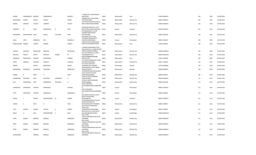|                   |                   |                |                  |           |                 | 7 VARSHA, 5TH LANE, PRABHAT                             |              |             |             |                |     |      |             |
|-------------------|-------------------|----------------|------------------|-----------|-----------------|---------------------------------------------------------|--------------|-------------|-------------|----------------|-----|------|-------------|
| ARVIND            | DWARKANATH BHGWAT |                | DWARKANATH       |           | <b>BHGWAT</b>   | ROAD, PUNE<br>SHANKAR SETT HOUSE, NANA                  | <b>INDIA</b> | Maharashtra | Pune        | 411004 B000419 | 138 | 1380 | 06-FEB-2018 |
| BALKRISHNA        | KESHAV            | SONAR          | KESHAV           |           | SONAR           | CHOWK, MUMBAI,                                          | <b>INDIA</b> | Maharashtra | Mumbai City | 400007 B000562 | 135 | 1350 | 06-FEB-2018 |
| <b>NARGIS</b>     | JAMSHED           | VATCHA         | JAMSHED          |           | VATCHA          | 5TH FLOOR PALLONJI HOUSE,35<br>NEW CHARNI ROAD, MUMBAI, | <b>INDIA</b> | Maharashtra | Mumbai City | 400004 N000259 | 135 | 1350 | 06-FEB-2018 |
|                   |                   |                |                  |           |                 | 8, DARSHAN PARK SOCI .- 2, VIP                          |              |             |             |                |     |      |             |
| HASMUKH           | M                 | SHAH           | MANGALDAS        | D         | SHAH            | ROAD, KARELI BAUG, VADODARA INDIA                       |              | Gujarat     | Vadodara    | 390018 H000270 | 132 | 1320 | 06-FEB-2018 |
|                   |                   |                |                  |           |                 | 503 INDRAPRASTH-I-A,OPP<br>JITENDRA ROAD MALAD          |              |             |             |                |     |      |             |
| RANJANBEN         | KANAKKUMAR        | SHAH           | KANAK            | LALLUBHAI | SHAH            | EAST, MUMBAI,                                           | <b>INDIA</b> | Maharashtra | Mumbai City | 400097 R000349 | 130 | 1300 | 06-FEB-2018 |
|                   |                   |                |                  |           |                 | KATKIWAD S POLE H NO<br>2049, NEAR NAVAGAJAPIR          |              |             |             |                |     |      |             |
| SHAH              | <b>VIPIN</b>      | RAMANLAL       | MR               |           | RAMANLAL        | KALUPUR, AHMEDABAD,<br>1204/15 VITHAL NIVAS, GHOLE      | <b>INDIA</b> | Gujarat     | Ahmedabad   | 380001 S000354 | 129 | 1290 | 06-FEB-2018 |
| MADHUSUDAN GANESH |                   | LAWATE         | GANESH           |           | LAWATE          | ROAD SHIVAJINAGAR, POONA,                               | <b>INDIA</b> | Maharashtra | Pune        | 411004 L000015 | 126 | 1260 | 06-FEB-2018 |
|                   |                   |                |                  |           |                 | 1 MANAS PALNAKAMAL CO OP                                |              |             |             |                |     |      |             |
|                   |                   |                |                  |           |                 | HSG SOCIETY, M L C ROAD PESTAM                          |              |             |             |                |     |      |             |
| SHAKAR            | NARAYAN           | MORALWAR       | NARAYAN          |           | MORALWAR        | SAGAR, CHEMBUR MUMBAI,<br>510 YOGI PRESTIGE, L 60 YOGI  | <b>INDIA</b> | Maharashtra | Mumbai City | 400089 M000676 | 126 | 1260 | 06-FEB-2018 |
| MALLIKA           | PRAVIN            | SHETTY         | PRAVEEN          | KUMAR     | M               | NAGAR, BORIVALI W,<br>8 DATTA PRASAD, MUKUND            | <b>INDIA</b> | Maharashtra | Mumbai City | 400092 M001425 | 126 | 1260 | 06-FEB-2018 |
| SHRINIVAS         | RAGHUNATH         | <b>DIVEKAR</b> | RAGHUNATH        |           | <b>DIVEKAR</b>  | NAGAR, PUNE,                                            | <b>INDIA</b> | Maharashtra | Pune        | 411001 S002606 | 126 | 1260 | 06-FEB-2018 |
| SMITA             | AMBALAL           | TALSANIA       | AMBALAL          |           | TALSANIA        | B-14 PARAS DARSHAN, M G ROAD<br>GHATKOPAR, MUMBAI,      | <b>INDIA</b> | Maharashtra | Mumbai City | 400077 T000020 | 126 | 1260 | 06-FEB-2018 |
|                   |                   |                |                  |           |                 | VILL KOTAL GHATA,P O                                    |              |             |             |                |     |      |             |
| ARNAB             |                   | GHOSH          | <b>BISWANATH</b> |           | GHOSH           | KUSHBERIA, DIST HOWRAH,<br>YOGESHWARA,E 236/3 TARBAI    | <b>INDIA</b> | West Bengal | Howrah      | 711316 A000883 | 120 | 1200 | 06-FEB-2018 |
| BALKRISHNA        | YESHWANT          | RAJADHYAX      | YESHWANT         |           | RAJADHYAX       | PARK, KOLHAPUR,                                         | <b>INDIA</b> | Maharashtra | Kolhapur    | 416003 B000552 | 120 | 1200 | 06-FEB-2018 |
|                   |                   |                |                  |           |                 | 49 JAWAHAR NAGAR ROAD, NO-6<br>VIPUL NIVAR 2ND FLOOR    |              |             |             |                |     |      |             |
| <b>ILABEN</b>     | $\overline{A}$    | SHAH           | $\mathsf{A}$     |           | SHAH            | GOREGAON, MUMBAI,<br>33 BELLE VIEW 85 WARDEN            | <b>INDIA</b> | Maharashtra | Mumbai City | 400062 1000113 | 120 | 1200 | 06-FEB-2018 |
| <b>GOBINDRAM</b>  | PESSUMAL          | <b>HIRA</b>    | PESSUMAL         | HARDASHAL | H               | ROAD, MUMBAI,,                                          | <b>INDIA</b> | Maharashtra | Mumbai City | 400036 G000419 | 112 | 1120 | 06-FEB-2018 |
| SATI              | GOBINDRAM         | <b>HIRA</b>    | GOBINDRAM        | PESSUMAL  | H               | 33 BELLE VIEW 85 WARDEN<br>ROAD, MUMBAI,,               | <b>INDIA</b> | Maharashtra | Mumbai City | 400036 S001526 | 112 | 1120 | 06-FEB-2018 |
|                   |                   |                |                  |           |                 | 2252/2 MAHURAT<br>POLE, MANEKCHOWK, AHMEDABA            |              |             |             |                |     |      |             |
| HARIVADAN         | MANHARLAL         | CHOKSHI        | MANHARLAL        |           | CHOKSHI         | D.                                                      | <b>INDIA</b> | Gujarat     | Ahmedabad   | 380001 H000142 | 112 | 1120 | 06-FEB-2018 |
|                   |                   |                |                  |           |                 | 2252/2 MAHURAT<br>POLE, MANEKCHOWK, AHMEDABA            |              |             |             |                |     |      |             |
| <b>JYOTI</b>      | HARIVADAN         | CHOKSHI        | <b>HARIVADAN</b> |           | MANHARLAL       | D.                                                      | <b>INDIA</b> | Gujarat     | Ahmedabad   | 380001 J000446 | 112 | 1120 | 06-FEB-2018 |
|                   |                   |                |                  |           |                 | C/O PARAS R SHAH, 62-B UMA<br>SOCIETY WACCHODIA         |              |             |             |                |     |      |             |
| <b>DIPESH</b>     | $\perp$           | GANDHI         | JAGMOHANDAS      | M         | GANDHI          | ROAD, BARODA,                                           | <b>INDIA</b> | Gujarat     | Vadodara    | 390019 D000974 | 111 | 1110 | 06-FEB-2018 |
|                   |                   |                |                  |           |                 | C/O ARVINDKUMAR C SHAH,49<br>JAWAHAR NAGAR 6TH          |              |             |             |                |     |      |             |
| <b>ILABEN</b>     | $\overline{A}$    | SHAH           | $\mathsf{A}$     |           | SHAH            | ROAD, GOREGAON W MUMBAI,                                | <b>INDIA</b> | Maharashtra | Mumbai City | 400062 1000091 | 111 | 1110 | 06-FEB-2018 |
|                   |                   |                |                  |           |                 | 8/A VASUDHA KAMDURGA<br>SOCIETY NO                      |              |             |             |                |     |      |             |
| <b>JYOTI</b>      | YOGESH            | GANDHI         | YOGESH           | К         | GANDHI          | 2, NARANPURA, AHMEDABAD,<br>BLOCK NO 6/1 G-1, SECTOR NO | <b>INDIA</b> | Gujarat     | Ahmedabad   | 380013 J000450 | 111 | 1110 | 06-FEB-2018 |
| MALTI             | G                 | LALA           | GOPALKRISHNA     | - F       | LALA            | 20, GANDHINAGAR, GUJRAT                                 | <b>INDIA</b> | Gujarat     | Gandhinagar | 382020 M001224 | 111 | 1110 | 06-FEB-2018 |
|                   |                   |                |                  |           |                 | 98/2 LOHAR<br>CHAWL, HARHARWALA BLDG NO                 |              |             |             |                |     |      |             |
| NITIN             | <b>KUMAR</b>      | MANILAL        | MANILAL          |           | <b>JAMNADAS</b> | 4, MUMBAI,                                              | <b>INDIA</b> | Maharashtra | Mumbai City | 400002 N000410 | 111 | 1110 | 06-FEB-2018 |
|                   |                   |                |                  |           |                 | 98/2 LOHAR<br>CHAWLS, HARHARWALA BLDG NO                |              |             |             |                |     |      |             |
| NITIN             | <b>KUMAR</b>      | MANILAL        | MANILAL          |           | <b>JAMNADAS</b> | 4, MUMBAI,                                              | <b>INDIA</b> | Maharashtra | Mumbai City | 400002 N000411 | 111 | 1110 | 06-FEB-2018 |
|                   |                   |                |                  |           |                 | <b>98/2 LOHAR</b><br>CHAWLS, HARHARWALA BLDG NO         |              |             |             |                |     |      |             |
| NITIN             | <b>KUMAR</b>      | MANILAL        | MANILAL          |           | JAMNADAS        | 4, MUMBAI,<br><b>98/2 LOHAR</b>                         | <b>INDIA</b> | Maharashtra | Mumbai City | 400002 N000413 | 111 | 1110 | 06-FEB-2018 |
|                   |                   |                |                  |           |                 | CHAWL, HARHARWALA BLDG NO                               |              |             |             |                |     |      |             |
| NITINKUMAR        |                   | MANILAL        | MANILAL          |           | <b>JAMNADAS</b> | 4, MUMBAI,                                              | <b>INDIA</b> | Maharashtra | Mumbai City | 400002 N000414 | 111 | 1110 | 06-FEB-2018 |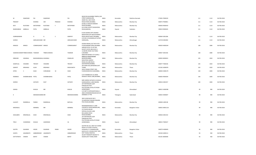|                    |                                   |                       |                 |              |                | NEAR SRI KALIKAMBA TEMPLE, CAR                                                                                   |              |             |                  |                |     |      |             |
|--------------------|-----------------------------------|-----------------------|-----------------|--------------|----------------|------------------------------------------------------------------------------------------------------------------|--------------|-------------|------------------|----------------|-----|------|-------------|
| M                  | DAMODAR                           | PAI                   | DAMODAR         |              | PAI            | STREET, MANGALORE,                                                                                               | <b>INDIA</b> | Karnataka   | Dakshina Kannada | 575001 P000220 | 111 | 1110 | 06-FEB-2018 |
| PRADEEP            |                                   | <b>KHANNA</b>         | OM              | PRAKASH      | KHANNA         | AMAR HILL SAKI VIHAR<br>ROAD, POWAI, MUMBAI,<br>64 BELLE VIEW,85 WARDEN                                          | <b>INDIA</b> | Maharashtra | Mumbai City      | 400072 P000851 | 111 | 1110 | 06-FEB-2018 |
| RATI               | <b>RUSTOMJI</b>                   | <b>MOTAFRAM</b>       | <b>RUSTOMJI</b> | F.           | MOTAFRAM       | ROAD, MUMBAI,<br>62-B UMA SOCIETY, WAGHODIA                                                                      | <b>INDIA</b> | Maharashtra | Mumbai City      | 400036 R000419 | 111 | 1110 | 06-FEB-2018 |
| RAMDASBHAI AMBALAL |                                   | PATEL                 | AMBALAL         |              | PATEL          | ROAD, BARODA,                                                                                                    | <b>INDIA</b> | Gujarat     | Vadodara         | 390019 R000425 | 111 | 1110 | 06-FEB-2018 |
|                    |                                   |                       |                 |              |                | B-204 ADARSH APTS ADARSH                                                                                         |              |             |                  |                |     |      |             |
| SUBRAMANIAN        |                                   | G                     | G               | <sub>S</sub> | GANPATI        | MAIN ROAD, OFF MALAD MARVE<br>ROAD MALAD WEST, MUMBAI,                                                           | <b>INDIA</b> | Maharashtra | Mumbai City      | 400064 S001286 | 111 | 1110 | 06-FEB-2018 |
|                    |                                   |                       |                 |              |                | C/O DR S A DUDHEDIA, AT & POST                                                                                   |              |             |                  |                |     |      |             |
| <b>SURESH</b>      |                                   | AMOLAKCHAND MR        |                 |              | AMOLAKCHAND    | HARIGAON,,                                                                                                       | <b>INDIA</b> | Maharashtra | Ahmednagar       | 413718 S001850 | 111 | 1110 | 06-FEB-2018 |
| <b>NANJOO</b>      | <b>MINOO</b>                      | COMMISSARIAT MINOO    |                 |              | COMMISSARIAT   | SOONA MAHAL, FLAT NO 9 4TH<br>FLOOR, MARINE DRIVE, MUMBAI<br>SARDAR PATEL CO OP HSG<br>SOCIETY, PATEL BAUG BK 11 | <b>INDIA</b> | Maharashtra | Mumbai City      | 400020 N000244 | 108 | 1080 | 06-FEB-2018 |
|                    | SUBHODCHANDR TRIBHUVANDAS THAKKAR |                       | TRIBHUVANDAS    |              | THAKKAR        | 12, NEHRU ROAD VILE PARLE<br>E, MUMBAI                                                                           | <b>INDIA</b> | Maharashtra |                  | 400057 S001436 | 108 | 1080 | 06-FEB-2018 |
|                    |                                   |                       |                 |              |                | EBRAHIM MANZIL IST FLOOR,5<br>NEBIULLA ROAD BHENDI                                                               |              |             | Mumbai City      |                |     |      |             |
| EBRAHIM            | HASANALI                          | BAGSHARAWALA HASANALI |                 |              | ESMAILJEE      | BAZAR, MUMBAI,                                                                                                   | <b>INDIA</b> | Maharashtra | Mumbai City      | 400003 B000022 | 105 | 1050 | 06-FEB-2018 |
|                    |                                   |                       |                 |              |                | MAHATMA GANDHI<br>ROAD, VALLABH BAUG                                                                             |              |             |                  |                |     |      |             |
| SHANTILAL          | <b>VISHARM</b>                    | TRIVEDY               | VISHARM         |              | TRIVEDY        | GHATKOPAR, MUMBAI,                                                                                               | <b>INDIA</b> | Maharashtra | Mumbai City      | 400077 T000236 | 105 | 1050 | 06-FEB-2018 |
| GANPAT             | KRISHNAJI                         | ALSHI                 | KRISHNAJI       |              | RAGHUNATH      | 265 WANI AALI, BHIWANDI, DIST<br>THANE,                                                                          | <b>INDIA</b> | Maharashtra | Thane            | 421302 A000078 | 102 | 1020 | 06-FEB-2018 |
| HITEN              | C                                 | SHAH                  | CHINUBHAE       | M            | SHAH           | 39/41 DHANJI STREET 2ND<br>FLOOR, ROOM NO 20, MUMBAI,                                                            | <b>INDIA</b> | Maharashtra | Mumbai City      | 400003 H000179 | 100 | 1000 | 06-FEB-2018 |
|                    |                                   |                       |                 |              |                |                                                                                                                  |              |             |                  |                |     |      |             |
| RAMBHAI            | SHAMBHUBHAI PATEL                 |                       | SHAMBHUBHAI     |              | PATEL          | C/O P RAMBHAI & CO, 78/82<br>NAGDEVI CROSS LANE, MUMBAI, INDIA                                                   |              | Maharashtra | Mumbai City      | 400003 R000204 | 100 | 1000 | 06-FEB-2018 |
|                    |                                   |                       |                 |              |                |                                                                                                                  |              |             |                  |                |     |      |             |
| <b>SHIRISH</b>     |                                   | SATHAYE               | DILIP           |              | SATHAYE        | MRS SHIRISH SATHAYE, 4 SUSHILA<br>SADAN, MOGUL LANE MAHIM,<br>26 PUNITNAGAR 3, B/H                               | INDIA        | Maharashtra | Mumbai City      | 400016 S002257 | 100 | 1000 | 06-FEB-2018 |
|                    |                                   |                       |                 |              |                | PARASKUNJ POST<br>POLYTECHNIC, SATELLITE ROAD                                                                    |              |             |                  |                |     |      |             |
| GANGA              |                                   | KHALSA                | MR              |              | KHALSA         | AHMEDABAD,<br>C/O SMT R SURYAKANTHAM, 61                                                                         | <b>INDIA</b> | Gujarat     | Ahmedabad        | 380015 G000398 | 99  | 990  | 06-FEB-2018 |
| К                  |                                   | MEENAKSHAMM MR        |                 |              | MEENAKSHAMMA   | 289/2, PADMARAONAGAR, SECUN<br>DERABAD A P PIN                                                                   | <b>INDIA</b> | Telangana   | Hyderabad        | 500025 K000697 | 99  | 990  | 06-FEB-2018 |
|                    |                                   |                       |                 |              |                | 3RD FLOOR BLOCK NO E                                                                                             |              |             |                  |                |     |      |             |
|                    |                                   |                       |                 |              |                | 33, SARVODAY NAGAR, PANJARA                                                                                      |              |             |                  |                |     |      |             |
| LILAVATI           | RAMNIKLAL                         | PARIKH                | RAMNIKLAL       |              | <b>BAPULAL</b> | POLE ROAD, MUMBAI                                                                                                | <b>INDIA</b> | Maharashtra | Mumbai City      | 400004 L000138 | 99  | 990  | 06-FEB-2018 |
| MADANLAL           |                                   | MANMAL                | MR              |              | MANMAL         | MAANMANOHAR, D S LANE<br>CHICKPETH CROSS, BANGALORE,<br>22 PUSHPA MILAN<br>SOPHIA, COLLEGE LANE                  | <b>INDIA</b> | Karnataka   | Bangalore Urban  | 560053 M001118 | 99  | 990  | 06-FEB-2018 |
| SHAILABEN          | KRISHNALAL                        | SHAH                  | KRISHNALAL      |              | SHAH           | <b>BHULABHAI DESAI</b><br>ROAD, MUMBAI,<br>26 PUNITNAGAR 3,B/H<br>PARASKUNJ POST                                 | <b>INDIA</b> | Maharashtra | Mumbai City      | 400026 S001410 | 99  | 990  | 06-FEB-2018 |
| TIRLO              | CHANSINGH                         | KHALSA                | ASARSINGH       |              | SA             | POLYTECHNIC, SATELLITE ROAD<br>AHMEDABAD,                                                                        | <b>INDIA</b> | Gujarat     | Ahmedabad        | 380015 T000327 | 99  | 990  | 06-FEB-2018 |
|                    |                                   |                       |                 |              |                | SAVITRI NO 322, WEST OF CHORD                                                                                    |              |             |                  |                |     |      |             |
| SAVITRI            | GAJANAN                           | HEGDE                 | GAJANAN         | RAMA         | HEGDE          | ROAD E, III STAGE IV BLOCK,<br>HOSAHALLY P O, BANGALORE,                                                         | <b>INDIA</b> | Karnataka   | Bangalore Urban  | 560079 H000045 | 96  | 960  | 06-FEB-2018 |
|                    |                                   |                       |                 |              |                | 64/4 B A R C COLONY, POST TAPS                                                                                   |              |             |                  |                |     |      |             |
| SUNITA             | <b>JAGANNATH</b>                  | AMBARDEKAR JAGANNATH  |                 |              | AMBARDEKAR     | DIST THANA, TARAPUR,<br>A6/187 PARANJPE NAGAR, P O                                                               | <b>INDIA</b> | Maharashtra | Thane            | 401504 A000111 | 93  | 930  | 06-FEB-2018 |
| DATTATRAYA         | VAMAN                             | <b>BAPAT</b>          | VAMAN           |              | <b>BAPAT</b>   | AGASHI, DIST THANE, VIRAR                                                                                        | <b>INDIA</b> | Maharashtra | Thane            | 401301 B000040 | 93  | 930  | 06-FEB-2018 |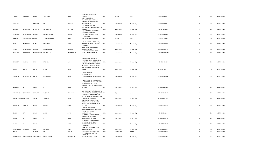|                                |                                 |                       |                |                       | <b>BOYS ORPHANAGE, SHAH</b>                                                                                                            |                       |                            |                        |                                  |          |            |                            |
|--------------------------------|---------------------------------|-----------------------|----------------|-----------------------|----------------------------------------------------------------------------------------------------------------------------------------|-----------------------|----------------------------|------------------------|----------------------------------|----------|------------|----------------------------|
| DADIBA                         | SAPURSHA                        | BAMJI                 | SAPURSHA       | BAMJI                 | PORE, SURAT,<br>C/204 KAUSTUBHA<br>NAGAR, RAMCHANDRA LANE                                                                              | <b>INDIA</b>          | Gujarat                    | Surat                  | 395003 B000083                   | 93       | 930        | 06-FEB-2018                |
| SRINIVASA                      |                                 | <b>BANGERA</b>        | <b>MR</b>      | BANGERA               | EXTN, MID CHOWKY MALAD<br>WEST.MUMBAI<br>E 10 SARASWAT CO OP<br>BLDG,LABURNUM ROAD,GAMDEVI                                             | <b>INDIA</b>          | Maharashtra                | Mumbai City            | 400064 B000084                   | 93       | 930        | 06-FEB-2018                |
| SURESH                         | GANESHRAO                       | <b>BHATKAL</b>        | GANESHRAO      | <b>BHATKAL</b>        | MUMBAI,<br>92/94 ENGINEER HOUSE 2ND<br>FLOOR, ARDESHIR DADI                                                                            | <b>INDIA</b>          | Maharashtra                | Mumbai City            | 400007 B000251                   | 93       | 930        | 06-FEB-2018                |
| FRAMROZE                       | MANCHERSHAH BHADHA              |                       | MANCHERSHAH    | <b>BHADHA</b>         | STREET, KHETWADI MUMBAI,<br>C4 10 JEEVAN                                                                                               | <b>INDIA</b>          | Maharashtra                | Mumbai City            | 400004 B000358                   | 93       | 930        | 06-FEB-2018                |
| ANJANA                         | SUBODHCHANDR DESAI              |                       | SUBODHCHANDRA  | DESAI                 | PARIVAR, TIMALIAWAD, SURAT,                                                                                                            | <b>INDIA</b>          | Gujarat                    | Surat                  | 395001 D000438                   | 93       | 930        | 06-FEB-2018                |
| <b>BANOO</b>                   | MONDEGAR                        | <b>IRANI</b>          | MONDEGAR       | <b>IRANI</b>          | MISHRA BHUGAN, 2ND FLOOR,<br>WADIA STRE, TARDEO, MUMBAI,,<br>8 BARKHAND<br>NIVAS, TAIKALWADI, LJ ROAD                                  | <b>INDIA</b>          | Maharashtra                | Mumbai City            | 400034 1000036                   | 93       | 930        | 06-FEB-2018                |
| REKHA                          | CHANDRAKANT MOKASHI             |                       | CHANDRAKANT    | MOKASHI               | MAHIM, MUMBAI<br>20 DR KASHIBAI NAVRANGE                                                                                               | <b>INDIA</b>          | Maharashtra                | Mumbai City            | 400016 M000707                   | 93       | 930        | 06-FEB-2018                |
| RADHABAI                       | BALKRISHNA                      | MULGAONKAR BALKRISHNA |                | MULGAONKAR            | ROAD, GAMDEVI, MUMBAI,                                                                                                                 | <b>INDIA</b>          | Maharashtra                | Mumbai City            | 400007 M000842                   | 93       | 930        | 06-FEB-2018                |
|                                |                                 |                       |                |                       | RAMJAS CHAWL ROOM NO<br>14, FARID NAGAR, PRATAPNAGAR                                                                                   |                       |                            |                        |                                  |          |            |                            |
| SUNANDA                        | <b>KRISHNA</b>                  | <b>NAIK</b>           | KRISHNA        | <b>NAIK</b>           | ROAD, BHANDUP WEST MUMBAI<br>A-34 VINEETA APARTMENTS, OFF<br>DR CHADAT SINGH COLONY, A G<br>LINK ROAD CHAKALA ANDHERI E                | <b>INDIA</b>          | Maharashtra                | Mumbai City            | 400078 N000162                   | 93       | 930        | 06-FEB-2018                |
| MINAXI                         | ASHOK                           | PATEL                 | <b>ASHOK</b>   | PATEL                 | MUMB,                                                                                                                                  | <b>INDIA</b>          | Maharashtra                | Mumbai City            | 400069 P000223                   | 93       | 930        | 06-FEB-2018                |
| <b>HARIBHAI</b>                | KESHURBHAI                      | PATEL                 | KESHURBHAI     | PATEL                 | <b>MOTIRAM BHATT</b><br>CHAWL, STATION<br>ROAD, GOREGAON WEST, MUMBAI INDIA                                                            |                       | Maharashtra                | Mumbai City            | 400062 P000300                   | 93       | 930        | 06-FEB-2018                |
|                                |                                 |                       |                |                       | 112-A D-WING 1ST FLOOR GIRIRAJ<br>APART, GIRIRAJ MANDIR PREMISES<br>COOP SOCIETY, S V P ROAD<br>MANDPESHWAR RD, BORIVLI WEST           |                       |                            |                        |                                  |          |            |                            |
| RAMANLAL                       | B                               | SHAH                  | B <sub>B</sub> | SHAH                  | MUMBAI                                                                                                                                 | <b>INDIA</b>          | Maharashtra                | Mumbai City            | 400092 R000955                   | 93       | 930        | 06-FEB-2018                |
| NARAINDAS                      | SUGNAMAL                        | SAHAJWANI             | SUGNAMAL       | SAHAJWANI             | A 14 VAIBHAV APARTMENTS, NEAR<br>PRIYA HOTEL, ATHWA LINES, SURAT INDIA<br>5 JYOTI KUNJ APARTMENTS 3RD<br>FLOOR, LIBERTY GARDEN ROAD NO |                       | Gujarat                    | Surat                  | 395001 S000112                   | 93       | 930        | 06-FEB-2018                |
| NAVINCHANDRA SHANALAL          |                                 | SHETH                 | SHANALAL       | SHETH                 | 1, MALAD WEST, MUMBAI<br>B-403 BHIMA COOP HSG SOC<br>LTD, SHANTIVAN COMPLEX NR                                                         | <b>INDIA</b>          | Maharashtra                | Mumbai City            | 400064 S000502                   | 93       | 930        | 06-FEB-2018                |
| KUMARPAL                       | VADILAL                         | SHAH                  | VADILAL        | SHAH                  | NATIONAL PARK, BORIVALI EAST<br>MUMBAI,<br>11/30 RADHA KRISHNA<br>MAHAJANWADI,2ND FLOOR R NO                                           | <b>INDIA</b>          | Maharashtra                | Mumbai City            | 400066 S000612                   | 93       | 930        | 06-FEB-2018                |
| SONAL                          | <b>JATIN</b>                    | SHAH                  | <b>JATIN</b>   | SHAH                  | 30, DUBHASH LANE V P<br>ROAD, MUMBAI<br>49 JAWAHAR NAGAR, 6TH ROAD,                                                                    | <b>INDIA</b>          | Maharashtra                | Mumbai City            | 400004 S001014                   | 93       | 930        | 06-FEB-2018                |
| <b>ILABEN</b>                  | $\mathsf{A}$                    | SHAH                  | $\overline{A}$ | SHAH                  | MADHUKUN, 2ND FLOOR<br>GOREGAON W, MUMBAI,,<br>49 JAWAHAR NAGA, 6TH ROAD                                                               | <b>INDIA</b>          | Maharashtra                | Mumbai City            | 400062 S001195                   | 93       | 930        | 06-FEB-2018                |
| KAVITA                         | $\overline{A}$                  | SHAH                  | $\overline{A}$ | SHAH                  | MADHUKUNJ,2ND FLOOR<br>GOREGAON W, MUMBAI<br>102 B MEENA<br>APARTMENT, KASTURBA ROAD                                                   | <b>INDIA</b>          | Maharashtra                | Mumbai City            | 400067 S001200                   | 93       | 930        | 06-FEB-2018                |
| JAYAPRAKASH NIRANJAN<br>VINITA |                                 | VYAS<br><b>BHATIA</b> | NIRANJAN<br>MR | VYAS<br><b>BHATIA</b> | MALAD, MUMBAI,<br>93/3 PARK STREET, CALCUTTA,,<br>27 GOREGAONKAR S THIRD<br>BLDG,2ND                                                   | <b>INDIA</b><br>INDIA | Maharashtra<br>West Bengal | Mumbai City<br>Kolkata | 400064 V000205<br>700016 B000212 | 93<br>81 | 930<br>810 | 06-FEB-2018<br>06-FEB-2018 |
|                                | MATHURABAI RAMCHANDRA TAMHANKAR |                       | RAMCHANDRA     | TAMHANKAR             | FLOOR, GIRGAON, MUMBAI                                                                                                                 | <b>INDIA</b>          | Maharashtra                | Mumbai City            | 400004 T000033                   | 81       | 810        | 06-FEB-2018                |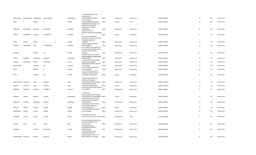|                       |                                 |                 |                   |   |                 | 27 GOREGAONKAR S THIRD                                        |              |             |             |                |    |     |             |
|-----------------------|---------------------------------|-----------------|-------------------|---|-----------------|---------------------------------------------------------------|--------------|-------------|-------------|----------------|----|-----|-------------|
|                       | MATHURABAI RAMCHANDRA TAMHANKAR |                 | RAMCHANDRA        |   | TAMHANKAR       | BUILDING, 2ND<br>FLOOR, GIRGAON, MUMBAI                       | <b>INDIA</b> | Maharashtra | Mumbai City | 400004 T000034 | 81 | 810 | 06-FEB-2018 |
|                       |                                 | SHUKLA          |                   |   |                 | B-1-59, KAILASH<br>NAGAR, SAGRAMPURA, SURAT,                  | <b>INDIA</b> |             |             | 395002 D001312 | 78 | 780 | 06-FEB-2018 |
| <b>DISHA</b>          | $\overline{A}$                  |                 | $\overline{A}$    |   | SHUKLA          | SIVNERI BLDG ROOM NOS 1 & 2,                                  |              | Gujarat     | Surat       |                |    |     |             |
|                       |                                 |                 |                   |   |                 | PARSIVA, NEAR GODFREY<br>TOBACCO CO, ANDHERI                  |              |             |             |                |    |     |             |
| <b>KERBANOO</b>       | KAKHSHROO                       | RANDERIA        | KAKHSHROO         |   | <b>RANDERIA</b> | EAS, MUMBAI,                                                  | <b>INDIA</b> | Maharashtra | Mumbai City | 400093 R000017 | 78 | 780 | 06-FEB-2018 |
|                       |                                 |                 |                   |   |                 | 523/1/1 C D CLOTH                                             |              |             |             |                |    |     |             |
| ARVIND                | KASHMIRILAL                     | PANJABI         | KASHMIRTLAL       |   | SAJJANDA        | MARKET, PANCHKUVA, AHMEDABA<br>D.                             | <b>INDIA</b> | Gujarat     | Ahmedabad   | 380002 A000355 | 75 | 750 | 06-FEB-2018 |
|                       |                                 |                 |                   |   |                 | C/O SANGHI CORPORATE<br>SERVICES LTD, 4TH FLR FOUNTAIN        |              |             |             |                |    |     |             |
|                       |                                 |                 |                   |   |                 | <b>CHAMBERS NANABHAI</b>                                      |              |             |             |                |    |     |             |
| ASHOK                 | <b>KUMAR</b>                    | SANGHI          | B                 | D | SANGHI          | L, MUMBAI,<br>33 BELLE VIEW 85 WARDEN                         | <b>INDIA</b> | Maharashtra | Mumbai City | 400023 A000482 | 75 | 750 | 06-FEB-2018 |
| CHANDRU               | GOBINDRAM                       | HIRA            | GONBINDRAM        |   | PESSUHAL        | ROAD, MUMBAI,,                                                | <b>INDIA</b> | Maharashtra | Mumbai City | 400036 C000314 | 75 | 750 | 06-FEB-2018 |
|                       |                                 |                 |                   |   |                 | D/11 SANKALP, NEW LIBERTY CO<br>OP HSG, LIBERTY GARDEN CROSS  |              |             |             |                |    |     |             |
|                       |                                 |                 |                   |   |                 | ROAD NO 4, MALAD WEST,                                        |              |             |             |                |    |     |             |
| SULABHA               |                                 | DHOND           | <b>MR</b>         |   | DHOND           | MUMBAI.<br>EMPIRE TERRACE A BLOCK 4TH                         | <b>INDIA</b> | Maharashtra | Mumbai City | 400064 D000593 | 75 | 750 | 06-FEB-2018 |
|                       |                                 |                 |                   |   |                 | FLOOR, LAMINGTON ROAD GRANT                                   |              |             |             |                |    |     |             |
| CHERAG                | <b>DINSHAW</b>                  | <b>DOODHMAL</b> | DINSHAW           |   | DOODHMAL        | ROAD, MUMBAI,<br>11 HAVEN, 6TH CHRIST CHURCH                  | <b>INDIA</b> | Maharashtra | Mumbai City | 400007 D000722 | 75 | 750 | 06-FEB-2018 |
| LOURDES               | <b>JOSEPHINED</b>               | SOUZA           | <b>JOSEPHINED</b> |   | SOUZA           | LANE, BYCULLA MUMBAI,                                         | <b>INDIA</b> | Maharashtra | Mumbai City | 400008 D000745 | 75 | 750 | 06-FEB-2018 |
| DHANSUKHLAL           |                                 | <b>JIVANDAS</b> | MR                |   | <b>JIVANDAS</b> | BHULESHWAR MARKET, SHOP NO<br>142, MUMBAI,                    | <b>INDIA</b> | Maharashtra | Mumbai City | 400002 D000806 | 75 | 750 | 06-FEB-2018 |
|                       | D                               |                 |                   |   |                 | 601 D ANAND NAGAR, FORJETT                                    |              |             |             |                |    |     |             |
| <b>DIXITA</b>         |                                 | <b>BROKER</b>   | D                 |   | <b>BROKER</b>   | STREET, MUMBAI,<br>A-51, STADIUM VILLA CO-OP                  | <b>INDIA</b> | Maharashtra | Mumbai City | 400036 D000917 | 75 | 750 | 06-FEB-2018 |
| <b>GEETA</b>          |                                 | CHNDRA          | MR                |   | CHNDRA          | HOUSING SO, MOTERA ROAD,<br>SABARMATI, AHMEDABAD,             | <b>INDIA</b> |             | Ahmedabad   | 380005 G000660 | 75 | 750 | 06-FEB-2018 |
|                       |                                 |                 |                   |   |                 |                                                               |              | Gujarat     |             |                |    |     |             |
|                       |                                 |                 |                   |   |                 | YESVANT NAGAR BLOCK NO<br>4,SWAMI VIVEKANAND                  |              |             |             |                |    |     |             |
| MAHASUKHRAY SHANTILAL |                                 | <b>HATHI</b>    | SHANTILAL         |   | HATHI           | ROAD, ANDHERI WEST MUMBAI,                                    | <b>INDIA</b> | Maharashtra | Mumbai City | 400058 H000003 | 75 | 750 | 06-FEB-2018 |
| HARSHAD               | CHUNILAL                        | SHAH            | CHUNILAL          |   | SHAH            | 67 RANNA PARK SOCIETY<br>II, GHATLODIA AHMEDABAD,,            | <b>INDIA</b> | Gujarat     | Ahmedabad   | 380061 H000220 | 75 | 750 | 06-FEB-2018 |
|                       |                                 |                 |                   |   |                 | 103 WALKESHWAR ROAD, MALBAR                                   |              |             |             |                |    |     |             |
| SHIRINBAI             | DADABHAI                        | ICEWALLA        | <b>DADABHAI</b>   |   | <b>ICEWALLA</b> | HILL, MUMBAI,                                                 | <b>INDIA</b> | Maharashtra | Mumbai City | 400006 1000005 | 75 | 750 | 06-FEB-2018 |
|                       |                                 |                 |                   |   |                 | 10 SHREEKUNJ                                                  |              |             |             |                |    |     |             |
| <b>JITENDRA</b>       | LALBHAI                         | NAGORI          | LALBHAI           |   | GIRADHARLAL     | SOCIETY, NAGARSHETH'S VANDA<br>GHEEKANTA ROAD, AHMEDABAD,     | <b>INDIA</b> | Gujarat     | Ahmedabad   | 380001 J000436 | 75 | 750 | 06-FEB-2018 |
|                       |                                 |                 |                   |   |                 | YUSUF MANSION B BLOCK, 4TH                                    |              |             |             |                |    |     |             |
| JAMSETJEE             | <b>BURJORJI</b>                 | DARUWALA        | <b>BURJORJI</b>   |   | DARUWALA        | FLOOR 204 KHETWADI BACK<br>ROAD, MUMBAI,                      | <b>INDIA</b> | Maharashtra | Mumbai City | 400004 J000580 | 75 | 750 | 06-FEB-2018 |
|                       |                                 |                 |                   |   |                 | 10 SHREEKUNJ SOCEITY NAGA<br>SHETH, VARDA GHEEKATH            |              |             |             |                |    |     |             |
| <b>JITENDRA</b>       | LALBHAI                         | <b>NAGORI</b>   | LALBHAI           |   | NAGORI          | RAOD, AHMEDABAD-1,                                            | <b>INDIA</b> | Gujarat     | Ahmedabad   | 380001 J000748 | 75 | 750 | 06-FEB-2018 |
| MEMUNABAI             | ALIBHAI                         | KURWA           | ALIBHAI           |   | <b>KURWA</b>    | 179 A A R STREET, 2ND FLOOR R<br>NO 25, MUMBAI,               | <b>INDIA</b> | Maharashtra | Mumbai City | 400003 K000652 | 75 | 750 | 06-FEB-2018 |
|                       |                                 |                 |                   |   |                 |                                                               |              |             |             |                |    |     |             |
| <b>SHAHRUKH</b>       | <b>GUSTAD</b>                   | MEHTA           | GUSTAD            |   | MEHTA           | A 2/11 CENTURY RAYON<br>COLONY, P O SHAHAD, DIST THANE, INDIA |              | Maharashtra | Thane       | 421103 M000367 | 75 | 750 | 06-FEB-2018 |
|                       |                                 |                 |                   |   |                 |                                                               |              |             |             |                |    |     |             |
|                       |                                 |                 |                   |   |                 | POST & TELEGRAPH QUARTERS, A<br>1/15 2ND FLOOR, MULUND        |              |             |             |                |    |     |             |
| DEVIDAS               | VITHAL                          | <b>NAIK</b>     | VITHAL            |   | <b>NAIK</b>     | WEST, MUMBAI                                                  | <b>INDIA</b> | Maharashtra | Mumbai City | 400080 N000159 | 75 | 750 | 06-FEB-2018 |
|                       |                                 |                 |                   |   |                 | A/26 RESERVE BANK<br>QTS, MARATHA MANDIR                      |              |             |             |                |    |     |             |
| NAGINDAS              |                                 | CHAVDA          | PRAVJIVAN         |   | CHAVDA          | MARG, MUMBAI,                                                 | <b>INDIA</b> | Maharashtra | Mumbai City | 400008 N000299 | 75 | 750 | 06-FEB-2018 |
|                       |                                 |                 |                   |   |                 | E/9-10 GODREJ HILL SIDE<br>QUARTERS, PHIROJSHA                |              |             |             |                |    |     |             |
| NARMADABEN NAGINLAL   |                                 | <b>MISTRY</b>   | NAGINLAL          |   | <b>MISTRY</b>   | NAGAR, GODREJ COLONY L B S<br>MARG, VIKHROLI W MUMBAI         | <b>INDIA</b> |             |             | 400079 N000476 | 75 | 750 | 06-FEB-2018 |
|                       |                                 |                 |                   |   |                 |                                                               |              | Maharashtra | Mumbai City |                |    |     |             |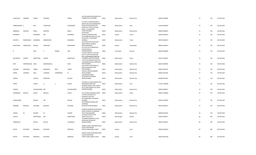|                  |                  |                |                 |                  |                | 302 SHALIMAR APARTMENTS, 571                                   |              |                   |             |                |    |     |             |
|------------------|------------------|----------------|-----------------|------------------|----------------|----------------------------------------------------------------|--------------|-------------------|-------------|----------------|----|-----|-------------|
| CHARULATA        | <b>UPENDRA</b>   | PARIKH         | <b>UPENDRA</b>  |                  | PARIKH         | CUMBALLA HILL, MUMBAI,                                         | <b>INDIA</b> | Maharashtra       | Mumbai City | 400036 P000096 | 75 | 750 | 06-FEB-2018 |
|                  |                  |                |                 |                  |                | C/O DILIP S VAJAPEYAM,802 B                                    |              |                   |             |                |    |     |             |
|                  |                  |                |                 |                  |                | ANKUR HSG SOCY, BHANDARKAR                                     |              |                   |             |                |    |     |             |
| SUBBALAKSHMI S   |                  | RAO            | VAJAPEYAM       |                  | SURYANARAY     | ROAD SHIVAJINAGAR, PUNE<br>ROOM NO 7 2ND FLOOR AGA             | <b>INDIA</b> | Maharashtra       | Pune        | 411004 R000004 | 75 | 750 | 06-FEB-2018 |
|                  |                  |                |                 |                  |                | BLDG,13 DHARAMSEY                                              |              |                   |             |                |    |     |             |
| AKBARALLI        | <b>ESOOFALI</b>  | RAKLA          | <b>ESOOFALI</b> |                  | RAKLA          | STREET, MUMBAI,                                                | <b>INDIA</b> | Maharashtra       | Mumbai City | 400003 R000031 | 75 | 750 | 06-FEB-2018 |
| RAMJIBHAI        |                  | KESURBHAI      | MR              |                  | KESURBHAI      | KOTHIGURA<br>MOHALLA, RANDER, SURAT,                           | <b>INDIA</b> | Gujarat           | Anand       | 395005 R000032 | 75 | 750 | 06-FEB-2018 |
|                  |                  |                |                 |                  |                | 26-B KUBER BUILDING PLOT NO                                    |              |                   |             |                |    |     |             |
| RAYAPPA          | RAMKRISHNA       | SHANBHAG       | RAMKRISHNA      |                  | SHANBHAG       | 43, SECTOR 17 VASHI, NEW<br>MUMBAI,                            | <b>INDIA</b> | Maharashtra       | Thane       | 400703 R000237 | 75 | 750 | 06-FEB-2018 |
|                  |                  |                |                 |                  |                | A/6CLASSICPUR SOCIETY, OPP                                     |              |                   |             |                |    |     |             |
|                  |                  |                |                 |                  |                | IQRA HOSPITAL, SURKHEJ                                         |              |                   |             |                |    |     |             |
| RAZIUNNISA       | FARIDODDIN       | <b>MUNSHI</b>  | FARIDUDIN       |                  | NASIRUDDIN     | ROAD, AHMESUAG<br>A/5 PLOT NO 26 SREENIVASS                    | <b>INDIA</b> | Gujarat           | Ahmedabad   | 380055 R000374 | 75 | 750 | 06-FEB-2018 |
|                  |                  |                |                 |                  |                | AVEUNE ROA, R A                                                |              |                   |             |                |    |     |             |
| $\mathsf{R}$     |                  | RAJU           | D               | PRAMA            | <b>IYER</b>    | PURAM, MADRAS,<br>25 NEW VAISHALI CO OP HSG                    | <b>INDIA</b> | <b>Tamil Nadu</b> | Chennai     | 600028 R000609 | 75 | 750 | 06-FEB-2018 |
|                  |                  |                |                 |                  |                | SOCY LTD, OPP KAILASDHAM                                       |              |                   |             |                |    |     |             |
|                  |                  |                |                 |                  |                | SOCY, GOPALNAGAR MARG NO                                       |              |                   |             |                |    |     |             |
| ARUNDHATI        | VASANT           | SARPOTDAR      | VASANT          |                  | SARPOTDAR      | 1, DOMBIVLI EAST DIST DHANE<br>11/170 SAI DARSHAN, ROAD NO     | <b>INDIA</b> | Maharashtra       | Thane       | 421201 S000091 | 75 | 750 | 06-FEB-2018 |
|                  |                  |                |                 |                  |                | 2, JAWAHAR NAGAR, GOREGAON                                     |              |                   |             |                |    |     |             |
| <b>NITA</b>      | HASHMUKHLAL SHAH |                | HASHMUKHLAL     |                  | SHAH           | WEST, MUMBAI,<br>18/3 AVANTI APARTMENTS A                      | <b>INDIA</b> | Maharashtra       | Mumbai City | 400104 S000930 | 75 | 750 | 06-FEB-2018 |
|                  |                  |                |                 |                  |                | WING, FLANK ROAD SION                                          |              |                   |             |                |    |     |             |
| SAURABH          | MOHANLAL         | <b>TANNA</b>   | MOHANLAL        | NEST             | TANNA          | EAST, MUMBAI,                                                  | <b>INDIA</b> | Maharashtra       | Mumbai City | 400022 S001534 | 75 | 750 | 06-FEB-2018 |
| SHIRIN           | CHANDRU          | HIRA           | CHANDRU         | <b>GOBINDRAM</b> | HI             | 33 BELLE VIEW,85 WARDEN<br>ROAD, MUMBAI,                       | <b>INDIA</b> | Maharashtra       | Mumbai City | 400036 S001584 | 75 | 750 | 06-FEB-2018 |
|                  |                  |                |                 |                  |                | A/26 RESERVE BANK                                              |              |                   |             |                |    |     |             |
| SURESH           |                  | CHAVDA         | <b>NAGINDAS</b> |                  | CHAVDA         | QTS, MARATHA MANDIR<br>MARG, MUMBAI,                           | <b>INDIA</b> | Maharashtra       | Mumbai City | 400008 S001655 | 75 | 750 | 06-FEB-2018 |
|                  |                  |                |                 |                  |                |                                                                |              |                   |             |                |    |     |             |
|                  |                  |                |                 |                  |                | C/O GENL A S VAIDYA, AROHI, 47/3<br><b>KOREGAON PARK, PUNE</b> |              |                   |             |                |    | 750 |             |
| TARINI           |                  | VAIDYA         | $\mathsf{A}$    | -S               | VAIDYA         | NOORANI MANZIL 2ND FLOOR R                                     | <b>INDIA</b> | Maharashtra       | Pune        | 411001 V000088 | 75 |     | 06-FEB-2018 |
|                  |                  |                |                 |                  |                | NO 35,2ND NAOROJI HILL ROAD                                    |              |                   |             |                |    |     |             |
| SHARIFA          |                  | VALIMAHOMED MR |                 |                  | VALIMAHOMED    | DONGRI, MUMBAI,                                                | <b>INDIA</b> | Maharashtra       | Mumbai City | 400009 S000567 | 74 | 740 | 06-FEB-2018 |
| <b>DWARKABAI</b> | MOTILAL          | LAHOTI         | MOTILAL         |                  | LAHOTI         | 54 R S ROAD, CHENDANI, THANE, INDIA                            |              | Maharashtra       | Thane       | 400601 D000964 | 72 | 720 | 06-FEB-2018 |
|                  |                  |                |                 |                  |                | C/O DR A N MUDUR, 1/4                                          |              |                   |             |                |    |     |             |
|                  |                  |                |                 |                  |                | <b>GURUDEO COOP HSG</b><br>SOC, PRABHADEVI SEA BEACH           |              |                   |             |                |    |     |             |
| KUMUDINIBAI      |                  | <b>MUDUR</b>   | MR              |                  | <b>MUDUR</b>   | MUMBAI,                                                        | <b>INDIA</b> | Maharashtra       | Mumbai City | 400025 K000693 | 72 | 720 | 06-FEB-2018 |
|                  |                  |                |                 |                  |                | 94 LOKMANYA NAGAR, LADY<br>HARDINGE                            |              |                   |             |                |    |     |             |
| RAMABAI          | <b>BHASKAR</b>   | KULKARNI       | <b>BHASKAR</b>  |                  | KULKARNI       | ROAD, MATUNGA, MUMBAI                                          | <b>INDIA</b> | Maharashtra       | Mumbai City | 400016 R000211 | 72 | 720 | 06-FEB-2018 |
|                  |                  |                |                 |                  |                | SHANKAR MANSION DR BHAJEKAR                                    |              |                   |             |                |    |     |             |
|                  |                  |                |                 |                  |                | STREET, SARDAR VALLABHBHAI                                     |              |                   |             |                |    |     |             |
| SURESH           | M                | <b>JHAVERI</b> | M               |                  | <b>JHAVERI</b> | PATEL ROAD, MUMBAI,                                            | <b>INDIA</b> | Maharashtra       | Mumbai City | 400004 S001493 | 72 | 720 | 06-FEB-2018 |
| KARTHY           |                  | NARAYANAN      | MR              |                  | NARAYANAN      | 18 PALACE COURT, 1 KYD<br>STREET, CALCUTTA,                    | <b>INDIA</b> | West Bengal       | Kolkata     | 700016 K000371 | 69 | 690 | 06-FEB-2018 |
|                  |                  |                |                 |                  |                | 10 ANAND DARSHAN A,13 DR                                       |              |                   |             |                |    |     |             |
| PRABHAVATI       |                  | RATILAL        | RATILAL         |                  | LUKHMIDAS      | GOPALRAO DESHMUKH<br>MARG, MUMBAI,                             | <b>INDIA</b> |                   |             | 400026 P000672 | 69 | 690 | 06-FEB-2018 |
|                  |                  |                |                 |                  |                |                                                                |              | Maharashtra       | Mumbai City |                |    |     |             |
|                  |                  |                |                 |                  |                | SAROSH YAZAD APARTMENTS, 8TH                                   |              |                   |             |                |    |     |             |
| RATAN            | RUSTOMJI         | MARSHALL       | RUSTOMJI        |                  | MARSHALL       | FLOOR, BHAVNAGAR<br>STREET, VANKI BORDI, SURAT,                | <b>INDIA</b> | Gujarat           | Surat       | 395003 R001026 | 69 | 690 | 06-FEB-2018 |
|                  |                  |                |                 |                  |                |                                                                |              |                   |             |                |    |     |             |
|                  |                  |                |                 |                  |                | SAROSH YAZAD APARTMENTS, 8TH<br>FLOOR, BHAVNAGRI               |              |                   |             |                |    |     |             |
| RATAN            | RUSTOMJI         | MARSHALL       | <b>RUSTOMJI</b> |                  | MARSHALL       | STREET, VANKI, BORDI, SURAT,                                   | <b>INDIA</b> | Gujarat           | Surat       | 395003 R001038 | 69 | 690 | 06-FEB-2018 |
|                  |                  |                |                 |                  |                |                                                                |              |                   |             |                |    |     |             |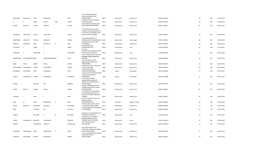|    |                 |                    |                  |                   |             |               | 52 53A PAREKHWADI 2ND                                          |              |             |                        |                |    |     |             |
|----|-----------------|--------------------|------------------|-------------------|-------------|---------------|----------------------------------------------------------------|--------------|-------------|------------------------|----------------|----|-----|-------------|
|    | <b>BALCHAND</b> | MANGALIEE          | SHAH             | MANGALIEE         |             | SHAH          | FLOOR, VITHALBHAI PATEL<br>ROAD, MUMBAI,                       | <b>INDIA</b> | Maharashtra | Mumbai City            | 400004 S000260 | 69 | 690 | 06-FEB-2018 |
|    |                 |                    |                  |                   |             |               | SHANKAR SETT HOUSE, NANAS                                      |              |             |                        |                |    |     |             |
| -R |                 | к                  | SONAR            | KESHAV            | HARI        | SONAR         | CHOWK MUMBAI,,<br>5TH FLOOR PALLONJI HOUSE, 35                 | <b>INDIA</b> | Maharashtra | Mumbai City            | 400007 S001260 | 69 | 690 | 06-FEB-2018 |
|    | <b>NARGIS</b>   | JAMSHED            | VATCHA           | JAMSHED           |             | VATCHA        | NEW CHARNI ROAD, MUMBAI,                                       | <b>INDIA</b> | Maharashtra | Mumbai City            | 400004 V000007 | 69 | 690 | 06-FEB-2018 |
|    |                 |                    |                  |                   |             |               | C/O PUSHPASEN VAJECHAND                                        |              |             |                        |                |    |     |             |
|    |                 |                    |                  |                   |             |               | JHAVERI,C 13 NEW KANDIVALI CO                                  |              |             |                        |                |    |     |             |
|    |                 |                    |                  |                   |             |               | OP HSG SOCY, 61 SHANKAR LANE,                                  |              |             |                        |                |    |     |             |
|    | NAYANBALA       | VAJECHAND          | ZAVERI           | VAJECHAND         |             | ZAVERI        | KANDIVALI WEST, MUMBAI                                         | <b>INDIA</b> | Maharashtra | Mumbai City            | 400067 Z000012 | 69 | 690 | 06-FEB-2018 |
|    |                 |                    |                  |                   |             |               | VILLAGE RANJANKHOL,P O                                         |              |             |                        |                |    |     |             |
|    | BABOOKHAN       | <b>IJJATKHAN</b>   | PATHAN           | <b>IJJATKHAN</b>  |             | PATHAN        | TILAKNAGAR, DIST AHMEDNAGAR, INDIA<br>98 VADALA BLOCK NO 9 2ND |              | Maharashtra | Ahmednagar             | 413720 B000569 | 66 | 660 | 06-FEB-2018 |
|    | KANTILAL        | CHHOTALAL          | DANI             | CHHOTALAL         | H           | DANI          | FLR, MUMBAI,<br>SWABHIMAN, 64/18                               | <b>INDIA</b> | Maharashtra | Mumbai City            | 400031 D000007 | 66 | 660 | 06-FEB-2018 |
|    | DATTATRAY       | $\perp$            | YANDE            | $\perp$           |             | YANDE         | ERANDWANE, PUNE,                                               | <b>INDIA</b> | Maharashtra | Pune                   | 411004 Y000001 | 66 | 660 | 06-FEB-2018 |
|    |                 |                    |                  |                   |             |               | $C/O$ R M                                                      |              |             |                        |                |    |     |             |
|    | ANURADHA        | $\overline{A}$     | DESHPANDE        | $\overline{A}$    |             | DESHPANDE     | KAVATHEKAR, CHIMANBAUG, 1566<br>SADASHIV PETH PUNE CITY,       | <b>INDIA</b> | Maharashtra | Pune                   | 411030 A000402 | 63 | 630 | 06-FEB-2018 |
|    |                 |                    |                  |                   |             |               | 1/2 & 3 ROXANA 2ND FLOOR, 109                                  |              |             |                        |                |    |     |             |
|    | BAMANSHAW       | RUSTAMBAMANS VAKIL |                  | RUSTAMBAMANSHAW   |             | VAKIL         | MAHARSHI KARVE ROAD, FORT<br>MUMBAI,                           | <b>INDIA</b> | Maharashtra | Mumbai City            | 400020 B000549 | 63 | 630 | 06-FEB-2018 |
|    |                 |                    |                  |                   |             |               | C/O D N DEBOO, SETHNA                                          |              |             |                        |                |    |     |             |
|    |                 |                    |                  |                   |             |               | MANSION, KHETWADI 10TH                                         |              |             |                        |                |    |     |             |
|    | BANA            | ERACH              | <b>MISTRY</b>    | ERACH             |             | <b>MISTRY</b> | LANE, MUMBAI<br>ISHWAR NIWAS SICCA NAGAR, A6                   | <b>INDIA</b> | Maharashtra | Mumbai City            | 400004 B000555 | 63 | 630 | 06-FEB-2018 |
|    | KRISHNAKANT     | VARJIVANDAS        | SHROFF           | VARJIVANDAS       |             | SHROFF        | V P ROAD, MUMBAI,<br>PATEL BLOCKS NEAR                         | <b>INDIA</b> | Maharashtra | Mumbai City            | 400004 K000694 | 63 | 630 | 06-FEB-2018 |
|    | NATWERLAL       | JHAVERBHAI         | PATEL            | <b>JHAVERBHAI</b> |             | PATEL         | STADIUM, AHMEDABAD,,                                           | <b>INDIA</b> | Gujarat     | Ahmedabad              | 380014 N000281 | 63 | 630 | 06-FEB-2018 |
|    |                 |                    |                  |                   |             |               | 1391 SALVI-NO-KHANCHO, DHANA<br>SUTAR'S POLE, KALUPUR          |              |             |                        |                |    |     |             |
|    | SUMATI          | CHAMPAKLAL         | <b>BHAGAT</b>    | CHAMPAKLAL        |             | ISHWARLAL     | AHMEDABAD,                                                     | <b>INDIA</b> | Gujarat     | Ahmedabad              | 380001 H000488 | 62 | 620 | 06-FEB-2018 |
|    |                 |                    |                  |                   |             |               | C/O HASANALI ISMAIL                                            |              |             |                        |                |    |     |             |
|    |                 |                    |                  |                   |             |               | BAGASRAWALLA, EBRAHIM<br>MANZIL 1ST FLOOR, NADRULLY            |              |             |                        |                |    |     |             |
|    | ANWAR           |                    | EBRAHIM          | MR                |             | EBRAHIM       | ROAD, MUMBAI                                                   | <b>INDIA</b> | Maharashtra | Mumbai City            | 400003 A000140 | 60 | 600 | 06-FEB-2018 |
|    |                 |                    |                  |                   |             |               | AVANBAI MANSION, 788 JAME                                      |              |             |                        |                |    |     |             |
|    | PERVIZ          | NEVILLE            | GANDHI           | NEVILLE           |             | GANDHI        | JAMSHED ROAD, PARSI COLONY<br>DADAR, MUMBAI                    | <b>INDIA</b> | Maharashtra | Mumbai City            | 400014 G000053 | 60 | 600 | 06-FEB-2018 |
|    |                 |                    |                  |                   |             |               | C/O SUBHASH V SHAH, SHARE &                                    |              |             |                        |                |    |     |             |
|    |                 |                    |                  |                   |             |               | STOCK BORKER 32/B KHATAU                                       |              |             |                        |                |    |     |             |
|    | <b>JITENDRA</b> | J                  | SHAH             | J.                |             | SHAH          | BLD,8/10 A D MODY MARG FORT<br>MUMBAI,                         | <b>INDIA</b> | Maharashtra | Mumbai City            | 400023 J000797 | 60 | 600 | 06-FEB-2018 |
|    |                 |                    |                  |                   |             |               | NO 85 II FLOOR 7TH CROSS 1ST                                   |              |             |                        |                |    |     |             |
|    |                 |                    |                  |                   |             |               | MAIN, SUDHAMA                                                  |              |             |                        |                |    |     |             |
|    | REVA            | M                  | SHAH             | MANGALDAS         | $\mathsf D$ | SHAH          | NAGAR, BANGALORE,<br>GIRI KUNJ GRD FLOOR FLAT NO               | <b>INDIA</b> | Karnataka   | <b>Bangalore Urban</b> | 560027 R000881 | 60 | 600 | 06-FEB-2018 |
|    | <b>KOKILA</b>   | <b>BATUKRAI</b>    | NATHWANI         | BATUKRAI          |             | NATHWANI      | 2,71 MARINE DRIVE, MUMBAI,<br>4 PICKET ROAD 3RD FLOOR, ROOM    | <b>INDIA</b> | Maharashtra | Mumbai City            | 400020 K000699 | 57 | 570 | 06-FEB-2018 |
|    | <b>BENA</b>     |                    | DILIPSINH        | MR                |             | DILIPSINH     | NO 83, MUMBAI,                                                 | <b>INDIA</b> | Maharashtra | Mumbai City            | 400002 B000148 | 54 | 540 | 06-FEB-2018 |
|    |                 |                    |                  |                   |             |               |                                                                |              |             |                        |                |    |     |             |
|    | PARIJAT         |                    | <b>BELLIAPPA</b> | D                 | M           | BELLIAPPA     | C/O GENL A S VAIDYA, AROHI, 47/3<br>KOREGAON PARK, PUNE        | <b>INDIA</b> | Maharashtra | Pune                   | 411001 B000154 | 54 | 540 | 06-FEB-2018 |
|    |                 |                    |                  |                   |             |               | GULABI NIVAS, OPP BANK OF                                      |              |             |                        |                |    |     |             |
|    |                 |                    |                  |                   |             |               | BARODA, MANPADA ROAD,                                          |              |             |                        |                |    |     |             |
|    | SARALA          | VISHWANATH         | MARATHE          | VISHWANATH        |             | MARATHE       | DOMBIVLI EAST, DIST THANE,<br>163/1 OM-NIVAS, SION             | <b>INDIA</b> | Maharashtra | Thane                  | 421201 M000137 | 54 | 540 | 06-FEB-2018 |
|    | <b>MOHAN</b>    |                    | CHANCHLANI       | SHANDAS           |             | CHANCHLANI    | EAST, MUMBAI,                                                  | <b>INDIA</b> | Maharashtra | Mumbai City            | 400022 M001026 | 54 | 540 | 06-FEB-2018 |
|    |                 |                    |                  |                   |             |               | 403, SHREE BHUVAN, 4TH                                         |              |             |                        |                |    |     |             |
|    |                 |                    |                  |                   |             |               | FLOOR, 289, SARDAR VALLABBHAI                                  |              |             |                        |                |    |     |             |
|    | NATVARLAL       | SAKERCHAND         | <b>DESAI</b>     | SAKERCHAND        | G           | DESAI         | PATEL ROAD, MUMBAI,                                            | <b>INDIA</b> | Maharashtra | Mumbai City            | 400004 N000720 | 54 | 540 | 06-FEB-2018 |
|    |                 |                    |                  |                   |             |               | C/O 11/13 MANGALA BHUVAN, DR<br>DESHMUKH LANE V P              |              |             |                        |                |    |     |             |
|    | SHRIDHAR        | BALKRISHNA         | PRABHU           | BALKRISHNA        |             | PRABHU        | ROAD, MUMBAI,                                                  | <b>INDIA</b> | Maharashtra | Mumbai City            | 400004 P000691 | 54 | 540 | 06-FEB-2018 |
|    |                 |                    |                  |                   |             |               |                                                                |              |             |                        |                |    |     |             |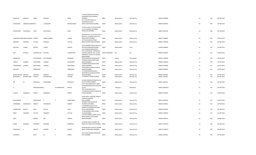|                     |                                  |                 |                |              |                  | 2 LAXMI NARAYAN BAUG, BAL<br>GOVINDDAS ROAD, MAHIM                        |                |             |             |                |    |     |             |
|---------------------|----------------------------------|-----------------|----------------|--------------|------------------|---------------------------------------------------------------------------|----------------|-------------|-------------|----------------|----|-----|-------------|
| MANGALA             | MADHAV                           | PRANI           | MADHAV         |              | PRANI            | MUMBAI,                                                                   | <b>INDIA</b>   | Maharashtra | Mumbai City | 400016 P000699 | 54 | 540 | 06-FEB-2018 |
|                     |                                  |                 |                |              |                  | B 2/7 JEEVAN SHANTI, LIC<br>QUARTERS, OPP BUS                             |                |             |             |                |    |     |             |
| CUDDALORE           | SAMARAOLAXMARAO                  |                 | CUDDALORE      |              | RAMACHANDR       | DEPOT, SANTACRUZ MUMBAI                                                   | <b>INDIA</b>   | Maharashtra | Mumbai City | 400054 R000034 | 54 | 540 | 06-FEB-2018 |
|                     |                                  |                 |                |              |                  | 7/4 SHIV HIND CO OP HOUS SOCY<br>LTD,23 DUNCAN CAUSEWAY                   |                |             |             |                |    |     |             |
| ILESHKUMAR          | NAUTAMLAL                        | SHAH            | NAUTAMLAL      |              | SHAH             | ROAD, SION MUMBAI,                                                        | <b>INDIA</b>   | Maharashtra | Mumbai City | 400022 S000704 | 54 | 540 | 06-FEB-2018 |
|                     |                                  |                 |                |              |                  | SARDAR PATEL CO OP HSG SOCY B<br>BLOCK, 11 12 NEHRU ROAD VILE             |                |             |             |                |    |     |             |
|                     | SUBHODHCHAND TRIBHUVANDAS THAKER |                 | TRIBHUVANDAS   |              | THAKER           | PARLE WEST, MUMBAI,<br>TAFTI BLDG, BELOW FRERE                            | <b>INDIA</b>   | Maharashtra | Mumbai City | 400057 T000095 | 54 | 540 | 06-FEB-2018 |
| NARIMAN             | BOMANJI                          | VATCHA          | <b>BOMANJI</b> |              | VATCHA           | BRIDGE, GRANT ROAD MUMBAI,                                                | <b>INDIA</b>   | Maharashtra | Mumbai City | 400007 V000019 | 52 | 520 | 06-FEB-2018 |
|                     |                                  |                 |                |              |                  | 33/19 PRABHAT ROAD, LANE NO 4                                             |                |             |             |                |    |     |             |
| VASUDEO             | VISHNU                           | AKHAVE          | VISHNU         |              | AKHAVE           | DECCAN GYMKHANA, POONA,<br>C/O CHENSON MERCANTILE                         | <b>INDIA</b>   | Maharashtra | Pune        | 411004 A000067 | 51 | 510 | 06-FEB-2018 |
| ASPI                | <b>RUSTOM</b>                    | CONTRACTOR      | <b>RUSTOM</b>  |              | CONTRACTOR       | LTD,15 WHITEHALL TRAFALGAR<br>SQUARE, LONDON SW 1A 2DD,                   | UNITED KINGDOM | <b>NA</b>   | <b>NA</b>   | 999999 A000951 | 51 | 510 | 06-FEB-2018 |
|                     |                                  |                 |                |              |                  | SUBANDHU SOCIETY, ST XAVIERS<br>HIGH SCHOOL                               |                |             |             |                |    |     |             |
| CHANDULAL           |                                  | DALSUKHBHAI     | DALSUKHBHAI    |              | NAGINDAS         | ROAD, NAVJIVAN, AHMEDABAD<br>39 AMAR NIWAS, PRARTHANA                     | <b>INDIA</b>   | Gujarat     | Ahmedabad   | 380014 C000026 | 51 | 510 | 06-FEB-2018 |
| URMILA              | LAXMAN                           | DESHPANDE       | LAXMAN         |              | DESHPANDE        | SAMAJ, MUMBAI,<br>39 AMAR NIWAS, PRARTHANA                                | <b>INDIA</b>   | Maharashtra | Mumbai City | 400004 D000479 | 51 | 510 | 06-FEB-2018 |
| CHANDRAHAS          | LAXMAN                           | DESHPANDE       | LAXMAN         |              | DESHPANDE        | SAMAJ, MUMBAI,<br>CASA MARIA, GOKHALE ROAD, N                             | <b>INDIA</b>   | Maharashtra | Mumbai City | 400004 D000481 | 51 | 510 | 06-FEB-2018 |
| ADELAIDE            |                                  | FERNANDES       | - J            |              | <b>FERNANDES</b> | DADAR MUMBAI,                                                             | <b>INDIA</b>   | Maharashtra | Mumbai City | 400028 F000020 | 51 | 510 | 06-FEB-2018 |
|                     |                                  |                 |                |              |                  | C/O NADHURAM BALABUX<br>MAWAWALA,44 BHULESHWAR                            |                |             |             |                |    |     |             |
| RADHEYSHYAM NANDLAL |                                  | <b>JAKHOTIA</b> | NANDLAL        |              | <b>JAKHOTIA</b>  | ROAD, MUMBAI,                                                             | <b>INDIA</b>   | Maharashtra | Mumbai City | 400002 J000009 | 51 | 510 | 06-FEB-2018 |
| BHANUMATI           | KESHRICHAND                      | <b>JHAVERI</b>  | KESHRICHAND    |              | <b>JHAVERI</b>   | 5 CHOWPATY ROAD, MUMBAI,,                                                 | <b>INDIA</b>   | Maharashtra | Mumbai City | 400007 J000204 | 51 | 510 | 06-FEB-2018 |
|                     |                                  |                 |                |              |                  | 51 NEW CONTRACTOR BLDG, FLAT                                              |                |             |             |                |    |     |             |
| JER                 | M                                | <b>BOYWALLA</b> | MEHERABAD      |              | <b>BOYWALLA</b>  | NO 9, VICTORIA GARDEN,<br>C/O R SURYANIKETAN, 6 1 289/2                   | <b>INDIA</b>   | Maharashtra | Mumbai City | 400027 J000744 | 51 | 510 | 06-FEB-2018 |
|                     |                                  |                 |                |              |                  | PADMARAONAGAR, SECUNDERAB                                                 | <b>INDIA</b>   |             |             |                |    |     | 06-FEB-2018 |
| К                   |                                  | MEENAKSHAMM K   |                | SALYANARAYAN | <b>MURTH</b>     | AD A P,<br>3RD FLOOR BLOCK NO E<br>33, SARVODAYNAGAR, PANJRAPOL           |                | Telangana   | Hyderabad   | 500025 M000322 | 51 | 510 |             |
| LILAVATI            | RAMNIKLAL                        | PARIKH          | RAMNIKLAL      |              | PARIKH           | E ROAD, MUMBAI                                                            | <b>INDIA</b>   | Maharashtra | Mumbai City | 400004 P000309 | 51 | 510 | 06-FEB-2018 |
|                     |                                  |                 |                |              |                  | B-404 GOKUL PARADISE, THAKUR                                              |                |             |             |                |    |     |             |
|                     |                                  |                 |                |              |                  | COMPLEX, KANDIVLI                                                         |                |             |             |                |    |     |             |
| RAJALAKSHMI         |                                  | NARAYANAN       | P              | $\mathsf{S}$ | NARAYANAN        | EAST, MUMBAI<br>KHENDER WADI ROOM NO                                      | <b>INDIA</b>   | Maharashtra | Mumbai City | 400101 R001463 | 51 | 510 | 06-FEB-2018 |
| SHARDABEN           | SHAMALDAS                        | SAMPAT          | SHAMALDAS      |              | SAMPAT           | 37, BORIVLI MUMBAI,<br>C/O MANEKLAL & CO,35 37                            | <b>INDIA</b>   | Maharashtra | Mumbai City | 400066 S000023 | 51 | 510 | 06-FEB-2018 |
| CHAMPAKLAL          | RATILAL                          | SHAH            | RATILAL        |              | SHAH             | DHANJI ST, CHANDRA BHUWAN<br>3RD FLOOR, MUMBAI                            | <b>INDIA</b>   | Maharashtra | Mumbai City | 400003 S000318 | 51 | 510 | 06-FEB-2018 |
|                     |                                  |                 | FRAMROZ        |              |                  | 13 3RD MARINE LINES, DHOBI                                                |                |             |             |                |    |     |             |
| PIROZ               | FRAMROZ                          | VATCHA          |                |              | VATCHA           | TALAO, MUMBAI,<br>C/O DEVI HERBAL CORPN,274/76<br>BHATT BAZAR 2/18 CHEDDA | <b>INDIA</b>   | Maharashtra | Mumbai City | 400002 V000023 | 51 | 510 | 06-FEB-2018 |
| AJEET               |                                  | PAREKH          | MR             |              | PAREKH           | MANSI, MUMBAI,                                                            | <b>INDIA</b>   | Maharashtra | Mumbai City | 400009 A000307 | 50 | 500 | 06-FEB-2018 |
|                     |                                  |                 |                |              |                  | ALANKAR, TEJPAL SCHEME 5TH                                                |                |             |             |                |    |     |             |
| ANANT               | RAJARAM                          | <b>MONDKAR</b>  | RAJARAM        |              | MONDKAR          | ROAD, VILE PARLE EAST MUMBAI, INDIA                                       |                | Maharashtra | Mumbai City | 400057 A000793 | 50 | 500 | 06-FEB-2018 |
|                     |                                  |                 |                |              |                  | MAHAVIR BLDG 314/54,G KADAM                                               |                |             |             |                |    |     |             |
| HANAMANT            | $\mathbf{I}$                     | <b>MOHITE</b>   | LAXMAN         | $\mathsf{K}$ | MOHITE           | ROAD LOWER PAREL, MUMBAI,                                                 | <b>INDIA</b>   | Maharashtra | Mumbai City | 400013 H000259 | 50 | 500 | 06-FEB-2018 |
|                     |                                  |                 |                |              |                  | 75/13 GOKULDHAM, GOREGAON                                                 |                |             |             |                |    |     |             |
| <b>JASVINDER</b>    |                                  | KAUR            | M              | S            | ARORA            | EAST, MUMBAI,                                                             | <b>INDIA</b>   | Maharashtra | Mumbai City | 400063 J000784 | 50 | 500 | 06-FEB-2018 |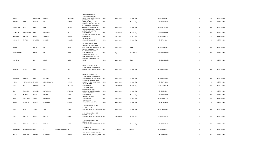|                |                         |               |                        |             | 3 WHITE ROSE 4 PERRY                                                               |              |                   |             |                |    |     |             |
|----------------|-------------------------|---------------|------------------------|-------------|------------------------------------------------------------------------------------|--------------|-------------------|-------------|----------------|----|-----|-------------|
| KAVITA         |                         | GANGWANI      | RAMESH                 | GANGWANI    | ROAD, NEAR HONG KONG<br>BANK, BANDRA WEST MUMBAI,                                  | <b>INDIA</b> | Maharashtra       | Mumbai City | 400050 K001307 | 50 | 500 | 06-FEB-2018 |
|                |                         |               |                        |             | QUEST END, 47 CUFFE                                                                |              |                   |             |                |    |     |             |
| <b>ROSHINI</b> | SOLI                    | SHROFF        | SOLI                   | SHROFF      | PARADE, COLABA, MUMBAI<br>C/O MUFFADDAL A FATEHI,1ST                               | <b>INDIA</b> | Maharashtra       | Mumbai City | 400005 S000987 | 50 | 500 | 06-FEB-2018 |
| ZAIBUNNISA     | AZIZ                    | FATEHI        | AZIZ                   | FATEHI      | FLOOR ROOM NO 28,B WING<br>GLAMOUR COLABA, MUMBAI<br>SHINGNE BUILDING, PAPER MILL  | <b>INDIA</b> | Maharashtra       | Mumbai City | 400005 F000008 | 48 | 480 | 06-FEB-2018 |
| LAXMIBAI       | RAGHUNATH               | KALE          | RAGHUNATH              | KALE        | LANE, VITHALBHAI PATEL<br>ROAD, MUMBAI                                             | INDIA        | Maharashtra       | Mumbai City | 400004 K000089 | 48 | 480 | 06-FEB-2018 |
| RAVINDRA       | SHRIPAD                 | KAMAT         | SHRIPAD                | KAMAT       | 3/68 OLD HANUMAN BLDG, KILN<br>LANE, MUMBAI,                                       | <b>INDIA</b> | Maharashtra       | Mumbai City | 400007 K000163 | 48 | 480 | 06-FEB-2018 |
| KHORSHED       | PHIROZE                 | KALAPESI      | PHIROZE                | KALAPESI    | 17E/46 RUSTOM<br>BAUG, BYCULLA, MUMBAI,                                            | <b>INDIA</b> | Maharashtra       | Mumbai City | 400027 K000294 | 48 | 480 | 06-FEB-2018 |
|                |                         |               |                        |             | 407, BLDG NO.A-1 SHRUTI<br>PARK, DHOKALI NAKA, KAPUR                               |              |                   |             |                |    |     |             |
| KIRAN          |                         | PATEL         | MR                     | PATEL       | BAVDI, KOLSHET ROAD, THANE W, INDIA<br>KAMLESH BHUVAN OPP MOTI                     |              | Maharashtra       | Thane       | 400607 K001395 | 48 | 480 | 06-FEB-2018 |
| MADHUSUDAN     |                         | PATEL         | MR                     | PATEL       | NAGAR, ST XAVIER'S SCHOOL<br>ROAD, AHMEDABAD,                                      | <b>INDIA</b> | Gujarat           | Ahmedabad   | 380009 M000936 | 48 | 480 | 06-FEB-2018 |
|                |                         |               |                        |             | C/O SAROJ S KUNCHH, B-407<br>VENKTESHWAR BLDG STATION<br>ROAD, BHAYANDAR WEST DIST |              |                   |             |                |    |     |             |
| MANOHAR        |                         | LAL           | AMAR                   | NATH        | THANE,                                                                             | <b>INDIA</b> | Maharashtra       | Thane       | 401101 M001200 | 48 | 480 | 06-FEB-2018 |
|                |                         |               |                        |             | RAMJAS CHAWL ROOM NO                                                               |              |                   |             |                |    |     |             |
| KRISHNA        | BHIKU                   | <b>NAIK</b>   | <b>BHIKU</b>           | <b>NAIK</b> | 14, FARID NAGAR, PRATAPNAGAR<br>ROAD, BHANDUP WEST MUMBAI INDIA                    |              | Maharashtra       | Mumbai City | 400078 N000163 | 48 | 480 | 06-FEB-2018 |
|                |                         |               |                        |             |                                                                                    |              |                   |             |                |    |     |             |
|                |                         |               |                        |             | RAMJAS CHAWL ROOM NO<br>14, FARID NAGAR, PRATAPNAGAR                               |              |                   |             |                |    |     |             |
| SUNANDA        | KRISHNA                 | NAIK          | KRISHNA                | <b>NAIK</b> | ROAD, BHANDUP WEST MUMBAI INDIA<br>49-51 LOHAR CHAWL, AHMED                        |              | Maharashtra       | Mumbai City | 400078 N000164 | 48 | 480 | 06-FEB-2018 |
| <b>NISHA</b>   | ASHWINKUMAR PARIKH      |               | ASHWINKUMAR            | PARIKH      | BUILDING 4TH FLOOR, MUMBAI,<br>16A ALTAMOUNT                                       | <b>INDIA</b> | Maharashtra       | Mumbai City | 400002 P000420 | 48 | 480 | 06-FEB-2018 |
| PESI           | JAL                     | PADSHAH       | JAL                    | PADSHAH     | ROAD, MUMBAI,,<br>12 TULSI BHAVAN II                                               | <b>INDIA</b> | Maharashtra       | Mumbai City | 400026 P000560 | 48 | 480 | 06-FEB-2018 |
| OM             | PRAKASH                 | SACHDEV       | PURSAMRAM              | SACHDEV     | FLOOR, SAROJINI NAIDU<br>ROAD, MULUND WEST, MUMBAI                                 | <b>INDIA</b> | Maharashtra       | Mumbai City | 400080 S000134 | 48 | 480 | 06-FEB-2018 |
| LINA           | MANISH                  | SHAH          | MANISH                 | SHAH        | 2 WILSON STREET, V P<br>ROAD, MUMBAI,                                              | <b>INDIA</b> | Maharashtra       | Mumbai City | 400004 S000739 | 48 | 480 | 06-FEB-2018 |
| SUNIL          | CHINUBHAI               | SHAH          | CHINUBHAI              | SHAH        | 2 WILSON STREET, V P<br>ROAD, MUMBAI,                                              | <b>INDIA</b> | Maharashtra       | Mumbai City | 400004 S000740 | 48 | 480 | 06-FEB-2018 |
|                |                         |               |                        |             | 17E/46 RUSTOM                                                                      |              |                   |             |                |    |     |             |
| ZARIN          | KHURSHED                | <b>SHROFF</b> | KHURSHED               | SHROFF      | BAUG, BYCULLA, MUMBAI,                                                             | <b>INDIA</b> | Maharashtra       | Mumbai City | 400027 S001009 | 48 | 480 | 06-FEB-2018 |
|                |                         |               |                        |             | 16 RIDDHI SIDDHI BLDG 2ND<br>FLOOR, 22 A TILAK                                     |              |                   |             |                |    |     |             |
| <b>RUPA</b>    | VIJAY                   | SHAH          | VIJAY                  | SHAH        | ROAD, SANTACRUZ WEST, MUMBAI INDIA                                                 |              | Maharashtra       | Mumbai City | 400054 S001097 | 48 | 480 | 06-FEB-2018 |
|                |                         |               |                        |             | 16 RIDDHI SIDDHI BLDG 2ND<br>FLOOR, 22 A TILAK                                     |              |                   |             |                |    |     |             |
| VIJAY          | RATILAL                 | SHAH          | RATILAL                | SHAH        | ROAD, SANTACRUZ WEST, MUMBAI INDIA                                                 |              | Maharashtra       | Mumbai City | 400054 S001100 | 48 | 480 | 06-FEB-2018 |
|                |                         |               |                        |             | 16 RIDDHI SIDDHI BLDG 2ND<br>FLOOR, 22 A TILAK                                     |              |                   |             |                |    |     |             |
| VIJAY          | RATILAL                 | SHAH          | RATILAL                | SHAH        | ROAD, SANTACRUZ WEST, MUMBAI INDIA                                                 |              | Maharashtra       | Mumbai City | 400054 S001101 | 48 | 480 | 06-FEB-2018 |
| RAMAMANI       | <b>VENKATARAMAN RAO</b> |               | V<br>GVENKATARAMANA RA |             | 2 SRIPURAM 1ST<br>STREET, ROYERPETTAH, MADRAS, INDIA                               |              | <b>Tamil Nadu</b> | Chennai     | 600014 R000137 | 47 | 470 | 06-FEB-2018 |
|                |                         |               |                        |             |                                                                                    |              |                   |             |                |    |     |             |
| ANAND          | SHESHGIRI               | KAIKINI       | SHESHGIRI              | KAIKINI     | ROW HOUSE 1 CHINTAMANI,135<br>MAYUR COLONY, KOTHRUD, PUNE INDIA                    |              | Maharashtra       | Pune        | 411038 A001018 | 45 | 450 | 06-FEB-2018 |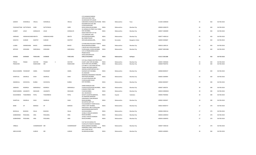|                        |                    |                |                        |               | GOPALDAS, NEW 1658                                      |              |             |                        |                |    |     |             |
|------------------------|--------------------|----------------|------------------------|---------------|---------------------------------------------------------|--------------|-------------|------------------------|----------------|----|-----|-------------|
| GANDHI                 | ISHWARLAL          | VRIJLAL        | ISHWARLAL              | VRIJLAL       | SHUKRAWAR PETH, NEAR<br>SUBHANSHU BUNGALOW, POONA INDIA |              | Maharashtra | Pune                   | 411002 G000020 | 45 | 450 | 06-FEB-2018 |
|                        |                    |                |                        |               | RUKHMINI BHUVAN 3RD                                     |              |             |                        |                |    |     |             |
|                        |                    |                |                        |               | FLOOR, KHADILKAR                                        |              |             |                        |                |    |     |             |
| PURUSHOTTAM DATTATRAYA |                    | GORE           | DATTATRAYA             | GORE          | ROAD, GIRGAUM, MUMBAI                                   | <b>INDIA</b> | Maharashtra | Mumbai City            | 400004 G000270 | 45 | 450 | 06-FEB-2018 |
|                        |                    |                |                        |               | 35 GONSALVIS STREET, VILE PARLE                         |              |             |                        |                |    |     |             |
| <b>HUBERT</b>          | LESLIE             | GONSALVIS      | LESLIE                 | GONSALVIS     | EAST, MUMBAI,                                           | <b>INDIA</b> | Maharashtra | Mumbai City            | 400057 H000099 | 45 | 450 | 06-FEB-2018 |
|                        |                    |                |                        |               | KAKAD NIKETAN FLAT NO<br>C/15, DERASAR LANE             |              |             |                        |                |    |     |             |
| HARSHAD                | HARAKHACHAND MEHTA |                | HARAKHACHAND           | MEHTA         | GHATKOPAR, MUMBAI,                                      | <b>INDIA</b> | Maharashtra | Mumbai City            | 400077 H000110 | 45 | 450 | 06-FEB-2018 |
|                        |                    |                |                        |               | <b>66 LOWER PALACE</b>                                  |              |             |                        |                |    |     |             |
| KODATHI                | SUNDAR             | <b>MURTHY</b>  | SUNDAR                 | <b>MURTHY</b> | ORCHARD, BANGALORE,                                     | <b>INDIA</b> | Karnataka   | <b>Bangalore Urban</b> | 560003 K000687 | 45 | 450 | 06-FEB-2018 |
|                        |                    |                |                        |               |                                                         |              |             |                        |                |    |     |             |
|                        |                    |                |                        |               | C/4 NEELAM, SITALADEVI TEMPLE                           |              |             |                        |                |    |     |             |
| LILABAI                | SHRIKRISHNA        | BHAVE          | SHRIKRISHNA            | BHAVE         | ROAD, MAHIM, MUMBAI<br>C BLOCK NO 6 NESS BAUG, 3RD      | <b>INDIA</b> | Maharashtra | Mumbai City            | 400016 L000110 | 45 | 450 | 06-FEB-2018 |
| <b>MITHOO</b>          | HOSHANG            | DARUWALA       | HOSHANG                | DARUWALA      | FLOOR, NANA CHOWK, MUMBAI                               | <b>INDIA</b> | Maharashtra | Mumbai City            | 400007 M001086 | 45 | 450 | 06-FEB-2018 |
|                        |                    |                |                        |               | C/O S G PRABHUDESAI, 10/12                              |              |             |                        |                |    |     |             |
|                        |                    |                |                        |               | PRABHUDESAI                                             |              |             |                        |                |    |     |             |
|                        |                    |                |                        |               | WADA, NAGARPALIKA                                       |              |             |                        |                |    |     |             |
| SHARAD                 | SHANKAR            | PARCHURE       | SHANKAR                | PARCHURE      | LANE, ICHALKARNJI                                       | <b>INDIA</b> | Maharashtra | Kolhapur               | 416115 S001388 | 45 | 450 | 06-FEB-2018 |
|                        |                    |                |                        |               | C/O HILLA FRAMJI DOCTOR, POLICE                         |              |             |                        |                |    |     |             |
| PIROJA                 | FRAMJI             | <b>DOCTOR</b>  | FRAMJI<br>$\mathsf{C}$ | <b>DOCTOR</b> | COURT LANE FORT, MUMBAI,                                | <b>INDIA</b> | Maharashtra | Mumbai City            | 400001 D000646 | 43 | 430 | 06-FEB-2018 |
| PRANJIVAN              |                    | RAMCHAND       | MR                     | RAMCHAND      | 22/24 SHAK GALI, MUMBAI,,                               | <b>INDIA</b> | Maharashtra | Mumbai City            | 400069 P000703 | 43 | 430 | 06-FEB-2018 |
|                        |                    |                |                        |               | C/O MRS A C KALUSKAR, 303 RAJ                           |              |             |                        |                |    |     |             |
|                        |                    |                |                        |               | TOWER WESTERN EXPRESS                                   |              |             |                        |                |    |     |             |
| BHALCHANDRA YESHWANT   |                    | SAMEL          | YESHWANT               | SAMEL         | HIGHWA, GHARTANPADA NO 2<br>DAHISAR EAST MUMBAI,        | <b>INDIA</b> | Maharashtra | Mumbai City            | 400068 B000537 | 42 | 420 | 06-FEB-2018 |
|                        |                    |                |                        |               | 43 JAWAHAR                                              |              |             |                        |                |    |     |             |
|                        |                    |                |                        |               | MANSION, FANASWADI, THAKURD                             |              |             |                        |                |    |     |             |
| SHANTILAL              | SAKARLAL           | SHAH           | SAKARLAL               | SHAH          | WAR ROAD.MUMBAI                                         | <b>INDIA</b> | Maharashtra | Mumbai City            | 400002 S000904 | 42 | 420 | 06-FEB-2018 |
|                        |                    |                |                        |               | 23 SUJATA BHAVAN 3RD                                    |              |             |                        |                |    |     |             |
| ANANDILAL              | SHIVDAYAL          | <b>BUBNA</b>   | SHIVDAYAL              | <b>BUBNA</b>  | FLOOR, QUARRY ROAD<br>EAST, MUMBAI,                     | <b>INDIA</b> | Maharashtra | Mumbai City            | 400064 B000497 | 39 | 390 | 06-FEB-2018 |
|                        |                    |                |                        |               |                                                         |              |             |                        |                |    |     |             |
|                        |                    |                |                        |               | SHIRIN MANSURI 2ND                                      |              |             |                        |                |    |     |             |
| JAMSHED                | NOWROJI            | MARAWALA       | NOWROJI                | MARAWALA      | FLOOR, SLEATER ROAD, MUMBAI,                            | <b>INDIA</b> | Maharashtra | Mumbai City            | 400007 J000376 | 39 | 390 | 06-FEB-2018 |
| RAMCHANDRA             | JAGANATH           | MAHAJAN        | JAGANATH               |               | 8 WADIA STREET, 2ND<br>FLOOR, MUMBAI,                   | <b>INDIA</b> | Maharashtra |                        | 400034 M000044 | 39 | 390 | 06-FEB-2018 |
|                        |                    |                |                        | MAHAJAN       | 45/1 ARUNODAY                                           |              |             | Mumbai City            |                |    |     |             |
| KAUSHIKBHAI            | THAKORBHAI         | PATEL          | THAKORBHAI             | PATEL         | SOCIETY, ALKAPURI, BARODA,                              | <b>INDIA</b> | Gujarat     | Vadodara               | 390005 P000466 | 39 | 390 | 06-FEB-2018 |
|                        |                    |                |                        |               | 43 JAWAHAR MANSION                                      |              |             |                        |                |    |     |             |
|                        |                    |                |                        |               | FANASWADI, THAKURDWAR                                   |              |             |                        |                |    |     |             |
| SHANTILAL              | SAKARLAL           | SHAH           | SAKARLAL               | SHAH          | ROAD, MUMBAI,<br>SECURITIES DEPT 1ST                    | <b>INDIA</b> | Maharashtra | Mumbai City            | 400002 S000267 | 39 | 390 | 06-FEB-2018 |
|                        |                    |                |                        |               | FLR, JEEJEEBHOY TOWER DALAL                             |              |             |                        |                |    |     |             |
| <b>BANK</b>            | OF                 | <b>BARODA</b>  | OF                     | <b>BARODA</b> | STREET, FORT MUMBAI,                                    | <b>INDIA</b> | Maharashtra | Mumbai City            | 400023 B000737 | 37 | 370 | 06-FEB-2018 |
|                        |                    |                |                        |               | PANCHSHILA 3RD FLOOR, 82/84                             |              |             |                        |                |    |     |             |
|                        |                    |                |                        |               | WALKESHWAR, NEAR WHITE                                  |              |             |                        |                |    |     |             |
| <b>BHOGILAL</b>        | <b>BHAIDAS</b>     | DALAL          | <b>BHAIDAS</b>         | DALAL         | HOUSE, MUMBAI<br>33 BELLE VIEW,85 WARDEN                | <b>INDIA</b> | Maharashtra | Mumbai City            | 400006 D000116 | 37 | 370 | 06-FEB-2018 |
| GOBINDRAM              | PESSUMAL           | <b>HIRA</b>    | PESSUMAL               | HIRA          | ROAD, MUMBAI,                                           | <b>INDIA</b> | Maharashtra | Mumbai City            | 400036 G000454 | 37 | 370 | 06-FEB-2018 |
|                        |                    |                |                        |               | 33 BILLE VIEW,85 WARDEN                                 |              |             |                        |                |    |     |             |
| GOBINDRAM              | PESSUMAL           | <b>HIRA</b>    | PESSUMAL               | <b>HIRA</b>   | ROAD, MUMBAI,                                           | <b>INDIA</b> | Maharashtra | Mumbai City            | 400036 G000455 | 37 | 370 | 06-FEB-2018 |
|                        |                    |                |                        |               |                                                         |              |             |                        |                |    |     |             |
|                        |                    |                |                        |               | FLAT NO 59 B WING 6TH<br>FLOOR, GITA PANDITA RAMABAI    |              |             |                        |                |    |     |             |
| VIRBALA                |                    | CHANDRAKANT MR |                        | CHANDRAKANT   | ROAD, GAMDEVI MUMBAI,                                   | <b>INDIA</b> | Maharashtra | Mumbai City            | 400007 V000150 | 37 | 370 | 06-FEB-2018 |
|                        |                    |                |                        |               | PAKMORIA STREET, CROSS YAKUB                            |              |             |                        |                |    |     |             |
|                        |                    |                |                        |               | GALLI, SHOP NO 40                                       |              |             |                        |                |    |     |             |
| ABDULHUSEN             |                    | ALIBHAI        | <b>MR</b>              | ALIBHAI       | NULBAZAR, MUMBAI                                        | <b>INDIA</b> | Maharashtra | Mumbai City            | 400003 A000001 | 36 | 360 | 06-FEB-2018 |
|                        |                    |                |                        |               |                                                         |              |             |                        |                |    |     |             |

C/O GHANASHYAMDAS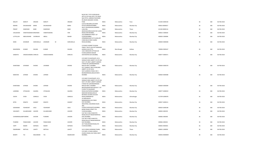|                |                         |                |                 |   |                | APTS CO OP HSG SOCY LTD,336/A<br>NAVI PETH, HARIDAS PAHILWAN<br>RO, NEAR GANJAWE CHOWK,                                      |              |             |             |                |    |     |             |
|----------------|-------------------------|----------------|-----------------|---|----------------|------------------------------------------------------------------------------------------------------------------------------|--------------|-------------|-------------|----------------|----|-----|-------------|
| MALATI         | <b>MARUTI</b>           | ARGADE         | MARUTI          |   | ARGADE         | PUNE                                                                                                                         | <b>INDIA</b> | Maharashtra | Pune        | 411030 A000158 | 36 | 360 | 06-FEB-2018 |
| MEHRA          | DHUNJISHAW              | BARIA          | DHUNJISHAW      |   | BARIA          | C/O R D BALSARA, 5/6 KHAN<br>ESTATE, MAHIM, MUMBAI<br>46/47 ASHOKNAGAR, RAMBAG                                               | <b>INDIA</b> | Maharashtra | Mumbai City | 400016 B000017 | 36 | 360 | 06-FEB-2018 |
| PRADIP         | DAMODAR                 | BANE           | <b>DAMODAR</b>  |   | BANE           | 2, KALYAN,<br>ARUN BUILDING BLOCK NO 3, SION                                                                                 | <b>INDIA</b> | Maharashtra | Thane       | 421304 B000116 | 36 | 360 | 06-FEB-2018 |
| CHELAKODE      | VENKITESWARAI\ KRISHNAN |                | VENKITESWARA    |   | IYER           | ROAD, SION MUMBAI,<br>192 KAMBEKAR STREET 1ST                                                                                | <b>INDIA</b> | Maharashtra | Mumbai City | 400022 C000020 | 36 | 360 | 06-FEB-2018 |
| LUTFULLAH      | ABDULRAHIM CHORGHAY     |                | ABDUL           |   | RAHIM          | FLOOR, MUMBAI,,<br>ATMARAM BLDG 1ST FLOOR, OPP<br>CAMA BAUG NEW CHARNI                                                       | <b>INDIA</b> | Maharashtra | Mumbai City | 400003 C000084 | 36 | 360 | 06-FEB-2018 |
| MANI           | <b>JEHANGIR</b>         | DARUWALLA      | <b>JEHANGIR</b> | M | DARUWALLA      | ROAD, MUMBAI,                                                                                                                | <b>INDIA</b> | Maharashtra | Mumbai City | 400004 D000038 | 36 | 360 | 06-FEB-2018 |
|                |                         |                |                 |   |                | C/O BIJOY KUMAR TULSHAN<br>FAMILY TRUST, 228 CHITTARANJAN                                                                    |              |             |             |                |    |     |             |
| MAHENDRA       | KUMAR                   | DALMIA         | <b>KUMAR</b>    |   | DALMIA         | AVENUE, CALCUTTA,<br>125/1 MAHAVIR COTTAGE GR                                                                                | <b>INDIA</b> | West Bengal | Kolkata     | 700006 D000167 | 36 | 360 | 06-FEB-2018 |
| SANDHYA        | VINODCHANDRA DHRUVA     |                | VINODCHANDRA    |   | DHRUVA         | FLOOR, GARODIA NAGAR<br>GHATKOPAR EAST, MUMBAI,                                                                              | <b>INDIA</b> | Maharashtra | Mumbai City | 400077 D000571 | 36 | 360 | 06-FEB-2018 |
|                |                         |                |                 |   |                | C/O SHRI P R KHATKHATE, D/11<br>SANKALP, NEW LIBERTY CO OP HSG<br>SOCY LTD 2ND F, LIBERTY GARDEN<br>X ROAD NO 4, BHANDARWADA |              |             |             |                |    |     |             |
| SHANTABAI      | <b>JAYARAM</b>          | DHOND          | JAYARAM         |   | DHOND          | MALAD WEST, MUMBAI<br>D/11 SANKALP 2ND FLOOR, NEW<br>LIBERTY CO OP HOUS<br>SOCY, GARDEN X ROAD, NO 4                         | <b>INDIA</b> | Maharashtra | Mumbai City | 400064 D000578 | 36 | 360 | 06-FEB-2018 |
| NARAYAN        | JAYRAM                  | DHOND          | JAYRAM          |   | DHOND          | BHANDARWADA, MALAD WEST,<br>MUMBAI                                                                                           | <b>INDIA</b> | Maharashtra | Mumbai City | 400064 D000588 | 36 | 360 | 06-FEB-2018 |
|                |                         |                |                 |   |                | C/O SHRI P R KHATKHATE, D/11<br>SANKALP, NEW LIBERTY CO OP HSG<br>SOCY LTD 2ND F, LIBERTY GARDEN<br>X ROAD NO 4, BHANDARWADA |              |             |             |                |    |     |             |
| SHANTABAI      | JAYRAM                  | DHOND          | JAYRAM          |   | DHOND          | MALAD WEST, MUMBAI<br>BHAVESHWAR MAYA, BLOCK 7 1ST<br>FLOOR, 7TH RAJAWADI                                                    | <b>INDIA</b> | Maharashtra | Mumbai City | 400064 D000589 | 36 | 360 | 06-FEB-2018 |
| LAXMIBAI       | VITHALDAS               | <b>GAJARIA</b> | VITHALDAS       |   | GAJARIA        | ROAD, GHATKOPAR MUMBAI<br>MADHURI BUNGALOW,20                                                                                | <b>INDIA</b> | Maharashtra | Mumbai City | 400077 G000019 | 36 | 360 | 06-FEB-2018 |
| VIJAYA         | <b>VIVEK</b>            | GANGULI        | <b>VIVEK</b>    |   | GANGULI        | REVENUE COLONY, COLLEGE<br>ROAD, SHRIRAMPUR<br>24 SARVODAYA                                                                  | <b>INDIA</b> | Maharashtra | Ahmednagar  | 413709 G000078 | 36 | 360 | 06-FEB-2018 |
| NITIN          | EKNATH                  | GHARAT         | EKNATH          |   | GHARAT         | BAMANWADA, VILE PARLE<br>EAST, MUMBAI,<br>INDUSTRIAL ASSURANCE BLDG                                                          | <b>INDIA</b> | Maharashtra | Mumbai City | 400057 G000211 | 36 | 360 | 06-FEB-2018 |
| SADANAND       | YESHWANT                | GOLE           | YESHWANT        |   | GOLE           | 3RD<br>FLOOR, CHURCHGATE, MUMBAI,                                                                                            | <b>INDIA</b> | Maharashtra | Mumbai City | 400020 G000248 | 36 | 360 | 06-FEB-2018 |
| VASUMATI       | GULABCHAND              | <b>JHAVERI</b> | GULABCHAND      |   | JHAVERI        | 84/86 DHANJI STREET 5TH<br>FLOOR, MUMBAI,,                                                                                   | <b>INDIA</b> | Maharashtra | Mumbai City | 400003 J000195 | 36 | 360 | 06-FEB-2018 |
|                | CHANDRAKALABI PUNDRIK   | <b>JHAVERI</b> | <b>PUNDRIK</b>  |   | <b>JHAVERI</b> | FLAT NO 4 VRAJ VIHAR 9TH<br>ROAD, DAULAT NAGAR BORIVALI<br>EAST, MUMBAI,<br>FLAT NO 4 VRAJ VIHAR 9TH                         | <b>INDIA</b> | Maharashtra | Mumbai City | 400066 J000200 | 36 | 360 | 06-FEB-2018 |
| <b>PUNDRIK</b> | PANACHAND               | <b>JHAVERI</b> | PANACHAND       |   | JHAVERI        | ROAD, DAULAT NAGAR BORIVALI<br>EAST, MUMBAI,                                                                                 | <b>INDIA</b> | Maharashtra | Mumbai City | 400066 J000201 | 36 | 360 | 06-FEB-2018 |
| <b>VISPY</b>   | NADER                   | <b>KAPADIA</b> | <b>NADER</b>    |   | KAPADIA        | 267 THAKURDWAR ROAD, 5TH<br>FLOOR, MUMBAI,                                                                                   | <b>INDIA</b> | Maharashtra | Mumbai City | 400002 K000301 | 36 | 360 | 06-FEB-2018 |
| DWARKABAI      | MOTILAL                 | LAHOTI         | MOTILAL         |   | LAHOTI         | 54 R S ROAD, CHENDANI, THANE,<br>C/O SHRI L A SHAH, VARSHA                                                                   | <b>INDIA</b> | Maharashtra | Thane       | 400601 L000050 | 36 | 360 | 06-FEB-2018 |
| <b>BHARTI</b>  | TAJ                     | MAJUMDAR       | TAJ             |   | MAJMUDAR       | CHURCH ROAD, VILE PARLE WEST<br>MUMBAI,                                                                                      | <b>INDIA</b> | Maharashtra | Mumbai City | 400056 M000009 | 36 | 360 | 06-FEB-2018 |
|                |                         |                |                 |   |                |                                                                                                                              |              |             |             |                |    |     |             |

BLOCK NO 7 4TH FLOOR,RAJAS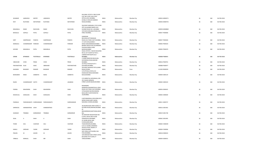|                   |                         |               |                 |                 | FLAT NO 3, OPP JUHU POST                                          |              |             |             |                |    |     |             |
|-------------------|-------------------------|---------------|-----------------|-----------------|-------------------------------------------------------------------|--------------|-------------|-------------|----------------|----|-----|-------------|
| JEHANGIR          | JAMSHEDJI               | <b>MISTRY</b> | JAMSHEDJI       | <b>MISTRY</b>   | OFFICE, JUHU MUMBAI,<br>64 BELLE VIEW,85 WARDEN                   | <b>INDIA</b> | Maharashtra | Mumbai City | 400054 M000571 | 36 | 360 | 06-FEB-2018 |
| RATI              | RUSTOMJI                | MOTAFRAM      | <b>RUSTOMJI</b> | <b>MOTAFRAM</b> | ROAD, MUMBAI,                                                     | <b>INDIA</b> | Maharashtra | Mumbai City | 400036 M000755 | 36 | 360 | 06-FEB-2018 |
|                   |                         |               |                 |                 | 504 ROOP DARSHAN C,5TH FLOOR                                      |              |             |             |                |    |     |             |
| MAGANLAL          | RAMJI                   | RAICHURA      | RAMJI           | RAICHURA        | OPP ALLAHABAD BANK, JUHU<br>SCHEME ROAD NO 1, MUMBAI              | <b>INDIA</b> | Maharashtra | Mumbai City | 400058 M000869 | 36 | 360 | 06-FEB-2018 |
| <b>BHOGILAL</b>   | GOPALII                 | PATEL         | GOPALJI         | PATEL           | VIJYA BHUVAN, BAJAJ ROAD, VILE<br>PARLE MUMBAI,                   | <b>INDIA</b> | Maharashtra | Mumbai City | 400057 P000006 | 36 | 360 | 06-FEB-2018 |
|                   |                         |               |                 |                 | DAMODAR                                                           |              |             |             |                |    |     |             |
| KIRIT             | HARIPRASAD              | PANDYA        | HARIPRASAD      | PANDYA          | BHUVAN, CHITTARANJAN<br>ROAD, VILE PARLE EAST MUMBAI, INDIA       |              | Maharashtra | Mumbai City | 400057 P000304 | 36 | 360 | 06-FEB-2018 |
| MANGALA           | CHANDRAKANT PAREKAR     |               | CHANDRAKANT     | PAREKAR         | 17 LATA KUNJ, ZAOBA S<br>WADI, THAKURDWAR, MUMBAI                 | <b>INDIA</b> | Maharashtra | Mumbai City | 400002 P000324 | 36 | 360 | 06-FEB-2018 |
|                   |                         |               |                 |                 | BHARAT BLDG R NO 24, SHRIKANT<br>PALEKAR MARG, CHIRA              |              |             |             |                |    |     |             |
| GOVIND            | MAGANLAL                | PATEL         | MAGANLAL        | PATEL           | BAZAR, MUMBAI<br>DALAL ESTATE, V BLOCK BUILDING                   | <b>INDIA</b> | Maharashtra | Mumbai City | 400002 P000470 | 36 | 360 | 06-FEB-2018 |
|                   |                         |               |                 |                 | NO 4/,1ST FLOOR FLAT NO 2,<br>LAMINGTON RD, BYCULLA               |              |             |             |                |    |     |             |
| SORAB             | BYRAMJEE                | POSTWALLA     | BYRAMJEE        | POSTWALLA       | MUMBAI,<br>2 LAXMI NARAYAN BAUG, BAL                              | <b>INDIA</b> | Maharashtra | Mumbai City | 400008 P000641 | 36 | 360 | 06-FEB-2018 |
|                   | <b>VIVEK</b>            | PRANI         | <b>VIVEK</b>    |                 | GOVINDDAS ROAD, MAHIM<br>MUMBAI,                                  | <b>INDIA</b> |             |             |                | 36 | 360 | 06-FEB-2018 |
| VIBHAVARI         |                         |               |                 | PRANI           | 10 STELLA HOUSE, PLOT 4                                           |              | Maharashtra | Mumbai City | 400016 P000701 |    |     |             |
| PAKYANATHAN SILAS |                         | <b>ISAAC</b>  | ABRAHAM         | PAKYANATHAN     | GOVANDI, MUMBAI,<br>593 NEW SADASHIV PETH, LAXMI                  | <b>INDIA</b> | Maharashtra | Mumbai City | 400088 P000977 | 36 | 360 | 06-FEB-2018 |
| GAJANAN           | <b>BHASKAR</b>          | RANADE        | <b>BHASKAR</b>  | RANADE          | ROAD, POONA,<br>C/O JETHALAL DEVSI, 214                           | <b>INDIA</b> | Maharashtra | Pune        | 411030 R000039 | 36 | 360 | 06-FEB-2018 |
| BHANUBEN          | NANJI                   | SANBHIYA      | NANJI           | SANBHIYA        | KHADILKAR ROAD, RADHABAI<br>BLDG, MUMBAI                          | <b>INDIA</b> | Maharashtra | Mumbai City | 400004 S000119 | 36 | 360 | 06-FEB-2018 |
|                   |                         |               |                 |                 |                                                                   |              |             |             |                |    |     |             |
|                   |                         |               |                 |                 | C/O AMRATLAL MOHANLAL, 199-<br>201 SHAIKH MEMON                   |              |             |             |                |    |     |             |
| RAJEN             | CHANDRAKANT SHETH       |               | CHANDRAKANT     | <b>JAGABHAI</b> | STREET, ZAVERI BAZAR, MUMBAI                                      | <b>INDIA</b> | Maharashtra | Mumbai City | 400002 S000319 | 36 | 360 | 06-FEB-2018 |
|                   |                         |               |                 |                 | MAHENDRA<br>MANSION, DASHARATHLAL JOSHI                           |              |             |             |                |    |     |             |
| PADMA             | MAHENDRA                | SHAH          | MAHENDRA        | SHAH            | ROAD, VILE PARLE EAST, MUMBAI INDIA<br>VITHALWADI NAVINCHANDRA    |              | Maharashtra | Mumbai City | 400056 S000425 | 36 | 360 | 06-FEB-2018 |
|                   |                         |               |                 |                 | BLDG, 2ND FLOOR ROOM NO                                           |              |             |             |                |    |     |             |
| KESHAVLAL         | GOKALDAS                | SHAH          | GOKALDAS        | SHAH            | 19, MUMBAI,                                                       | <b>INDIA</b> | Maharashtra | Mumbai City | 400002 S000640 | 36 | 360 | 06-FEB-2018 |
|                   |                         |               |                 |                 | A B/9 RANGWALLA BUILDING, DR E<br>MOSES ROAD, SANT GADGE          |              |             |             |                |    |     |             |
| PADMAJA           | PARSHWANATH SHIRDHANKAR |               | PARSHWANATH     | SHIRDHANKAR     | MAHARAJ CHOWK, MUMBAI                                             | <b>INDIA</b> | Maharashtra | Mumbai City | 400011 S000737 | 36 | 360 | 06-FEB-2018 |
| SHRINIVAS         | HANMANTRAO JOSHI        |               | HANMANTRAO      | <b>JOSHI</b>    | 30 DALMIA BLDG 3RD FLOOR,T A<br>KATARIA ROAD, MAHIM, MUMBAI INDIA |              | Maharashtra | Mumbai City | 400016 S001402 | 36 | 360 | 06-FEB-2018 |
|                   |                         |               |                 |                 | 45                                                                |              |             |             |                |    |     |             |
| SHANKAR           | TRIMBAK                 | KARMARKAR     | TRIMBAK         | KARMARKAR       | BRAHMINWADI, MATUNGA, MUM<br>BAI,                                 | <b>INDIA</b> | Maharashtra | Mumbai City | 400019 S001738 | 36 | 360 | 06-FEB-2018 |
|                   |                         |               |                 |                 | 49 JAWAHAR NAGAR ROAD NO<br>6, VIPUL NIVAS 2ND FLOOR              |              |             |             |                |    |     |             |
| SEJAL             | $\overline{A}$          | SHAH          | $\mathsf{A}$    | SHAH            | GORGAON W, MUMBAI,<br>41 SHUBH NIVAS 3RD                          | <b>INDIA</b> | Maharashtra | Mumbai City | 400062 S001995 | 36 | 360 | 06-FEB-2018 |
| TEHMI             | SOLI                    | VAJIFDAR      | SOLI            | VAJIFDAR        | FLOOR, KARELWADI<br>THAKURDWAR, MUMBAI,                           | <b>INDIA</b> | Maharashtra | Mumbai City | 400002 V000039 | 36 | 360 | 06-FEB-2018 |
|                   |                         |               |                 |                 | C/O A G YAJNIK, CONGRESS                                          |              |             |             |                |    |     |             |
| KAMLA             | <b>GIRDHAR</b>          | YAJNIK        | <b>GIRDHAR</b>  | YAJNIK          | HOUSE, VITHAL SADAN V P<br>ROAD, MUMBAI                           | <b>INDIA</b> | Maharashtra | Mumbai City | 400004 Y000006 | 36 | 360 | 06-FEB-2018 |
| PRAVIN            | M                       | ZAVERI        | M               | ZAVERI          | 50/5 VENUS APTS, WORLI SEA<br>FACE, MUMBAI,                       | <b>INDIA</b> | Maharashtra | Mumbai City | 400018 Z000019 | 36 | 360 | 06-FEB-2018 |
|                   |                         |               |                 |                 | 109 ARDESAR DADI STREET, PATEL<br><b>BUILDING 4TH FLOOR,S P</b>   |              |             |             |                |    |     |             |
| VIRBALA           | MANILAL                 | SHAH          | MR              | SHAH            | TANK, MUMBAI                                                      | <b>INDIA</b> | Maharashtra | Mumbai City | 400004 S000915 | 36 | 360 | 06-FEB-2018 |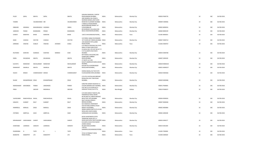|                 |                                |                      |                |               |               | SANJANA MANSION, 1 CARTER                                                                                            |              |             |             |                |    |     |             |
|-----------------|--------------------------------|----------------------|----------------|---------------|---------------|----------------------------------------------------------------------------------------------------------------------|--------------|-------------|-------------|----------------|----|-----|-------------|
| PILOO           | SAPAL                          | MEHTA                | SAPAL          |               | MEHTA         | ROAD, BANDRA MUMBAI,<br>2ND NOWROJI HILL ROAD,5                                                                      | <b>INDIA</b> | Maharashtra | Mumbai City | 400050 P000778 | 34 | 340 | 06-FEB-2018 |
| YASMIN          |                                | VALIMAHOMED MR       |                |               | VALIMAHOMED   | NOORANI MANZIL, 2ND FLOOR<br>ROOM NO 35, DONGRI MUMBAI<br>5 NABIULLA ROAD, BHENDI                                    | <b>INDIA</b> | Maharashtra | Mumbai City | 400009 V000066 | 34 | 340 | 06-FEB-2018 |
| EBRAHIM         | HASANALI                       | BAGASRAWALA HASANALI |                |               | <b>ISMAIL</b> | BAZAR, EBRAHIM MANZIL 1ST<br>FLR, MUMBAI BR<br>89 KHORSHED VILLA, MALCOM                                             | <b>INDIA</b> | Maharashtra | Mumbai City | 400003 B000016 | 33 | 330 | 06-FEB-2018 |
| JAMSHED         | FRAMJI                         | BHAMGARA             | FRAMJI         |               | BHAMGARA      | BAUG JOGESHWARI, MUMBAI,                                                                                             | INDIA        | Maharashtra | Mumbai City | 400060 B000199 | 33 | 330 | 06-FEB-2018 |
| SUMATI          | NARAYAN                        | BHIDE                | NARAYAN        |               | BHIDE         | 1187/2 SHIVAJINAGAR, POONA,,                                                                                         | <b>INDIA</b> | Maharashtra | Pune        | 411005 B000201 | 33 | 330 | 06-FEB-2018 |
|                 |                                |                      |                |               |               | C/O PERIN J NANJI, THE REWARD                                                                                        |              |             |             |                |    |     |             |
| MANI            | CAWASJI                        | <b>DOCTOR</b>        | CAWASJI        |               | <b>DOCTOR</b> | 1ST FLOOR, 220 TARDEO, MUMBAI INDIA<br>106 SADASHIV PETH, LAXMI                                                      |              | Maharashtra | Mumbai City | 400007 D000712 | 33 | 330 | 06-FEB-2018 |
| SHRIRAM         | VINAYAK                        | DUBLAY               | VINAYAK        | <b>DHONDO</b> | DUBLE         | ROAD, POONA,<br>C/O FIROZ B VAZIFDAR, THE STATE<br><b>BANK OF INDIA EMPLOYEES</b><br>CO, HOUS SOC LTD PLOT NO 42 T P | <b>INDIA</b> | Maharashtra | Pune        | 411002 D000767 | 33 | 330 | 06-FEB-2018 |
|                 |                                |                      |                |               |               | S IV FLA, SANTA CRUZ WEST,                                                                                           |              |             |             |                |    |     |             |
| RUSTOMJI        | SHAPURJI                       | <b>DUMASIA</b>       | SHAPURJI       | MANEKJI       | <b>DUM</b>    | <b>MUMBAI</b><br>BOTTAWALLA BUILDING, 2ND<br>FLOOR 239-A TARDEO                                                      | <b>INDIA</b> | Maharashtra | Mumbai City | 400054 D000768 | 33 | 330 | 06-FEB-2018 |
| ERIEN           | DHUNJISHA                      | MEHTA                | DHUNJISHA      |               | MEHTA         | ROAD, MUMBAI,<br>27 WHITE LILY HSG                                                                                   | <b>INDIA</b> | Maharashtra | Mumbai City | 400007 E000109 | 33 | 330 | 06-FEB-2018 |
|                 |                                |                      |                |               |               | SOCIETY, BABREKAR MARG, DADAR                                                                                        |              |             |             |                |    |     |             |
| SUCHETA         | <b>MANOHAR</b>                 | MAVALANKAR           | <b>MANOHAR</b> |               | MAVALANKAR    | MUMBAI,<br>KUSUM VILLA GHODBUNDER                                                                                    | <b>INDIA</b> | Maharashtra | Mumbai City | 400028 M000218 | 33 | 330 | 06-FEB-2018 |
| RAMAKANT        | SAKARLAL                       | MEHTA                | SAKARLAL       |               | MEHTA         | ROAD, KHAR MUMBAI,,                                                                                                  | <b>INDIA</b> | Maharashtra | Mumbai City | 400052 M000227 | 33 | 330 | 06-FEB-2018 |
| NAJOO           | <b>MINOO</b>                   | COMMISSARIAT MINOO   |                |               | COMMISSARIAT  | SOONA MAHAL, FLAT NO 9 4TH<br>FLOOR, MARINE DRIVE, MUMBAI                                                            | <b>INDIA</b> | Maharashtra | Mumbai City | 400020 N000466 | 33 | 330 | 06-FEB-2018 |
|                 |                                |                      |                |               |               | C/O ATUL M SETALVAD, NIRVANT<br>BUNGLOW, JUHU TARA ROAD                                                              |              |             |             |                |    |     |             |
| <b>NILAM</b>    | KISHNAPRASAD DESAI             |                      | KISHNAPRASAD   |               | DESAI         | MUMBAI,                                                                                                              | <b>INDIA</b> | Maharashtra | Mumbai City | 400049 N000486 | 33 | 330 | 06-FEB-2018 |
| MAHESHKANT      | JEKISONDAS                     | PARIKH               | JEKISONDAS     |               | PARIKH        | D/80/785 GANDHI NAGAR, MIG<br>COLONY, BANDRA EAST MUMBAI,                                                            | <b>INDIA</b> | Maharashtra | Mumbai City | 400051 P000005 | 33 | 330 | 06-FEB-2018 |
| PREM            |                                | GROVER               | MADANLAL       |               | GROVER        | FLAT NO 12 III FLOOR, 56/2 A<br>GARIAHAT ROAD, CALCUTTA,                                                             | <b>INDIA</b> | West Bengal | Kolkata     | 700019 P000673 | 33 | 330 | 06-FEB-2018 |
|                 |                                |                      |                |               |               | C/O SHRI HARISH P MEHTA, 198,<br>PANJRAPOLE ROAD, ROOM                                                               |              |             |             |                |    |     |             |
| VIJAYKUMAR      | RANCHHODLAL RAVAL              |                      | RANCHHODLAL    |               | RAVAL         | NO.40,3RD FLR, ABOVE MADHAV<br><b>BAUG POST OFFI, MUMBAI</b>                                                         | <b>INDIA</b> | Maharashtra | Mumbai City | 400004 R000020 | 33 | 330 | 06-FEB-2018 |
| SANJAYA         | SUMANT                         | RAUT                 | SUMANT         |               | RAUT          | RAUT HOUSE, 8 FRENCH<br>BRIDGE, MUMBAI,                                                                              | <b>INDIA</b> | Maharashtra | Mumbai City | 400007 R000048 | 33 | 330 | 06-FEB-2018 |
|                 |                                |                      |                |               |               | B/14 MADHAV APARTMENT<br>KASTUR PARK, SHIMPOLI ROAD                                                                  |              |             |             |                |    |     |             |
| RAMNIKLAL       | MANILAL                        | DESAI                | MANILAL        |               | DESAI         | BORIVLI W, MUMBAI,<br>INDIRA GANDHI INSTITUTE OF DEV<br>RESEA, GEN VAIDYA MARG                                       | <b>INDIA</b> | Maharashtra | Mumbai City | 400092 R000984 | 33 | 330 | 06-FEB-2018 |
| <b>JYOTIBEN</b> | AMRITLAL                       | SHAH                 | AMRITLAL       |               | SHAH          | GOREGAON EAST, MUMBAI,                                                                                               | <b>INDIA</b> | Maharashtra | Mumbai City | 400065 S000248 | 33 | 330 | 06-FEB-2018 |
|                 |                                |                      |                |               |               | <b>BUSSA APARTMENTS, STATE</b><br>TRANSPORT ROAD OFF SV                                                              |              |             |             |                |    |     |             |
|                 | KRISHNAKANT VARJIVANDAS SHROFF |                      | VARJIVANDAS    |               | SHROFF        | ROAD, SANTACRUZ WEST, MUMBAI INDIA<br>B N KAPOL NIVAS R NO 58, RAFI<br>AHMED KIDWAI                                  |              | Maharashtra | Mumbai City | 400056 S000277 | 33 | 330 | 06-FEB-2018 |
| SHANTABAI       | LAXMIDAS                       | SANGHVI              | LAXMIDAS       |               | SANGHVI       | RD, MATUNGA, MUMBAI<br>1187/35                                                                                       | <b>INDIA</b> | Maharashtra | Mumbai City | 400019 S001400 | 33 | 330 | 06-FEB-2018 |
| RUKMINIBAI      | N                              | THITE                | N              | $\mathbf{L}$  | <b>THITE</b>  | SHRIKRIPA, SHIVAJINAGAR, POONA                                                                                       | <b>INDIA</b> | Maharashtra | Pune        | 411005 T000082 | 33 | 330 | 06-FEB-2018 |
|                 |                                |                      |                |               |               | 37/10-15 PRABHAT CROSS                                                                                               |              |             |             |                |    |     |             |
| BHARATEE        | KISMATPVT                      | <b>LTD</b>           | KISMATPVT      |               | <b>LTD</b>    | ROAD, POONA,,                                                                                                        | <b>INDIA</b> | Maharashtra | Pune        | 411004 Z000029 | 33 | 330 | 06-FEB-2018 |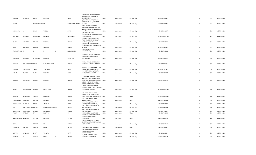|                     |                       |                 |                    |              |                  | PANCHSHILA 3RD FLOOR, 82/84                                      |              |             |             |                |    |     |             |
|---------------------|-----------------------|-----------------|--------------------|--------------|------------------|------------------------------------------------------------------|--------------|-------------|-------------|----------------|----|-----|-------------|
| RAMILA              | <b>BHOGILAL</b>       | DALAL           | <b>BHOGILAL</b>    |              | DALAL            | WALKESHWAR, NEAR WHITE<br>HOUSE, MUMBAI                          | <b>INDIA</b> | Maharashtra | Mumbai City | 400006 D000195 | 31 | 310 | 06-FEB-2018 |
|                     |                       |                 |                    |              |                  | 3/389 KRISHNA KUTI, TELANG                                       |              |             |             |                |    |     |             |
| <b>GEETA</b>        |                       | SHIVASUBRAMAMMR |                    |              | SHIVASUBRAMANIAN | CROSS ROAD NO 3, MATUNGA<br>MUMBAI,                              | <b>INDIA</b> | Maharashtra | Mumbai City | 400019 G000183 | 31 | 310 | 06-FEB-2018 |
|                     |                       |                 |                    |              |                  | B-403, BHIMA CO-OP HSG                                           |              |             |             |                |    |     |             |
|                     |                       |                 |                    |              |                  | SOC.LTD, SHANTIVAN COMPLEX,                                      |              |             |             |                |    |     |             |
| KUMARPAL            | $\mathsf{v}$          | SHAH            | VADILAL            |              | SHAH             | NEAR NATIONAL PAR, BORIVALI E,<br>MUMBAI,                        | <b>INDIA</b> | Maharashtra | Mumbai City | 400066 K001407 | 31 | 310 | 06-FEB-2018 |
|                     |                       |                 |                    |              |                  | 3/73 OLD HANUMAN                                                 |              |             |             |                |    |     |             |
|                     |                       |                 |                    |              |                  | BLDG, CHUNAM LANE LAMINGTON                                      |              |             |             |                |    |     |             |
| MADHURI             | MADHAV                | MANJREKAR       | MADHAV             |              | MANJREKAR        | ROAD, MUMBAI,<br>15/A/244 GREEN ACREES, OPP                      | <b>INDIA</b> | Maharashtra | Mumbai City | 400007 M000126 | 31 | 310 | 06-FEB-2018 |
|                     |                       |                 |                    |              |                  | VIDYA NIDHI HIGH SCHOOL, J V P D                                 |              |             |             |                |    |     |             |
| SACHIN              | VASUDEV               | PRABHU          | VASUDEV            |              | PRABHU           | ROAD NO 5, MUMBAI                                                | <b>INDIA</b> | Maharashtra | Mumbai City | 400049 P000693 | 31 | 310 | 06-FEB-2018 |
|                     |                       |                 |                    |              |                  | B/68/659 M I G COLONY, OPP<br>PATRAKAR NAGAR, BANDRA EAST        |              |             |             |                |    |     |             |
| SUNIL               | VASUDEV               | PRABHU          | VASUDEV            |              | PRABHU           | MUMBAI,                                                          | <b>INDIA</b> | Maharashtra | Mumbai City | 400051 P000695 | 31 | 310 | 06-FEB-2018 |
| RAMANATHAN N        |                       | S               | $\mathsf{N}$       | $\mathsf{R}$ | SUBRAMANIAN      | 5/289 PARADISE HSG<br>SOCY, MUMBAI,,                             | <b>INDIA</b> | Maharashtra | Mumbai City | 400022 R000102 | 31 | 310 | 06-FEB-2018 |
|                     |                       |                 |                    |              |                  |                                                                  |              |             |             |                |    |     |             |
|                     |                       |                 |                    |              |                  | ANAND BHUVAN, DR MANUBHAI                                        |              |             |             |                |    |     |             |
| RADHABAI            | LILADHAR              | СННІСННІА       | LILADHAR           |              | СННІСННІА        | VAIDYA MARG, GHATKOPAR<br>EAST, MUMBAI                           | <b>INDIA</b> | Maharashtra | Mumbai City | 400077 C000175 | 30 | 300 | 06-FEB-2018 |
|                     |                       |                 |                    |              |                  |                                                                  |              |             |             |                |    |     |             |
| KUMUD               | SHARADCHANDR. DESAI   |                 | SHARADCHANDRA      |              | <b>KRISHN</b>    | TEMPLE VIEW,11 OWEN DUNN<br>ROAD, NEW GAMDEVI MUMBAI,            | <b>INDIA</b> | Maharashtra | Mumbai City | 400007 D000346 | 30 | 300 | 06-FEB-2018 |
|                     |                       |                 |                    |              |                  |                                                                  |              |             |             |                |    |     |             |
|                     |                       |                 |                    |              |                  | SEA LORD A, 15TH FLOOR FLAT NO                                   |              |             |             |                |    |     |             |
| PHIROZE             | SHAPOORJI             | SADRI           | SHAPOORJI          |              | SADRI            | 153, CUFFE PARADE, MUMBAI<br>E 14 RUSTOM BAUG, VICTORIA          | <b>INDIA</b> | Maharashtra | Mumbai City | 400005 D001497 | 30 | 300 | 06-FEB-2018 |
| HOMAI               | <b>RUSTOM</b>         | <b>IRANI</b>    | RUSTOM             |              | <b>IRANI</b>     | ROAD, BYCULLA, MUMBAI                                            | <b>INDIA</b> | Maharashtra | Mumbai City | 400008 1000028 | 30 | 300 | 06-FEB-2018 |
|                     |                       |                 |                    |              |                  |                                                                  |              |             |             |                |    |     |             |
|                     |                       |                 |                    |              |                  | C/O MRS R PONNUTHAI CHAWL<br>NO 2 21A R, RAM NIWAS PODAR         |              |             |             |                |    |     |             |
| LAXMAN              | KARUPPAIH             | <b>NADAR</b>    | LAXMAN             |              | NADAR            | WADI VILE PARLE EAST, MUMBAI, INDIA                              |              | Maharashtra | Mumbai City | 400057 L000225 | 30 | 300 | 06-FEB-2018 |
|                     |                       |                 |                    |              |                  | C/O K N P SHARE TRANSFER<br>SERVICE, R P BUSINESS SERVICE        |              |             |             |                |    |     |             |
|                     |                       |                 |                    |              |                  | CENTRE, STATE BANK ANNEXE                                        |              |             |             |                |    |     |             |
|                     |                       |                 |                    |              |                  | BLDG 1ST FLOOR, CABIN 112, BANK                                  |              |             |             |                |    |     |             |
| <b>ROHIT</b>        | MANSUKHLAL MEHTA      |                 | MANSUKHLAL         |              | MEHTA            | STREET FORT MUMBAI                                               | <b>INDIA</b> | Maharashtra | Mumbai City | 400023 M000518 | 30 | 300 | 06-FEB-2018 |
|                     |                       |                 |                    |              |                  | 407, BLDG NO.A-1 SHRUTI                                          |              |             |             |                |    |     |             |
| MAMTA               | HIMANSHU              | <b>TRIVEDI</b>  | HIMANSHU           |              | TRIVEDI          | PARK, DHOKALI NAKA, KAPUR<br>BAVDI, KOLSHET ROAD, THANE W, INDIA |              | Maharashtra | Thane       | 400607 M001615 | 30 | 300 | 06-FEB-2018 |
|                     |                       |                 |                    |              |                  | 310 SOMWAR PETH, LAXMI                                           |              |             |             |                |    |     |             |
| PANDURANG           | NARAYAN               | PATHAK          | NARAYAN            |              | PATHAK           | NIWAS, POONA,                                                    | <b>INDIA</b> | Maharashtra | Pune        | 411002 P000020 | 30 | 300 | 06-FEB-2018 |
| KRISHNAKANT AMBALAL |                       | PATEL           | AMBALAL            |              | PATEL            | LAXMI NIVAS, 194 GUJARAT<br>SOCIETY, SION MUMBAI DD,             | <b>INDIA</b> | Maharashtra | Mumbai City | 400022 P000042 | 30 | 300 | 06-FEB-2018 |
|                     |                       |                 |                    |              |                  | A 8 LA SERENA ORLEM, MALAD                                       |              |             |             |                |    |     |             |
| SMT                 | SHANTABAIKESH/ PASALE |                 | SHANTABAIKESHAVRAO |              | PASALE           | WEST MUMBAI,,                                                    | <b>INDIA</b> | Maharashtra | Mumbai City | 400064 P000306 | 30 | 300 | 06-FEB-2018 |
| SHANTABAI           | KESHAVRAO             | PASALE          | KESHAVRAO          |              | PASALE           | A 8 LA SERENA ORLEM, MALAD<br>WEST MUMBAI,,                      | <b>INDIA</b> | Maharashtra | Mumbai City | 400064 P000307 | 30 | 300 | 06-FEB-2018 |
| ABHAY               | NAGAPPA               | PAI             | NAGAPPA            |              | PAI              | 5 KENI BLDG, CHARAI, THANE,                                      | <b>INDIA</b> | Maharashtra | Thane       | 400601 P000405 | 30 | 300 | 06-FEB-2018 |
|                     |                       |                 |                    |              |                  | C 2 CLOVER GARDEN, 4 NAYLORE<br>ROAD, OFF MANGALDAS              |              |             |             |                |    |     |             |
| BHAGWANDAS KESHAVJI |                       | <b>SUCHDE</b>   | KESHAVJI           |              | SUCHDE           | ROAD, PUNE                                                       | <b>INDIA</b> | Maharashtra | Pune        | 411001 S001294 | 30 | 300 | 06-FEB-2018 |
|                     |                       |                 |                    |              |                  | 3 DEVI KRUPA, NEAR S K PATIL                                     |              |             |             |                |    |     |             |
| SUGNA               |                       | <b>BAPULAL</b>  | MR                 |              | <b>BAPULAL</b>   | HOSPITAL, DAFTARY ROAD MALAD<br>EAST, MUMBAI                     | <b>INDIA</b> | Maharashtra | Mumbai City | 400064 S001331 | 30 | 300 | 06-FEB-2018 |
|                     |                       |                 |                    |              |                  |                                                                  |              |             |             |                |    |     |             |
| VASUDEO             | VISHNU                | AKHAVE          | VISHNU             |              | AKHAVE           | 33/19 PRABHAT ROAD, POONA,,<br>5 JAI MANGAL, RAFI AHMED          | <b>INDIA</b> | Maharashtra | Pune        | 411004 V000244 | 30 | 300 | 06-FEB-2018 |
|                     |                       |                 |                    |              |                  | KIDWAI ROAD, KINGS                                               |              |             |             |                |    |     |             |
| VINAYAK             | VANMALI               | <b>BHATT</b>    | VANMALI            |              | <b>BHATT</b>     | CIRCLE, MUMBAI                                                   | <b>INDIA</b> | Maharashtra | Mumbai City | 400019 V000264 | 30 | 300 | 06-FEB-2018 |
| PAMELA              | $\vee$                | ADVANI          | <b>VISHIN</b>      | D            | ADVANI           | 93, GEETANJALI, B/H RADIO<br>CLUB,, COLABA MUMBAI,               | <b>INDIA</b> | Maharashtra | Mumbai City | 400005 P001519 | 27 | 270 | 06-FEB-2018 |
|                     |                       |                 |                    |              |                  |                                                                  |              |             |             |                |    |     |             |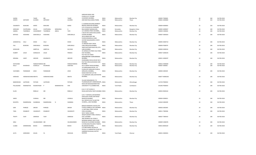|                 |                    |                 |                  |            |                | <b>GIRDHAR NIWAS 2ND</b><br>FLOOR, 15/17 COLABA                                                          |              |             |                        |                |            |     |             |
|-----------------|--------------------|-----------------|------------------|------------|----------------|----------------------------------------------------------------------------------------------------------|--------------|-------------|------------------------|----------------|------------|-----|-------------|
| VAZIRA          |                    | <b>TAHER</b>    | MR               |            | <b>TAHER</b>   | CAUSEWAY, MUMBAI,                                                                                        | <b>INDIA</b> | Maharashtra | Mumbai City            | 400005 T000065 | 26         | 260 | 06-FEB-2018 |
| <b>JOSEPH</b>   | <b>ANTHONY</b>     | <b>ALVARES</b>  | ANTHONY          |            | ALVARES        | ANN NIKETAN, CHARAI, THANE,                                                                              | <b>INDIA</b> | Maharashtra | Thane                  | 400601 A000083 | 25         | 250 | 06-FEB-2018 |
| VAIJANATH       | MUKUND             | KARVE           | <b>MUKUND</b>    |            | KARVE          | C 4 SOMAN BUILDING, KENNEDY<br>BRIDGE, GIRGAUM MUMBAI,<br>C/O C M AHUJA & CO, BEHIND                     | <b>INDIA</b> | Maharashtra | Mumbai City            | 400004 K000003 | 25         | 250 | 06-FEB-2018 |
| <b>GIRDHARI</b> | CHATRUMAL          | AHUJA           | CHATRUMAL        | MENGHRAJ   | $\mathsf{A}$   | RAJA MARKET, BANGALORE,                                                                                  | INDIA        | Karnataka   | <b>Bangalore Urban</b> | 560002 A000047 | 24         | 240 | 06-FEB-2018 |
| SABERA          | TAHERBHAI          | CASSOOBHOY      | <b>TAHERBHAI</b> | ABDUL      | TAYE           | 121 SARANG STREET, MUMBAI,,<br>C BLOCK NO 6, NESS BAUG, NANA                                             | <b>INDIA</b> | Maharashtra | Mumbai City            | 400003 C000002 | 24         | 240 | 06-FEB-2018 |
| <b>MITHOO</b>   | <b>HOSHANG</b>     | DARUWALLA       | <b>HOSHANG</b>   |            | DARUWALLA      | CHOWK, MUMBAI<br>303 B AMAR DEEP 3RD<br>FLOOR, SODAWALLA LANE,<br>GOVIND NAGAR, BORIVLI WEST,            | <b>INDIA</b> | Maharashtra | Mumbai City            | 400007 D000263 | 24         | 240 | 06-FEB-2018 |
| JASWANTLAL      | VALI               | <b>DOSHI</b>    | VALJI            |            | DOSHI          | MUMBAI,<br>15 ARDESIR DADY CROSS                                                                         | <b>INDIA</b> | Maharashtra | Mumbai City            | 400092 D000710 | 24         | 240 | 06-FEB-2018 |
| FALI            | <b>BURJORJI</b>    | DARUWALA        | <b>BURJORJI</b>  |            | DARUWALA       | LANE, GRIGAUM, MUMBAI,<br>189/A KHETWADI BACK RD, 12TH                                                   | <b>INDIA</b> | Maharashtra | Mumbai City            | 400004 F000079 | 24         | 240 | 06-FEB-2018 |
| GODAVARI        |                    | AMRITLAL        | AMRITLAL         |            | KALYANJI       | LANE, MUMBAI,<br>35 GONSALVIS STREET, VILE PARLE                                                         | <b>INDIA</b> | Maharashtra | Mumbai City            | 400004 G000241 | 24         | 240 | 06-FEB-2018 |
| <b>HUBERT</b>   | LESLIE             | GONSALVIS       | LESLIE           |            | <b>FRANCIS</b> | EAST MUMBAI,<br>PLOT NO 255 VINOD<br>KUNJ, GROUND FLOOR, WADALA                                          | <b>INDIA</b> | Maharashtra | Mumbai City            | 400057 G000243 | ${\bf 24}$ | 240 | 06-FEB-2018 |
| KRISHNA         | VANTI              | GROVER          | KIDARNATH        |            | <b>GROVER</b>  | MUMBAI,<br>DHARAMBAI NIVAS, HOUSE NO 8<br>PLOT NO 290/A, KOLWADA SION                                    | <b>INDIA</b> | Maharashtra | Mumbai City            | 400031 G000297 | 24         | 240 | 06-FEB-2018 |
| HOTCHAND        |                    | PARSHOTAMDAS MR |                  |            | PARSHOTAMDAS   | MUMBAI,                                                                                                  | <b>INDIA</b> | Maharashtra | Mumbai City            | 400022 H000069 | 24         | 240 | 06-FEB-2018 |
| KALLY           | KHURSHED           | ICEWALLA        | KHURSHED         |            | SHAPURJI       | 422 A GRANT ROAD, MUMBAI,,                                                                               | <b>INDIA</b> | Maharashtra | Mumbai City            | 400007 1000001 | 24         | 240 | 06-FEB-2018 |
|                 |                    |                 |                  |            |                | 19 GORDHANDAS BLDG, 1ST<br>FLOOR, OPP GIRGAUM CHURCH,                                                    |              |             |                        |                |            |     |             |
| VIJAYABEN       | PADMAKAR           | <b>JOSHI</b>    | PADMAKAR         |            | <b>JOSHI</b>   | GIRGAUM, MUMBAI,,<br>KAKAD NIKETAN FLAT NO<br>C/15, DERASAR LANE, GHATKOPAR                              | <b>INDIA</b> | Maharashtra | Mumbai City            | 400004 J000339 | 24         | 240 | 06-FEB-2018 |
| HARSHAD         | HARAKHACHAND MEHTA |                 | HARAKHACHAND     |            | MEHTA          | MUMBAI,                                                                                                  | <b>INDIA</b> | Maharashtra | Mumbai City            | 400077 M000258 | 24         | 240 | 06-FEB-2018 |
|                 |                    |                 |                  |            |                |                                                                                                          |              |             |                        |                |            |     |             |
|                 |                    |                 |                  |            |                | VILLAGE RANJANKHOL P O                                                                                   |              |             |                        |                |            |     |             |
| BABOOKHAN       | <b>IJJATKHAN</b>   | PATHAN          | <b>IJJATKHAN</b> |            | PATHAN         | TILAKNAGAR, DIST AHMEDNAGAR,, INDIA<br>NAOLVAR NAGAR, BHARATIYAR                                         |              | Maharashtra | Ahmednagar             | 413720 P000032 | 24         | 240 | 06-FEB-2018 |
| PALLASSANA      | RAMANATHA          | RAJARATNAM      | $\mathsf{P}$     | SRAMANATHA | <b>IYER</b>    | UNIVERSITY P O, COIMBATORE,                                                                              | <b>INDIA</b> | Tamil Nadu  | Coimbatore             | 641046 P000043 | 24         | 240 | 06-FEB-2018 |
| ELLEN           |                    | REBELLO         | MR               |            | REBELLO        | B 10 17 1ST FLOOR, SV<br>ROAD, SANTACRUZ WEST, MUMBAI INDIA                                              |              | Maharashtra | Mumbai City            | 400054 R000164 | 24         | 240 | 06-FEB-2018 |
|                 |                    |                 |                  |            |                | C/O C T KAPADIA, 5/38 MORARJI<br>GOKULDAS CHAWL, KHETWADI                                                |              |             |                        |                |            |     |             |
| SAROJ           |                    | JIVANLAL        | MR               |            | JIVANLAL       | MAIN RD MUMBAI,<br>501, TIRYPATI, PLOT 32, SECTOR                                                        | <b>INDIA</b> | Maharashtra | Mumbai City            | 400004 S000021 | 24         | 240 | 06-FEB-2018 |
| RAYAPPA         | RAMKRISHNA         | SHANBHAG        | RAMKRISHNA       | N          | SHANBHA        | 19, NERUL, ,, NAVI MUMBAI                                                                                | <b>INDIA</b> | Maharashtra | Thane                  | 416544 S000299 | 24         | 240 | 06-FEB-2018 |
| SAM             | PHIROZE            | <b>DRIVER</b>   | PHIROZE          |            | <b>DRIVER</b>  | BANOO MANSION A BLOCK, 4TH<br>FLOOR, CUMBALLA HILL, MUMBAI INDIA                                         |              | Maharashtra | Mumbai City            | 400036 S002045 | 24         | 240 | 06-FEB-2018 |
| TARA            | <b>ESSABHOY</b>    | VAHANVATI       | ESSABHOY         |            | VAHANVATI      | 11 MOTLIBAI STREET, JACOB<br>CIRCLE, MUMBAI,<br>505'A' WING COSMIC                                       | <b>INDIA</b> | Maharashtra | Mumbai City            | 400011 T000306 | 24         | 240 | 06-FEB-2018 |
| <b>TRUPTI</b>   | VIJAY              | SARDESAI        | VIJAY            |            | SARDESAI       | HEIGHTS, BHAKTI PARK, WADALA<br>EAST,, MUMBAI                                                            | <b>INDIA</b> | Maharashtra | Mumbai City            | 400037 T000419 | 24         | 240 | 06-FEB-2018 |
|                 |                    |                 |                  |            |                | 2ND NOWROJI HILL ROAD,5<br>NOORANI MANZIL, 2ND FLOOR                                                     |              |             |                        |                |            |     |             |
| SIRAJ           |                    | VALIMAHOMED MR  |                  |            | VALIMAHOMED    | ROOM NO 35, DONGRI MUMBAI<br>C/4 NEELAM, SITALADEVI TEMPLE                                               | INDIA        | Maharashtra | Mumbai City            | 400009 V000078 | 24         | 240 | 06-FEB-2018 |
| LILABAI         | SHRIKRISHNA        | <b>BHAVE</b>    | SHRIKRISHNA      |            | BHAVE          | RD, MAHIM MUMBAI,<br>C/O MRS MARIA HELENA DE<br>SOUZA,C-4 HARRINTON COURT,99<br>HARRINGTON ROAD, CHETPET | <b>INDIA</b> | Maharashtra | Mumbai City            | 400016 B000169 | 23         | 230 | 06-FEB-2018 |
| AUTA            | GERSONDE           | SOUZA           | FA               |            | DESOUZA        | MADRAS                                                                                                   | <b>INDIA</b> | Tamil Nadu  | Chennai                | 600031 D000501 | 23         | 230 | 06-FEB-2018 |
|                 |                    |                 |                  |            |                |                                                                                                          |              |             |                        |                |            |     |             |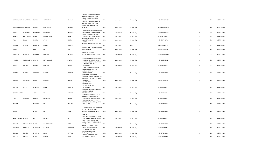|                          |                    |                 |                   |                 | NO 5 2ND FLR, 260 DR ANNIE<br>BESANT ROAD, PRABHADEVI                                       |              |             |             |                |    |     |             |
|--------------------------|--------------------|-----------------|-------------------|-----------------|---------------------------------------------------------------------------------------------|--------------|-------------|-------------|----------------|----|-----|-------------|
| JAYANTKUMAR CHATURBHUJ   |                    | MALKAN          | CHATURBHUJ        | MALKAN          | <b>MUMBAI</b><br>RAMODIA MANSION NO 2, FLAT<br>NO 5 2ND FLR, 260 DR ANNIE                   | <b>INDIA</b> | Maharashtra | Mumbai City | 400025 M000005 | 23 | 230 | 06-FEB-2018 |
|                          |                    |                 |                   |                 | BESANT ROAD, PRABHADEVI                                                                     |              |             |             |                |    |     |             |
| SURESHCHANDR/ CHATURBHUJ |                    | MALKAN          | CHATURBHUJ        | MALKAN          | <b>MUMBAI</b>                                                                               | <b>INDIA</b> | Maharashtra | Mumbai City | 400025 M000006 | 23 | 230 | 06-FEB-2018 |
| <b>MINOO</b>             | <b>BURJORJEE</b>   | MUKADUM         | <b>BURJORJEE</b>  | MUKADUM         | 695 PARSEE COLONY, DR DINSHAW<br>MASTER ROAD, DADAR MUMBAI,                                 | <b>INDIA</b> | Maharashtra | Mumbai City | 400014 M000796 | 23 | 230 | 06-FEB-2018 |
| SUSHILA                  | KASTURCHAND DOSHI  |                 | KASTURCHAND       | DOSHI           | A/4 RIDGE APARTMENT, RIDGE<br>ROAD, MALABAR HILL MUMBAI,                                    | <b>INDIA</b> | Maharashtra | Mumbai City | 400006 D000649 | 22 | 220 | 06-FEB-2018 |
| PILOO                    | SAPAL              | <b>MEHTA</b>    | SAPAL             | MEHTA           | SANJANA MANSION, 1 CARTER<br>RD, BANDRA, MUMBAI                                             | <b>INDIA</b> | Maharashtra | Mumbai City | 400050 P000779 | 22 | 220 | 06-FEB-2018 |
|                          |                    |                 |                   |                 | 124/12 A<br>DHRUVATARA, ERANDAVANA, PUN                                                     |              |             |             |                |    |     |             |
| TARABAI                  | <b>NARHAR</b>      | KANITKAR        | <b>NARHAR</b>     | <b>KANITKAR</b> | Ε,<br>ADERBAD FLAT 122,34 N S PATKAR                                                        | <b>INDIA</b> | Maharashtra | Pune        | 411004 K000123 | 21 | 210 | 06-FEB-2018 |
| COOMI                    |                    | LALA            | MR                | LALA            | MARG, MUMBAI,                                                                               | <b>INDIA</b> | Maharashtra | Mumbai City | 400007 L000027 | 21 | 210 | 06-FEB-2018 |
|                          |                    |                 |                   |                 | SHIRIN MANSURI 2ND                                                                          |              |             |             |                |    |     |             |
| JAMSHED                  | <b>NOWROJI</b>     | MARAWALA        | NOWROJI           | MARAWALA        | FLOOR, SLEATER ROAD, MUMBAI,                                                                | <b>INDIA</b> | Maharashtra | Mumbai City | 400007 M000019 | 21 | 210 | 06-FEB-2018 |
|                          |                    |                 |                   |                 | 203 MATRU ASHISH, 2ND FLOOR C                                                               |              |             |             |                |    |     |             |
| HARESH                   | MATHURADAS SAMPAT  |                 | <b>MATHURADAS</b> | SAMPAT          | S ROAD, DAHISAR EAST, MUMBAI INDIA<br>34 JAYASHREE, 75 ABDUL GAFFAR<br>KHAN ROAD, WORLI SEA |              | Maharashtra | Mumbai City | 400068 S000212 | 21 | 210 | 06-FEB-2018 |
| ZELAM                    | PRABHAT            | VAIDYA          | PRABHAT           | VAIDYA          | FACE, MUMBAI                                                                                | <b>INDIA</b> | Maharashtra | Mumbai City | 400030 V000051 | 21 | 210 | 06-FEB-2018 |
|                          |                    |                 |                   |                 | C/O BERJIS J MAKIDALAL, 23-B,<br>BANDSTAND BLDG., KANE<br>ROAD, BANDSTAND,                  |              |             |             |                |    |     |             |
| SHERAN                   | PHIROZE            | COOPERE         | PHIROZE           | COOPERE         | BANDRA, MUMBAI                                                                              | <b>INDIA</b> | Maharashtra | Mumbai City | 400050 C000202 | 20 | 200 | 06-FEB-2018 |
|                          |                    |                 |                   |                 | C/O MRS RAMCHANDRAN<br>PONNUTHAI, CHAWL NO 2 R NO 21                                        |              |             |             |                |    |     |             |
| LAXMAN                   | KARUPPAIH          | <b>NADAR</b>    | LAXMAN            | NADAR           | A RAM NIWAS PODAR, VILE PARLE<br>E MUMBAI,                                                  | <b>INDIA</b> | Maharashtra | Mumbai City | 400057 L000226 | 20 | 200 | 06-FEB-2018 |
|                          |                    |                 |                   |                 | 99/5 SHRI NATH                                                                              |              |             |             |                |    |     |             |
|                          |                    |                 |                   |                 | SOCIETY, PRABHAT<br>COLONY, SANTACRUZ                                                       |              |             |             |                |    |     |             |
| KAILASH                  | <b>NATH</b>        | ACHARYA         | <b>NATH</b>       | ACHARYA         | EAST, MUMBAI<br>C/O K M NEMAN, SHARE & STOCK                                                | <b>INDIA</b> | Maharashtra | Mumbai City | 400055 A000018 | 18 | 180 | 06-FEB-2018 |
|                          |                    |                 |                   |                 | BROKER, 32 APOLLO                                                                           |              |             |             |                |    |     |             |
| SULOCHANADEVI            |                    | AGRAWAL         | MR                | AGRAWAL         | STREET, MUMBAI<br>3 MANDARPUSHPA CO OP HOU                                                  | <b>INDIA</b> | Maharashtra | Mumbai City | 400023 A000040 | 18 | 180 | 06-FEB-2018 |
|                          |                    |                 |                   |                 | SOCY, SANT DYNANESHWAR                                                                      |              |             |             |                |    |     |             |
| USHA                     | MAHADEO            | APHALE          | MAHADEO           | APHALE          | ROAD, MULUND EAST, MUMBAI<br>13/14 HAKOBA HOUSE, NEAR                                       | <b>INDIA</b> | Maharashtra | Mumbai City | 400081 A000145 | 18 | 180 | 06-FEB-2018 |
|                          |                    | MORARJI         | MR                | MORARJI         | SHRIKRISHNA NAGAR P O, BORIVLI                                                              | <b>INDIA</b> |             |             |                | 18 | 180 | 06-FEB-2018 |
| ASHOKA                   |                    |                 |                   |                 | EAST MUMBAI,                                                                                |              | Maharashtra | Mumbai City | 400066 A000165 |    |     |             |
|                          |                    |                 |                   |                 | 16 SANGAM BLDG, FLAT NO 3 2ND<br>FLOOR, LITTLE GIBBS ROAD,                                  |              |             |             |                |    |     |             |
| JAMNA                    |                    | BAJAJ           | MR                | BAJAJ           | HANGING GARDEN, MUMBAI,                                                                     | <b>INDIA</b> | Maharashtra | Mumbai City | 400006 B000096 | 18 | 180 | 06-FEB-2018 |
|                          |                    |                 |                   |                 | 301 MADHU                                                                                   |              |             |             |                |    |     |             |
| RAMCHANDRA WAMAN         |                    | BAL             | WAMAN             | BAL             | APARTMENTS, PRARTHANA SAMAJ<br>ROAD, VILE PARLE EAST, MUMBAI INDIA                          |              | Maharashtra | Mumbai City | 400057 B000123 | 18 | 180 | 06-FEB-2018 |
|                          |                    |                 |                   |                 | 330 A/B MAHATMA GANDHI                                                                      |              |             |             |                |    |     |             |
| <b>BHARAT</b>            | GAURISHANKER BHATT |                 | GAURISHANKER      | <b>BHATT</b>    | ROAD, SHANTI NIVAS, GHATKOPAR<br>MUMBAI,                                                    | <b>INDIA</b> | Maharashtra | Mumbai City | 400075 B000217 | 18 | 180 | 06-FEB-2018 |
| MARIANA                  | <b>JEHANGIR</b>    | <b>BHARUCHA</b> | JEHANGIR          | BHARUCHA        | NESS BAUG ANNEXE 3 FLAT<br>6, NANA CHOWK, MUMBAI,                                           | <b>INDIA</b> |             |             | 400007 B000243 | 18 | 180 | 06-FEB-2018 |
|                          |                    |                 |                   |                 | E 10 SARASWAT CO OP                                                                         |              | Maharashtra | Mumbai City |                |    |     |             |
| SHAKUL                   | SURESH             | <b>BHATKAL</b>  | SURESH            | <b>BHATKAL</b>  | BLDGS, LABURNM ROAD<br>GAMDEVI, MUMBAI,                                                     | <b>INDIA</b> | Maharashtra | Mumbai City | 400007 B000250 | 18 | 180 | 06-FEB-2018 |
|                          |                    |                 |                   |                 | 6 USHA BUILDING, COLLEGE                                                                    |              |             |             |                |    |     |             |
| MALATI                   | <b>KRISHNA</b>     | BHIDE           | KRISHNA           | <b>BHIDE</b>    | STREET, DADAR MUMBAI,                                                                       | <b>INDIA</b> | Maharashtra | Mumbai City | 400028 B000268 | 18 | 180 | 06-FEB-2018 |

RAMODIA MANSION NO 2,FLAT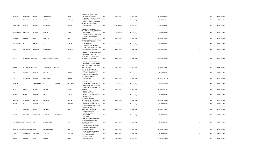|                 |                               |                |                            |            |               | 6 USHA BUILDING, COLLEGE                                    |              |             |             |                |    |     |             |
|-----------------|-------------------------------|----------------|----------------------------|------------|---------------|-------------------------------------------------------------|--------------|-------------|-------------|----------------|----|-----|-------------|
| KRISHNA         | JAGANNATH                     | BHIDE          | JAGANNATH                  |            | BHIDE         | STREET, DADAR MUMBAI,                                       | <b>INDIA</b> | Maharashtra | Mumbai City | 400028 B000269 | 18 | 180 | 06-FEB-2018 |
|                 |                               |                |                            |            |               | C9 INDRADEEP SOCIETY, 171 L B                               |              |             |             |                |    |     |             |
| MALATI          | BABUBHAI                      | BHANSALI       | <b>BABUBHAI</b>            |            | BHANSALI      | SHASTRI MARG, MUMBAI,<br>MERWAN BUILDING, 1ST FLOOR         | <b>INDIA</b> | Maharashtra | Mumbai City | 400086 B000291 | 18 | 180 | 06-FEB-2018 |
|                 |                               |                |                            |            |               | URANWALA STREET, GRANT                                      |              |             |             |                |    |     |             |
| <b>JERBANOO</b> | PESHOTAN                      | BHADHA         | PESHOTAN                   |            | BHADHA        | ROAD, MUMBAI                                                | <b>INDIA</b> | Maharashtra | Mumbai City | 400007 B000422 | 18 | 180 | 06-FEB-2018 |
|                 |                               |                |                            |            |               |                                                             |              |             |             |                |    |     |             |
|                 |                               |                |                            |            |               | M B KURESHI CHAWL, SAINATH<br>NAGAR MAJASWADI, JOGESHWARI   |              |             |             |                |    |     |             |
| RAGHUNATH       | KRISHNAJI                     | CHAVAN         | KRISHNAJI                  |            | CHAVAN        | EAST, MUMBAI                                                | <b>INDIA</b> | Maharashtra | Mumbai City | 400060 C000081 | 18 | 180 | 06-FEB-2018 |
|                 |                               |                |                            |            |               | 2 ANAND BHUVAN,LJ ROAD,OPP                                  |              |             |             |                |    |     |             |
|                 |                               |                |                            |            |               | CITYLIGHT CINEMA, MAHIM                                     |              |             |             |                |    |     |             |
| JAYABEN         | KANTILAL                      | DAVE           | KANTILAL                   |            | DAVE          | <b>MUMBAI</b><br>NAVJIVAN BLDG NO 3,4TH FLOOR               | <b>INDIA</b> | Maharashtra | Mumbai City | 400016 D000257 | 18 | 180 | 06-FEB-2018 |
|                 |                               |                |                            |            |               | ROOM NO 4, LAMINGTON                                        |              |             |             |                |    |     |             |
| MAHENDRA        | $\epsilon$                    | DAMANIA        | $\mathsf{C}$               |            | DAMANIA       | ROAD, MUMBAI                                                | <b>INDIA</b> | Maharashtra | Mumbai City | 400008 D000273 | 18 | 180 | 06-FEB-2018 |
|                 |                               |                |                            |            |               | C/O MOHANLAL U SHAH,20                                      |              |             |             |                |    |     |             |
| KINA            | KIRITKUMAR                    | DAMANIA        | KIRITKUMAR                 |            | DAMANIA       | RASHMI VIHAR 3RD FLOOR, K A S<br>ROA, MATUNGA, MUMBAI,      | <b>INDIA</b> | Maharashtra | Mumbai City | 400019 D000286 | 18 | 180 | 06-FEB-2018 |
|                 |                               |                |                            |            |               |                                                             |              |             |             |                |    |     |             |
|                 |                               |                |                            |            |               | PARADISE APARTMENTS, A WING                                 |              |             |             |                |    |     |             |
|                 |                               |                |                            |            |               | 1ST FLOOR FLAT NO 4, JAI                                    |              |             |             |                |    |     |             |
| <b>JOSEPH</b>   | IGNATIUSJOHNDI SOUZA          |                | <b>IGNATIUSJOHNDEDEUSD</b> |            | SOUZA         | BHAWANI MATA ROAD, AMBOLI<br>ANDHERI WEST, MUMBAI           | <b>INDIA</b> | Maharashtra | Mumbai City | 400058 D000740 | 18 | 180 | 06-FEB-2018 |
|                 |                               |                |                            |            |               |                                                             |              |             |             |                |    |     |             |
|                 |                               |                |                            |            |               | PARADISE APARTMENTS, A WING                                 |              |             |             |                |    |     |             |
|                 |                               |                |                            |            |               | 1ST FLOOR FLAT 4, JAI BHAWANI                               |              |             |             |                |    |     |             |
| MARIA           | SOPHIEROSARICA SOUZA          |                | SOPHIEROSARICAUBALDAD      |            | SOUZA         | MATA ROAD, AMBOLI ANDHERI<br>WEST, MUMBAI                   | <b>INDIA</b> | Maharashtra | Mumbai City | 400058 D000743 | 18 | 180 | 06-FEB-2018 |
|                 |                               |                |                            |            |               | `E' #503, SAI KRUPA CHS                                     |              |             |             |                |    |     |             |
|                 |                               |                |                            |            |               | LTD.,, PLOT NO. 100, SECTOR                                 |              |             |             |                |    |     |             |
| JAL             | KAVASJI                       | <b>DUBASH</b>  | KAVASJI                    |            | <b>DUBASH</b> | 27,, NERUL NAVI MUMBAI,                                     | <b>INDIA</b> | Maharashtra | Thane       | 416544 D000780 | 18 | 180 | 06-FEB-2018 |
|                 |                               |                |                            |            |               | BOTTAWALA BUILDING 2ND<br>FLOOR, 239-A TARDEO               |              |             |             |                |    |     |             |
|                 |                               |                |                            |            |               |                                                             |              |             |             |                |    |     |             |
| ERIEN           | DHUNJISHA                     | MEHTA          | DHUNJISHA                  |            | MEHTA         | ROAD, MUMBAI,                                               | <b>INDIA</b> | Maharashtra | Mumbai City | 400007 E000110 | 18 | 180 | 06-FEB-2018 |
|                 |                               |                |                            |            |               |                                                             |              |             |             |                |    |     |             |
|                 |                               |                |                            |            |               | SAIFI MAHAL PAWAI                                           |              |             |             |                |    |     |             |
| FATEMA          |                               | AAISAHEBAH     | H                          | HSYEDNA    | TAHERSAIF     | ROAD, MALABAR HILL MUMBAI,,                                 | <b>INDIA</b> | Maharashtra | Mumbai City | 400006 F000002 | 18 | 180 | 06-FEB-2018 |
|                 |                               |                |                            |            |               | KARANI NIVAS 3RD FLOOR, 2ND<br>VICTORIA CROSS LANE, BYCULLA |              |             |             |                |    |     |             |
| VEDA            | <b>BRUNO</b>                  | FERNANDES      | <b>BRUNO</b>               |            | COSMES        | MUMBAI,                                                     | <b>INDIA</b> | Maharashtra | Mumbai City | 400027 F000017 | 18 | 180 | 06-FEB-2018 |
|                 |                               |                |                            |            |               | PREMJI M PATEL                                              |              |             |             |                |    |     |             |
|                 |                               |                |                            |            |               | BLDG, RAMCHANDRA                                            |              |             |             |                |    |     |             |
| DHIRAJLAL       | <b>MONJI</b>                  | GADHIA         | MONJI                      |            | GADHIA        | LANE, MALAD WEST MUMBAI,<br>PREMJI M PATEL                  | <b>INDIA</b> | Maharashtra | Mumbai City | 400064 G000164 | 18 | 180 | 06-FEB-2018 |
|                 |                               |                |                            |            |               | BLDG, RAMCHANDRA                                            |              |             |             |                |    |     |             |
| VINODINI        | DHIRAJLAL                     | GADHIA         | DHIRAJLAL                  |            | GADHIA        | LANE, MALAD WEST MUMBAI,                                    | <b>INDIA</b> | Maharashtra | Mumbai City | 400064 G000165 | 18 | 180 | 06-FEB-2018 |
| <b>BEHRAM</b>   | $\mathcal{S}$                 | GHEESTA        | <sub>S</sub>               |            | GHEESTA       | 84/A SLEATER ROAD, NAWAB<br>BLDG, GRANT ROAD, MUMBAI        | <b>INDIA</b> | Maharashtra | Mumbai City | 400007 G000209 | 18 | 180 | 06-FEB-2018 |
|                 |                               |                |                            |            |               | GANGARAM NIVAS, 2ND FLOOR                                   |              |             |             |                |    |     |             |
|                 |                               |                |                            |            |               | ROOM NO 18,N M JOSHI                                        |              |             |             |                |    |     |             |
| GOPAL           | NARAYAN                       | GHADI          | NARAYAN                    |            | GHADI         | MARG, BYCULLA MUMBAI                                        | <b>INDIA</b> | Maharashtra | Mumbai City | 400027 G000215 | 18 | 180 | 06-FEB-2018 |
|                 |                               |                |                            |            |               | 11/188 PARLESHWAR<br>SOCIETY, VILE PARLE                    |              |             |             |                |    |     |             |
| MANGALA         | SHANKAR                       | GHANEKAR       | SHANKAR                    | DATTATRAYA | G             | EAST, MUMBAI,                                               | <b>INDIA</b> | Maharashtra | Mumbai City | 400057 G000217 | 18 | 180 | 06-FEB-2018 |
|                 |                               |                |                            |            |               | C/603 VISHAL                                                |              |             |             |                |    |     |             |
|                 |                               |                |                            |            |               | APARTMENT, PRAKASH STUDIO                                   |              |             |             |                |    |     |             |
|                 | MAHESHCHANDRJAYASHANKER GOR   |                | JAYASHANKER                |            | GOR           | COMPOUND, SIR M V ROAD<br>ANDHERI, MUMBAI                   | <b>INDIA</b> | Maharashtra | Mumbai City | 400069 G000265 | 18 | 180 | 06-FEB-2018 |
|                 |                               |                |                            |            |               | C/603 VISHAL                                                |              |             |             |                |    |     |             |
|                 |                               |                |                            |            |               | APARTMENT, PRAKASH STUDIO                                   |              |             |             |                |    |     |             |
|                 | SULOCHANABEN MAHESHCHANDR GOR |                | MAHESHCHANDRA              |            | GOR           | COMPOUND, SIR M V ROAD<br>ANDHERI, MUMBAI                   | <b>INDIA</b> | Maharashtra | Mumbai City | 400069 G000266 | 18 | 180 | 06-FEB-2018 |
|                 |                               |                |                            |            |               | 73/C JANAK NIKETAN, RANADE                                  |              |             |             |                |    |     |             |
| ANANT           | YASHWANT                      | <b>GOKHALE</b> | YASHWANT                   |            | GOKHALE       | ROAD, DADAR MUMBAI,                                         | <b>INDIA</b> | Maharashtra | Mumbai City | 400028 G000284 | 18 | 180 | 06-FEB-2018 |
|                 |                               |                |                            |            |               | 43/T BLOCK NO K 2, RAILWAY                                  |              |             |             |                |    |     |             |
| NIRMALA         | VAMAN                         | <b>GUPTE</b>   | VAMAN                      |            | <b>GUPTE</b>  | COLONY, MUMBAI<br>CENTRAL, MUMBAI                           | <b>INDIA</b> | Maharashtra | Mumbai City | 400008 G000308 | 18 | 180 | 06-FEB-2018 |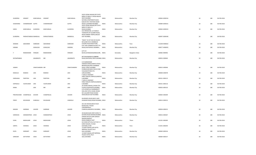|                        |                       |                 |                   |                 | 502/A VEENA NAGAR, OPP STATE                                       |              |             |                        |                |        |     |             |
|------------------------|-----------------------|-----------------|-------------------|-----------------|--------------------------------------------------------------------|--------------|-------------|------------------------|----------------|--------|-----|-------------|
| <b>GUNDERIA</b>        | <b>HEMANT</b>         | KANCHANLAL      | HEMANT            | KANCHANLAL      | BANK OF INDIA,S V ROAD MALAD<br>WEST, MUMBAI                       | <b>INDIA</b> | Maharashtra | Mumbai City            | 400064 G000316 | 18     | 180 | 06-FEB-2018 |
|                        |                       |                 |                   |                 | NATARAJ APARTMENTS BLDG                                            |              |             |                        |                |        |     |             |
|                        |                       |                 |                   | <b>GUPTE</b>    | <b>B,BLOCK NO 7, PESTOM SAGAR</b>                                  |              |             |                        |                |        | 180 |             |
| SHUBHANGI              | CHANDRAKANT GUPTE     |                 | CHANDRAKANT       |                 | ROAD 6, CHEMBUR MUMBAI<br>502/A VEENA NAGAR, OPP STATE             | <b>INDIA</b> | Maharashtra | Mumbai City            | 400089 G000321 | $18\,$ |     | 06-FEB-2018 |
|                        |                       |                 |                   |                 | <b>BANK OF INDIA,SV</b>                                            |              |             |                        |                |        |     |             |
| SAROJ                  | KANCHANLAL GUNDERIA   |                 | KANCHANLAL        | GUNDERIA        | ROAD, MUMBAI<br>410 VRINDAVAN, 1/C RAHEJA                          | <b>INDIA</b> | Maharashtra | Mumbai City            | 400064 G000323 | 18     | 180 | 06-FEB-2018 |
|                        |                       |                 |                   |                 | TOWNSHIP, OFF QUARRY ROAD,                                         |              |             |                        |                |        |     |             |
| <b>GUNDERIA</b>        | PARSHOTAMDAS MANEKLAL |                 | PARSHOTAMDAS      | MANEKLAL        | NEAR SAIBABA TEMPLE, MALAD<br>EAST MUMBAI,                         | <b>INDIA</b> | Maharashtra | Mumbai City            | 400097 G000340 | 18     | 180 | 06-FEB-2018 |
|                        |                       |                 |                   |                 |                                                                    |              |             |                        |                |        |     |             |
|                        |                       |                 |                   |                 | "RAKHI" CO-OP HSG SOC BLOCK<br>NO 8,2ND FLR 31 RAMBAUG             |              |             |                        |                |        |     |             |
| WAMAN                  | SAKHARAM              | <b>HARDIKAR</b> | SAKHARAM          | HARDIKAR        | COLONY, PAUD ROAD PUNE,                                            | <b>INDIA</b> | Maharashtra | Pune                   | 411038 H000022 | 18     | 180 | 06-FEB-2018 |
| HIRABAI                |                       | GOKALDAS        | GOKALDAS          | HANSRAJ         | FLAT 1001 SOMNATH, R2-B5 7TH<br>ROAD, GHATKOPAR E BOMBAY, INDIA    |              | Maharashtra | Mumbai City            | 400077 H000055 | 18     | 180 | 06-FEB-2018 |
|                        |                       |                 |                   |                 |                                                                    |              |             |                        |                |        |     |             |
|                        | RAMASWAMI             | IYENGAR         | RAMASWAMI         | <b>IYENGAR</b>  | A/75 VII<br>BLOCK, JAYANAGAR, BANGALORE, INDIA                     |              | Karnataka   | <b>Bangalore Urban</b> | 560082 1000046 | 18     | 180 | 06-FEB-2018 |
|                        |                       |                 |                   |                 |                                                                    |              |             |                        |                |        |     |             |
| RATNAPRABHA            |                       | JAGANNATH       | <b>MR</b>         | JAGANNATH       | JAY VILLA BLOCK B 3, LINKING<br>ROAD, SANTACRUZ WEST, MUMBAI INDIA |              | Maharashtra | Mumbai City            | 400054 J000044 | $18\,$ | 180 | 06-FEB-2018 |
|                        |                       |                 |                   |                 |                                                                    |              |             |                        |                |        |     |             |
|                        |                       |                 |                   |                 | C/O NARBHERAM<br>HARAKHCHAND, SHARE & STOCK                        |              |             |                        |                |        |     |             |
|                        |                       |                 |                   |                 | BROKERS, BHUPEN CHAMBERS                                           |              |             |                        |                |        |     |             |
| JASMIN                 |                       | VINAYCHANDRA MR |                   | VINAYCHANDRA    | DALAL STREET, MUMBAI<br>PUNRAJIVAN BLDG R NO 42 2ND                | <b>INDIA</b> | Maharashtra | Mumbai City            | 400023 J000046 | 18     | 180 | 06-FEB-2018 |
|                        |                       |                 |                   |                 | FLR, KAMATIPURA 5TH                                                |              |             |                        |                |        |     |             |
| MANJULA                | RAMESH                | JAIN            | RAMESH            | JAIN            | LANE, MUMBAI,<br>F-428 E/2 HIGHWAY                                 | <b>INDIA</b> | Maharashtra | Mumbai City            | 400008 J000078 | 18     | 180 | 06-FEB-2018 |
|                        |                       |                 |                   |                 | PARK, THAKUR COMPLEX, KANDIVLI                                     |              |             |                        |                |        |     |             |
| DARSHANA               | PARITOSH              | JANI            | PARITOSH          | JANI            | E, MUMBAI<br>F-428 E/2 HIGHWAY                                     | <b>INDIA</b> | Maharashtra | Mumbai City            | 400101 J000115 | 18     | 180 | 06-FEB-2018 |
|                        |                       |                 |                   |                 | PARK, THAKUR COMPLEX, KANDIVLI                                     |              |             |                        |                |        |     |             |
| KAPINJALA              | VIJAYKUMAR            | JANI            | VIJAYKUMAR        | JANI            | E, MUMBAI<br>34 VISHNU MAHAL, D ROAD 5TH                           | <b>INDIA</b> | Maharashtra | Mumbai City            | 400101 J000116 | 18     | 180 | 06-FEB-2018 |
| RAMA                   |                       | JAIN            | MR                | JAIN            | FLOOR, CHURCHGATE, MUMBAI                                          | <b>INDIA</b> | Maharashtra | Mumbai City            | 400020 J000133 | 18     | 180 | 06-FEB-2018 |
|                        |                       |                 |                   |                 | C/O JAYANTILAL DHARAMDATT<br>OZA, VIRJI PATEL CHAWL ROOM           |              |             |                        |                |        |     |             |
|                        |                       |                 |                   |                 | NO 3, QUARRY ROAD DHANJI                                           |              |             |                        |                |        |     |             |
| PRAVINCHAND CHAMPAKLAL |                       | <b>JHAVERI</b>  | CHAMPAKLAL        | <b>JHAVERI</b>  | WADI, MALAD EAST MUMBAI                                            | <b>INDIA</b> | Maharashtra | Mumbai City            | 400064 J000209 | 18     | 180 | 06-FEB-2018 |
|                        |                       |                 |                   |                 | KHURSHED HOUSE, 604 D LADY                                         |              |             |                        |                |        |     |             |
| FRENY                  | KAVASHAW              | <b>JHABVALA</b> | KAVASHAW          | <b>JHABVALA</b> | JEHANGIR ROAD, DADAR MUMBAI, INDIA                                 |              | Maharashtra | Mumbai City            | 400014 J000212 | 18     | 180 | 06-FEB-2018 |
|                        |                       |                 |                   |                 | 201-202 WOODLAND B FOUR                                            |              |             |                        |                |        |     |             |
|                        |                       |                 |                   |                 | BUNGLOW, J P ROAD<br>LOKHANDWALA                                   |              |             |                        |                |        |     |             |
| MADAN                  | HARIRAM               | <b>JHAVERI</b>  | HARIRAM           | <b>JHAVERI</b>  | COMPLEX, ANDHERI W MUMBAI, INDIA                                   |              | Maharashtra | Mumbai City            | 400058 J000215 | 18     | 180 | 06-FEB-2018 |
|                        |                       |                 |                   |                 | 30 DALMIA BLDG 3RD FLOOR,T A                                       |              |             |                        |                |        |     |             |
| SHRINIVAS              | HANMANTRAO JOSHI      |                 | <b>HANMANTRAO</b> | <b>JOSHI</b>    | KATARIA ROAD MAHIM, MUMBAI, INDIA                                  |              | Maharashtra | Mumbai City            | 400016 J000267 | 18     | 180 | 06-FEB-2018 |
|                        |                       |                 |                   |                 | SHRAM SAFALYA, SHRI GANESH<br>NAGAR, NANDIVLI                      |              |             |                        |                |        |     |             |
| SUNIL                  | MADHUKAR              | <b>JOSHI</b>    | MADHUKAR          | <b>JOSHI</b>    | ROAD, DOMBIVLI EAST                                                | <b>INDIA</b> | Maharashtra | Thane                  | 421201 J000285 | 18     | 180 | 06-FEB-2018 |
|                        |                       |                 |                   |                 | SAI VIHAR APTS (II), FLAT NO C-4<br>KARVE NAGAR,, P.O NAV          |              |             |                        |                |        |     |             |
| SARITA                 | VISHWAS               | <b>JOSHI</b>    | VISHWAS           | <b>JOSHI</b>    | SAHYADRIPUNE                                                       | <b>INDIA</b> | Maharashtra | Pune                   | 411052 J000293 | 18     | 180 | 06-FEB-2018 |
|                        |                       |                 |                   |                 | 13 KANTI MAHAL, OPP HOTEL<br>IMPERIAL PALACE, TELLY                |              |             |                        |                |        |     |             |
| <b>RUPA</b>            | SHRIKANT              | <b>JOSHI</b>    | SHRIKANT          | <b>JOSHI</b>    | GALLI, MUMBAI                                                      | <b>INDIA</b> | Maharashtra | Mumbai City            | 400069 J000316 | 18     | 180 | 06-FEB-2018 |
|                        |                       |                 |                   |                 | 13 KANTI MAHAL, OPP IMPERIAL<br>PALACE HOTEL, TELLY                |              |             |                        |                |        |     |             |
| SHRIKANT               | DATTATRAY             | <b>JOSHI</b>    | DATTATRAY         | <b>JOSHI</b>    | GALLI, MUMBAI                                                      | <b>INDIA</b> | Maharashtra | Mumbai City            | 400069 J000317 | 18     | 180 | 06-FEB-2018 |
|                        |                       |                 |                   |                 |                                                                    |              |             |                        |                |        |     |             |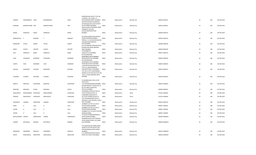|                   |                     |               |                 |                | RAMZARUKHA SOCIETY FLAT NO                                     |              |             |             |                |    |     |             |
|-------------------|---------------------|---------------|-----------------|----------------|----------------------------------------------------------------|--------------|-------------|-------------|----------------|----|-----|-------------|
|                   |                     |               |                 |                | 2, TOWER 1 1ST FLOOR, SV                                       |              |             |             |                |    |     |             |
| <b>VIKRANT</b>    | PRAJABANDHU JOSHI   |               | PRAJABANDHU     | <b>JOSHI</b>   | ROAD, ANDHERI WEST, MUMBAI, INDIA                              |              | Maharashtra | Mumbai City | 400058 J000318 | 18 | 180 | 06-FEB-2018 |
|                   |                     |               |                 |                | 493 ARTHUR ROAD GHASWALA<br>ESTATE, BLDG NO 3 4TH FLOOR R      |              |             |             |                |    |     |             |
| RANJANA           | BHARATKUMAR JOGI    |               | BHARATKUMAR     | JOGI           | NO 38, TARDEO, MUMBAI                                          | <b>INDIA</b> | Maharashtra | Mumbai City | 400034 J000326 | 18 | 180 | 06-FEB-2018 |
|                   |                     |               |                 |                | 606B VALMIKI APARTMENT, NEAR                                   |              |             |             |                |    |     |             |
|                   |                     |               |                 |                | PHARMACY COLLEGE                                               |              |             |             |                |    |     |             |
|                   |                     |               |                 |                | KALINA, SANTACRUZ EAST                                         |              |             |             |                |    |     |             |
| KAMAL             | SHRINIVAS           | KARVE         | SHRINIVAS       | KARVE          | BOMBAY,                                                        | <b>INDIA</b> | Maharashtra | Mumbai City | 400098 K000143 | 18 | 180 | 06-FEB-2018 |
|                   |                     |               |                 |                |                                                                |              |             |             |                |    |     |             |
|                   |                     |               |                 |                | 81-83 BHULABHAI DESAI ROAD,3                                   |              |             |             |                |    |     |             |
| MANSUKHLAL        | $\mathbf{r}$        | KAMDAR        | $\top$          | KAMDAR         | SAGAR DARSHAN, MUMBAI,<br>PANKAJ C-11-104 ASHOKVAN, SHIV       | <b>INDIA</b> | Maharashtra | Mumbai City | 400036 K000224 | 18 | 180 | 06-FEB-2018 |
|                   |                     |               |                 |                | VALLABH ROAD BORIVALI                                          |              |             |             |                |    |     |             |
| RAMAKANT          | VITHAL              | KAMAT         | VITHAL          | KAMAT          | EAST, MUMBAI,                                                  | <b>INDIA</b> | Maharashtra | Mumbai City | 400066 K000236 | 18 | 180 | 06-FEB-2018 |
|                   |                     |               |                 |                | K/5 104 KISHORE DARSHAN, FOUR                                  |              |             |             |                |    |     |             |
|                   |                     |               |                 |                | BUNGALOWS ROAD, ANDHERI                                        |              |             |             |                |    |     |             |
| <b>KIRAN</b>      | <b>JUGESH</b>       | <b>KAPOOR</b> | <b>JUGESH</b>   | <b>KAPOOR</b>  | WEST, MUMBAI                                                   | <b>INDIA</b> | Maharashtra | Mumbai City | 400058 K000238 | 18 | 180 | 06-FEB-2018 |
|                   |                     |               |                 |                | 25 KHAMBATTA                                                   |              |             |             |                |    |     |             |
| <b>RUSI</b>       | <b>HORMUSJI</b>     | KABIR         | <b>HORMUSJI</b> | KABIR          | LANE, BYCULLA, MUMBAI,<br><b>B/4 SHALIBHADRA</b>               | <b>INDIA</b> | Maharashtra | Mumbai City | 400027 K000276 | 18 | 180 | 06-FEB-2018 |
|                   |                     |               |                 |                | APARTMENT, DATTA MANDIR                                        |              |             |             |                |    |     |             |
| VIJAY             | YESHWANT            | KHAMKAR       | YESHWANT        | <b>KHAMKAR</b> | ROAD, MALAD EAST, MUMBAI                                       | <b>INDIA</b> | Maharashtra | Mumbai City | 400064 K000504 | 18 | 180 | 06-FEB-2018 |
|                   |                     |               |                 |                | B/4 SHALIBHADRA                                                |              |             |             |                |    |     |             |
|                   |                     |               |                 |                | APARTMENT, DATTA MANDIR                                        |              |             |             |                |    |     |             |
| SUNITA            | VIJAY               | KHAMKAR       | VIJAY           | KHAMKAR        | ROAD, MALAD EAST, MUMBAI                                       | <b>INDIA</b> | Maharashtra | Mumbai City | 400064 K000505 | 18 | 180 | 06-FEB-2018 |
|                   |                     |               |                 |                | LILADHAR RATANSI BLDG R NO                                     |              |             |             |                |    |     |             |
| KASTURI           | RAJNIKANT           | KOTHARI       | RAJNIKANT       | KOTHARI        | 14/15,13 LAXMI NARAYAN<br>LANE, MATUNGA C R, MUMBAI            | <b>INDIA</b> | Maharashtra | Mumbai City | 400019 K000575 | 18 | 180 | 06-FEB-2018 |
|                   |                     |               |                 |                | FLAT NO 14 1ST FLOOR, NIRMAL                                   |              |             |             |                |    |     |             |
|                   |                     |               |                 |                | ANAND CO OP HSG SOCY, PLOT NO                                  |              |             |             |                |    |     |             |
|                   |                     |               |                 |                | 107/C J P ROAD, ANDHERI WEST                                   |              |             |             |                |    |     |             |
| <b>OCHIRAM</b>    | LILARAM             | KOTWANI       | LILARAM         | KOTWANI        | MUMBAI                                                         | <b>INDIA</b> | Maharashtra | Mumbai City | 400058 K000576 | 18 | 180 | 06-FEB-2018 |
|                   |                     |               |                 |                |                                                                |              |             |             |                |    |     |             |
|                   |                     |               |                 |                | 4 B ANAND, GURU SEVA CO OP                                     |              |             |             |                |    |     |             |
|                   |                     |               |                 |                | <b>HOUG SOCY</b>                                               |              |             |             |                |    |     |             |
| MARUTI            | NARAYAN             | KUMTAKAR      | NARAYAN         | KUMTAKAR       | LTD, PANDURANGWADI, MUMBAI<br>BELASIS ROAD, B I T BLOCK NO 1 R | <b>INDIA</b> | Maharashtra | Mumbai City | 400063 K000620 | 18 | 180 | 06-FEB-2018 |
|                   |                     |               |                 |                | NO 78 THIRD FLOOR, POST                                        |              |             |             |                |    |     |             |
| <b>NARAYAN</b>    | KRISHNAJI           | KUDAV         | KRISHNAJI       | KUDAV          | BYCULLA MUMBAI,                                                | <b>INDIA</b> | Maharashtra | Mumbai City | 400008 K000624 | 18 | 180 | 06-FEB-2018 |
|                   |                     |               |                 |                | ZUNJARRAO WADA, DATTAR ALI                                     |              |             |             |                |    |     |             |
| RAGHUNATH         | RAMCHANDRA          | KURDUKAR      | RAMCHANDRA      | KURDUKAR       | TILAK CHOWK, KALYAN C R,                                       | <b>INDIA</b> | Maharashtra | Thane       | 421301 K000643 | 18 | 180 | 06-FEB-2018 |
|                   |                     |               |                 |                | ZUNJARRAO WADA, DATTA                                          |              |             |             |                |    |     |             |
| PRAMILA           | RAGHUNATH           | KURDUKAR      | RAGHUNATH       | KURDUKAR       | ALI, TILAK CHOWK, KALYAN CR                                    | <b>INDIA</b> | Maharashtra | Thane       | 421301 K000644 | 18 | 180 | 06-FEB-2018 |
|                   |                     |               |                 |                | 52/3 DR RANGNEKAR SOCIETY,<br>GROUND FL, SHIV SRUSHTI, KURLA   |              |             |             |                |    |     |             |
| KASHINATH         | LAXMAN              | HINDLEKAR     | LAXMAN          | HINDLEKAR      | EAST, MUMBAI,,                                                 | <b>INDIA</b> | Maharashtra | Mumbai City | 400024 K000730 | 18 | 180 | 06-FEB-2018 |
|                   |                     |               |                 |                | ADARBAD FLAT NO 122,34 N S                                     |              |             |             |                |    |     |             |
| FRAM              | H                   | LALA          | H               | LALA           | PATKAR MARG, MUMBAI,                                           | <b>INDIA</b> | Maharashtra | Mumbai City | 400007 L000035 | 18 | 180 | 06-FEB-2018 |
|                   |                     |               |                 |                | ADARBAD FLAT NO 122,34 N S                                     |              |             |             |                |    |     |             |
| COOMI             | H                   | LALA          | H               | LALA           | PATKAR MARG, MUMBAI,                                           | <b>INDIA</b> | Maharashtra | Mumbai City | 400007 L000039 | 18 | 180 | 06-FEB-2018 |
|                   | H                   |               | H               |                | ADERBAD FLAT 122,34 N S PATKAR                                 |              |             |             |                |    |     |             |
| COOMI             |                     | LALA          |                 | LALA           | MARG, MUMBAI,<br>D 4 BLOCK SHARADASHRAM, B S                   | <b>INDIA</b> | Maharashtra | Mumbai City | 400007 L000040 | 18 | 180 | 06-FEB-2018 |
| BHALCHANDRA VAMAN |                     | MARDHEKAR     | VAMAN           | MARDHEKAR      | ROAD, DADAR MUMBAI,                                            | <b>INDIA</b> | Maharashtra | Mumbai City | 400028 M000001 | 18 | 180 | 06-FEB-2018 |
|                   |                     |               |                 |                | RAJENDRA NIVAS, OPP CENTAUR                                    |              |             |             |                |    |     |             |
|                   |                     |               |                 |                | HOTEL, NEHRU ROAD, VILE PARLE                                  |              |             |             |                |    |     |             |
| SHARDA            | NATVARLAL           | <b>MANIAR</b> | NATVARLAL       | MANIAR         | EAST, MUMBAI,                                                  | <b>INDIA</b> | Maharashtra | Mumbai City | 400099 M000025 | 18 | 180 | 06-FEB-2018 |
|                   |                     |               |                 |                |                                                                |              |             |             |                |    |     |             |
|                   |                     |               |                 |                | 702 GODAVARI BUILDING, WORLI<br>SAGAR CO OP HSG SOCIETY, SIR   |              |             |             |                |    |     |             |
|                   |                     |               |                 |                | POCHKHANWALA ROAD WORLI                                        |              |             |             |                |    |     |             |
| MANIKRAO          | ANANDRAO            | MAHALLE       | ANANDRAO        | MAHALLE        | MUMBAI,                                                        | <b>INDIA</b> | Maharashtra | Mumbai City | 400025 M000052 | 18 | 180 | 06-FEB-2018 |
|                   |                     |               |                 |                | A-12 ANAND BHAVAN, 45 BAJAJ                                    |              |             |             |                |    |     |             |
|                   |                     |               |                 |                |                                                                |              |             |             |                |    |     |             |
| KANTA             | KANCHANLAL MERCHANT |               | KANCHANLAL      | MERCHANT       | ROAD VILE PARLE W, MUMBAI,                                     | INDIA        | Maharashtra | Mumbai City | 400056 M000307 | 18 | 180 | 06-FEB-2018 |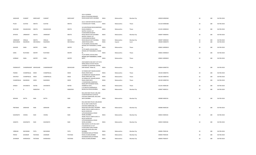|                  |                      |               |                 |               | 354 H CHOWKSI                                           |              |             |             |                |    |     |             |
|------------------|----------------------|---------------|-----------------|---------------|---------------------------------------------------------|--------------|-------------|-------------|----------------|----|-----|-------------|
| <b>JAWAHAR</b>   | SUMANT               | MERCHANT      | SUMANT          | MERCHANT      | BLDG, VITHALWADI RANADE<br>ROAD, DADAR WEST, MUMBAI     | <b>INDIA</b> | Maharashtra | Mumbai City | 400028 M000360 | 18 | 180 | 06-FEB-2018 |
|                  |                      |               |                 |               |                                                         |              |             |             |                |    |     |             |
| PILOO            | <b>GUSTAD</b>        | MEHTA         | GUSTAD          | MEHTA         | A2/11 CENTURY RAYON COLONY, P<br>O SHAHAD, DIST THANE,  | <b>INDIA</b> | Maharashtra | Thane       | 421103 M000368 | 18 | 180 | 06-FEB-2018 |
|                  |                      |               |                 |               |                                                         |              |             |             |                |    |     |             |
|                  |                      |               |                 |               | 34 GURUPRASAD BLDG, MANPADA                             |              |             |             |                |    |     |             |
| MUKUND           | DAGADUDAS            | <b>MEHTA</b>  | DAGADUDAS       | MEHTA         | ROAD, DOMBIVLI,<br>MATRU CHHAYA 1ST                     | <b>INDIA</b> | Maharashtra | Thane       | 421201 M000410 | 18 | 180 | 06-FEB-2018 |
|                  |                      |               |                 |               | FLOOR, MANCHHUBHAI                                      |              |             |             |                |    |     |             |
| APURVA           | URMIKANT             | <b>MEHTA</b>  | URMIKANT        | MEHTA         | ROAD, MALAD EAST, MUMBAI<br>MATRU CHHAYA 1ST            | <b>INDIA</b> | Maharashtra | Mumbai City | 400097 M000441 | 18 | 180 | 06-FEB-2018 |
|                  |                      |               |                 |               | FLOOR, MANCHHUBHAI                                      |              |             |             |                |    |     |             |
| <b>URMIKANT</b>  | HIRALAL              | MEHTA         | HIRALAL         | MEHTA         | ROAD, MALAD EAST MUMBAI,                                | <b>INDIA</b> | Maharashtra | Mumbai City | 400097 M000442 | 18 | 180 | 06-FEB-2018 |
| <b>BACHUBHAI</b> | NAGINDAS             | MEVAWALA      | <b>NAGINDAS</b> | MEVAWALA      | , MAIN ROAD, SURAT,<br>7C/7D MAPEL HOUSE, EDEN          | <b>INDIA</b> | Gujarat     | Surat       | 395003 M000470 | 18 | 180 | 06-FEB-2018 |
|                  |                      |               |                 |               | WOODS OFF POKHARAN 2, THANE                             |              |             |             |                |    |     |             |
| GHAVER           | DARA                 | <b>MISTRY</b> | DARA            | <b>MISTRY</b> | W,<br>7C/7D MAPEL HOUSE, EDEN                           | <b>INDIA</b> | Maharashtra | Thane       | 400601 M000618 | 18 | 180 | 06-FEB-2018 |
|                  |                      |               |                 |               | WOODS OFF POKHARAN 2, THANE                             |              |             |             |                |    |     |             |
| DARA             | <b>RUSTOMJI</b>      | <b>MISTRY</b> | RUSTOMJI        | <b>MISTRY</b> | W.                                                      | <b>INDIA</b> | Maharashtra | Thane       | 400601 M000619 | 18 | 180 | 06-FEB-2018 |
|                  |                      |               |                 |               | 7C/7D MAPEL HOUSE, EDEN<br>WOODS OPP POKHARAN 2, THANE  |              |             |             |                |    |     |             |
| HORMAZ           | DARA                 | <b>MISTRY</b> | <b>DARA</b>     | <b>MISTRY</b> | WEST,                                                   | <b>INDIA</b> | Maharashtra | Thane       | 400601 M000620 | 18 | 180 | 06-FEB-2018 |
|                  |                      |               |                 |               | 25/8 SAMATA HSG SOCY 1ST FLR B                          |              |             |             |                |    |     |             |
|                  |                      |               |                 |               | WING, WAGLE ESTATE POLICE                               |              |             |             |                |    |     |             |
|                  | CHANDRAKANT MOHOLKAR |               | CHANDRAKANT     | MOHOLKAR      | CHOWKEY & SHOPPING CENTRE,<br>SHRI NAGAR, THANE W,      | <b>INDIA</b> |             |             | 400604 M000735 | 18 | 180 | 06-FEB-2018 |
| PADMAVATI        |                      |               |                 |               |                                                         |              | Maharashtra | Thane       |                |    |     |             |
|                  | CHAMPAKLAL           | <b>MODI</b>   | CHAMPAKLAL      |               | 32 PARAM GEET NAGAR, AGASHI                             | <b>INDIA</b> |             |             |                |    |     |             |
| PADMA            |                      |               |                 | MODI          | ROAD, VIRAR WEST,<br>32 PARAM JEET NAGAR, AGASHI        |              | Maharashtra | Thane       | 401303 M000741 | 18 | 180 | 06-FEB-2018 |
| SHILPESH         | CHAMPAKLAL           | <b>MODI</b>   | CHAMPAKLAL      | MODI          | ROAD, VIRAR WEST PIN,                                   | <b>INDIA</b> | Maharashtra | Thane       | 401303 M000742 | 18 | 180 | 06-FEB-2018 |
| CHAMPAKLAL       | NAGINDAS             | <b>MODI</b>   | NAGINDAS        | MODI          | 32 PARAM JEET NAGAR, AGASHI<br>ROAD, VIRAR WEST,        | <b>INDIA</b> | Maharashtra | Thane       | 401303 M000744 | 18 | 180 | 06-FEB-2018 |
|                  |                      |               |                 |               | 3 YASHODHAM, MANPADA                                    |              |             |             |                |    |     |             |
| <b>DINESH</b>    | SHIVARAYA            | <b>NAYAK</b>  | SHIVARAYA       | <b>NAYAK</b>  | ROAD, OPP PATANKAR WADI,<br>DOMBIVALI EAST,             | <b>INDIA</b> | Maharashtra | Thane       | 421201 N000138 | 18 | 180 | 06-FEB-2018 |
|                  |                      |               |                 |               | A 19 NAVYUG MANSION, N                                  |              |             |             |                |    |     |             |
| $\overline{A}$   | N                    | NAMJOSHI      | N               | NAMJOSHI      | BHARUCHA ROAD, MUMBAI,                                  | <b>INDIA</b> | Maharashtra | Mumbai City | 400007 N000151 | 18 | 180 | 06-FEB-2018 |
|                  |                      |               |                 |               | MULUND NEW POLICE LINE, 2ND                             |              |             |             |                |    |     |             |
|                  |                      |               |                 |               | FLOOR ROOM NO 16, POLICE                                |              |             |             |                |    |     |             |
| MOHAN            | DATTA                | <b>NAIK</b>   | DATTA           | <b>NAIK</b>   | STATION COMPOUND, MULUND<br>WEST, MUMBAI                | <b>INDIA</b> | Maharashtra | Mumbai City | 400080 N000156 | 18 | 180 | 06-FEB-2018 |
|                  |                      |               |                 |               |                                                         |              |             |             |                |    |     |             |
|                  |                      |               |                 |               | MULUND NEW POLICE LINE, ROOM<br>NO 16 2ND FLOOR, POLICE |              |             |             |                |    |     |             |
|                  |                      |               |                 |               | STATION COMPOUND, N S                                   |              |             |             |                |    |     |             |
| PRATIBHA         | <b>GIRIDHAR</b>      | <b>NAIK</b>   | <b>GIRIDHAR</b> | <b>NAIK</b>   | ROAD, MULUND WEST MUMBAI                                | <b>INDIA</b> | Maharashtra | Mumbai City | 400080 N000158 | 18 | 180 | 06-FEB-2018 |
|                  |                      |               |                 |               | WORLI POLICE CAMP, HUDCO A<br>BLOCK ROOM NO             |              |             |             |                |    |     |             |
|                  |                      |               |                 |               | 3, POCHKHANWALLA ROAD                                   |              |             |             |                |    |     |             |
| KASHINATH        | VISHNU               | <b>NAIK</b>   | VISHNU          | <b>NAIK</b>   | WORLI, MUMBAI<br>WORLI POLICE CAMP, HUDCO A             | <b>INDIA</b> | Maharashtra | Mumbai City | 400025 N000165 | 18 | 180 | 06-FEB-2018 |
|                  |                      |               |                 |               | BLOCK ROOM NO                                           |              |             |             |                |    |     |             |
|                  |                      |               |                 |               | 3, POCHKHANWALLA ROAD                                   |              |             |             |                |    |     |             |
| SANGITA          | KASHINATH            | <b>NAIK</b>   | KASHINATH       | <b>NAIK</b>   | WORLI, MUMBAI<br>RAM ASHISH CO OP HOU SOCY              | <b>INDIA</b> | Maharashtra | Mumbai City | 400025 N000166 | 18 | 180 | 06-FEB-2018 |
|                  |                      |               |                 |               | LTD, ROOM NO A 9 1ST                                    |              |             |             |                |    |     |             |
|                  |                      |               |                 |               | FLOOR, SANE GURUJI MARG<br>NAVGHAR ROAD, MULUND         |              |             |             |                |    |     |             |
| VIRBHAN          | MAYARAM              | PATIL         | MAYARAM         | PATIL         | <b>MUMBAI</b>                                           | <b>INDIA</b> | Maharashtra | Mumbai City | 400081 P000136 | 18 | 180 | 06-FEB-2018 |
| PERVIZ           | <b>JEHANGIR</b>      | PASTAKIA      | JEHANGIR        | PASTAKIA      | KAVARANA BLDG, KITTRIDGE                                | <b>INDIA</b> | Maharashtra |             | 400005 P000196 | 18 | 180 | 06-FEB-2018 |
|                  |                      |               |                 |               | ROAD, COLABA, MUMBAI<br>KAVARANA BLDG, KITTRIDGE        |              |             | Mumbai City |                |    |     |             |
| <b>JEHANGIR</b>  | KHERSHEDJI           | PASTAKIA      | KHERSHEDJI      | PASTAKIA      | ROAD, COLABA, MUMBAI                                    | <b>INDIA</b> | Maharashtra | Mumbai City | 400005 P000197 | 18 | 180 | 06-FEB-2018 |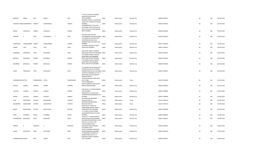|                             |                                |                   |                |                | ST PIUS X COLONY, 15 NIRMAL<br>NAHUR ROAD, MULUND                                                                           |              |             |             |                |    |     |             |
|-----------------------------|--------------------------------|-------------------|----------------|----------------|-----------------------------------------------------------------------------------------------------------------------------|--------------|-------------|-------------|----------------|----|-----|-------------|
| <b>BENEDICT</b>             | SIMON                          | PAIS              | SIMON          | PAIS           | WEST, MUMBAI<br>PREMIER COLONY,L G QUARTERS                                                                                 | <b>INDIA</b> | Maharashtra | Mumbai City | 400080 P000215 | 18 | 180 | 06-FEB-2018 |
|                             | PURUSHOTTAMD SUKHRAMDAS PANDYA |                   | SUKHRAMDAS     | PANDYA         | CHAWL NO 2 ROOM NO 6, KURLA<br>MUMBAI,                                                                                      | <b>INDIA</b> | Maharashtra | Mumbai City | 400070 P000233 | 18 | 180 | 06-FEB-2018 |
|                             |                                |                   |                |                | VISHWABHARATI CO OP HSG<br>SOCY, BINDU 2ND FLOOR BLOCK<br>NO 9,17TH JUHU LANE, ANDHERI                                      |              |             |             |                |    |     |             |
| NEENA                       | VASANTLAL                      | PAREKH            | VASANTLAL      | PAREKH         | <b>WEST MUMBAI</b>                                                                                                          | <b>INDIA</b> | Maharashtra | Mumbai City | 400058 P000262 | 18 | 180 | 06-FEB-2018 |
|                             |                                |                   |                |                | 104 SHIV COOP HSG SOC                                                                                                       |              |             |             |                |    |     |             |
| PRAKASH                     | C                              | PATIL             | T<br>CHAVGONDA | PATIL          | LTD, PRABHADEVI ROAD, MUMBAI, INDIA<br>C/O PANDYA & CO, BLOCK NO 2<br>DAMODAR BHUVAN, TILAK<br>MANDIR ROAD, VILE PARLE EAST |              | Maharashtra | Mumbai City | 400025 P000273 | 18 | 180 | 06-FEB-2018 |
| HARIPRASAD                  | UMIASHANKER PANDYA             |                   | UMIASHANKER    | PANDYA         | MUMBAI                                                                                                                      | <b>INDIA</b> | Maharashtra | Mumbai City | 400057 P000305 | 18 | 180 | 06-FEB-2018 |
| <b>SURBHI</b>               | VIJAY                          | PATEL             | VIJAY          | PATEL          | 264 SHANTI NIVAS, 8 12 ROAD<br>KHAR WEST, MUMBAI,                                                                           | <b>INDIA</b> | Maharashtra | Mumbai City | 400052 P000310 | 18 | 180 | 06-FEB-2018 |
|                             |                                |                   |                |                | D/30 PATEL PARK, 144 NEHRU                                                                                                  |              |             |             |                |    |     |             |
| HANSABEN                    | MANUBHAI                       | PATEL             | MANUBHAI       | PATEL          | ROAD, SANTACRUZ EAST, MUMBAI INDIA<br>101 PRABHA SADAN, SANGITA<br>APARTMENT, DATTAMANDIR                                   |              | Maharashtra | Mumbai City | 400029 P000315 | 18 | 180 | 06-FEB-2018 |
| MANJULA                     | NAVINBHAI                      | PAREKH            | NAVINBHAI      | PAREKH         | ROAD, MALAD EAST, MUMBAI,                                                                                                   | <b>INDIA</b> | Maharashtra | Mumbai City | 400064 P000345 | 18 | 180 | 06-FEB-2018 |
|                             |                                |                   |                |                | 101 PRABHA SADAN, SANGITA<br>APARTMENT, DATTAMANDIR                                                                         |              |             |             |                |    |     |             |
| NAVINBHAI                   | BHIKHALAL                      | PAREKH            | BHIKHALAL      | PAREKH         | ROAD, MALAD EAST, MUMBAI,                                                                                                   | <b>INDIA</b> | Maharashtra | Mumbai City | 400064 P000346 | 18 | 180 | 06-FEB-2018 |
|                             |                                |                   |                |                | 51 CONTRACTOR BUILDING, 2ND<br>FLOOR BLOCK NO 12, VICTORIA                                                                  |              |             |             |                |    |     |             |
| YAZAD                       | PIROJSHAW                      | PATEL             | PIROJSHAW      | PATEL          | GARDEN ROAD, BYCULLA MUMBAI INDIA<br>VAIKUNTH DARSHAN, FLAT 202 A<br>WING 2ND FLOOR, SAI NAGAR<br><b>BEHIND PARVATI</b>     |              | Maharashtra | Mumbai City | 400027 P000411 | 18 | 180 | 06-FEB-2018 |
| CHANDRASHEKH/VITTAL         |                                | PANDESHWAR VITTAL |                | PANDESHWAR     | TALKIES, NAVGHAR VASAI WEST,<br><b>DIST THANE</b>                                                                           | <b>INDIA</b> | Maharashtra | Thane       | 401202 P000428 | 18 | 180 | 06-FEB-2018 |
|                             |                                |                   |                |                | C/3/24 SAMRUDDHI<br>SOCIETY, BABURAO PARULEKAR                                                                              |              |             |             |                |    |     |             |
| SUSHILA                     | VAMAN                          | PHADNIS           | VAMAN          | PHADNIS        | MARG DADAR, MUMBAI,                                                                                                         | <b>INDIA</b> | Maharashtra | Mumbai City | 400028 P000622 | 18 | 180 | 06-FEB-2018 |
|                             |                                |                   |                |                | B 68 659 M I G COLONY, BANDRA                                                                                               |              |             |             |                |    |     |             |
| VASUDEV                     | LAXMAN                         | PRABHU            | LAXMAN         | PRABHU         | EAST, MUMBAI,<br>B/68/659 M I G COLONY, OPP<br>PATRAKAR NAGAR, BANDRA EAST                                                  | <b>INDIA</b> | Maharashtra | Mumbai City | 400051 P000694 | 18 | 180 | 06-FEB-2018 |
| NEEMA                       | VASUDEV                        | PRABHU            | VASUDEV        | PRABHU         | MUMBAI,                                                                                                                     | <b>INDIA</b> | Maharashtra | Mumbai City | 400051 P000696 | 18 | 180 | 06-FEB-2018 |
| VIJAY                       | BALKRISHNA                     | PUROHIT           | BALKRISHNA     | <b>PUROHIT</b> | DATAR BLOCKS, BHIWANDI<br>ROAD, KALYAN CR,                                                                                  | <b>INDIA</b> | Maharashtra | Thane       | 421301 P000722 | 18 | 180 | 06-FEB-2018 |
|                             |                                |                   |                |                | DATAR BLOCKS, BHIWANDI                                                                                                      |              |             |             |                |    |     |             |
| BALKRISHNA                  | GANGADHAR                      | PUROHIT           | GANGADHAR      | PUROHIT        | ROAD, KALYAN CR,<br>ROOM NO 97 CHAWL NO<br>26, REPAIRING BOARD TRANSIT                                                      | <b>INDIA</b> | Maharashtra | Thane       | 421301 P000723 | 18 | 180 | 06-FEB-2018 |
| <b>BHARTI</b>               | RANJITSINGH                    | RATHOD            | RANJITSINGH    | RATHOD         | CAMP, ANTOP HILL MUMBAI,<br>2 C SURESH COLONY, SWAMI                                                                        | <b>INDIA</b> | Maharashtra | Mumbai City | 400037 R000058 | 18 | 180 | 06-FEB-2018 |
| AARTI                       | PITAMBER                       | <b>RACHH</b>      | PITAMBER       | RACHH          | VIVEKANAND ROAD, VILE PARLE<br>MUMBAI,                                                                                      | <b>INDIA</b> | Maharashtra | Mumbai City | 400056 R000087 | 18 | 180 | 06-FEB-2018 |
| PITAMBERDAS NANJOMAL        |                                | RATHI             | NANJOMAL       | RATHI          | 10/165 B P T COLONY, RENOLD<br>ROAD WADALA EAST, MUMBAI,                                                                    | <b>INDIA</b> | Maharashtra | Mumbai City | 400031 R000101 | 18 | 180 | 06-FEB-2018 |
|                             |                                |                   |                |                | SBI EMPLOYEES PREETAM, CO OP<br>HSG SOC, FLAT NO 27 2ND                                                                     |              |             |             |                |    |     |             |
| SUPRIYA                     | <sub>S</sub>                   | RANADIVE          | S.             | RANADIVE       | FLOOR, SUBWAY ROAD<br>SANTACRUZ WEST, MUMBAI<br>A/5 MANOJ CO OP                                                             | <b>INDIA</b> | Maharashtra | Mumbai City | 400054 R000105 | 18 | 180 | 06-FEB-2018 |
| SUDHA                       | DATTATRAY                      | RANE              | DATTATRAY      | RANE           | SOCIETY, SHANKAR GHANEKAR<br>MARG, PRABHADEVI, MUMBAI<br>C/O BABUBHAI P PARIKH, 2/7                                         | <b>INDIA</b> | Maharashtra | Mumbai City | 400025 R000109 | 18 | 180 | 06-FEB-2018 |
|                             |                                |                   |                |                | AMBAR PARK SOCIETY, CD                                                                                                      |              |             |             |                |    |     |             |
| <b>CHANDRASHEKAI LINGPP</b> |                                | RAJU              | LINGPP         | RAJU           | BARFIWALA MARG, ANDHERI<br>WEST, MUMBAI                                                                                     | <b>INDIA</b> | Maharashtra | Mumbai City | 400058 R000115 | 18 | 180 | 06-FEB-2018 |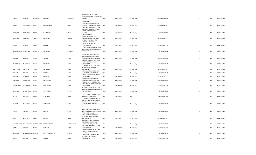|                      |                                                 |           |                |                  | GREEN VILLA 1ST FLOOR,72<br>BHAWANI SHANKAR ROAD, DADAR                                                                                       |              |             |             |                |    |     |             |
|----------------------|-------------------------------------------------|-----------|----------------|------------------|-----------------------------------------------------------------------------------------------------------------------------------------------|--------------|-------------|-------------|----------------|----|-----|-------------|
| HAROLD               | <b>DOMINIC</b>                                  | RODRIGUES | <b>DOMINIC</b> | <b>RODRIGUES</b> | MUMBAI,                                                                                                                                       | <b>INDIA</b> | Maharashtra | Mumbai City | 400028 R000168 | 18 | 180 | 06-FEB-2018 |
| RAJANI               | CHANDRAKANT GUPTE                               |           | CHANDRAKANT    | <b>GUPTE</b>     | B/7 NATARAJ<br>APARTMENTS, PESTOM SAGAR<br>ROAD NO 6, CHEMBUR MUMBAI,                                                                         | <b>INDIA</b> | Maharashtra | Mumbai City | 400089 R001013 | 18 | 180 | 06-FEB-2018 |
|                      |                                                 |           |                |                  | SHARE & STOCK BROKER, STOCK<br>EXCHANGE TOWER, E WING 4TH<br>FLO, DALAL STREET, FORT                                                          |              |             |             |                |    |     |             |
| RAMANLAL             | FULCHAND                                        | SALOT     | FULCHAND       | SALOT            | MUMBAI,<br>LAXMIDAS MULJI<br>BUNGALOW, 535/40 DATTA                                                                                           | <b>INDIA</b> | Maharashtra | Mumbai City | 400023 S000094 | 18 | 180 | 06-FEB-2018 |
| SHANTIBAI            | LAXMIDAS                                        | SAMPAT    | LAXMIDAS       | SAMPAT           | PADA, BORIVLI EAST, MUMBAI<br>MANCHHARAM BLDG 3RD<br>FLOOR, 394 MAULANA<br>SHAUKATALI ROAD, GRANT                                             | <b>INDIA</b> | Maharashtra | Mumbai City | 400066 S000125 | 18 | 180 | 06-FEB-2018 |
| ZARINE               | <b>NOSHIR</b>                                   | SAGAR     | <b>NOSHIR</b>  | SAGAR            | ROAD, MUMBAI<br>C 2/A STAR GALAXY, OPP ST ANNIE<br>GIRLS SCHOOL, LT ROAD BORIVALI                                                             | <b>INDIA</b> | Maharashtra | Mumbai City | 400007 S000153 | 18 | 180 | 06-FEB-2018 |
| BHARATKUMAR MOHANLAL |                                                 | SANGHVI   | MOHANLAL       | SANGHVI          | WEST, MUMBAI<br>A/3 OM SHYAM SARJIT CO OP                                                                                                     | <b>INDIA</b> | Maharashtra | Mumbai City | 400092 S000182 | 18 | 180 | 06-FEB-2018 |
| BABULAL              | VADILAL                                         | SHAH      | VADILAL        | SHAH             | HOU SOCY, H S MATHURADAS<br>ROAD, KANDIVLI WEST, MUMBAI<br>C/O R M PAREKH, 17 RAM NIVAS<br>DATTAPADA ROAD, BORIVLI                            | <b>INDIA</b> | Maharashtra | Mumbai City | 400067 S000388 | 18 | 180 | 06-FEB-2018 |
| RASHMIBEN            | MAHENDRA                                        | SHAH      | MAHENDRA       | SHAH             | EAST, MUMBAI<br>C/O R M PAREKH, 17 RAM NIVAS<br>DATTAPADA ROAD, BORIVLI                                                                       | <b>INDIA</b> | Maharashtra | Mumbai City | 400066 S000405 | 18 | 180 | 06-FEB-2018 |
| MAHENDRA             | <b>NAGINDAS</b>                                 | SHAH      | NAGINDAS       | SHAH             | EAST, MUMBAI<br>388 A MAJESTIC MANSION, SIR V P                                                                                               | <b>INDIA</b> | Maharashtra | Mumbai City | 400066 S000413 | 18 | 180 | 06-FEB-2018 |
| <b>BHARAT</b>        | BABULAL                                         | SHAH      | BABULAL        | SHAH             | ROAD, 2ND FLOOR, MUMBAI<br>PAREKH BLDG PLOT 228/3, SION                                                                                       | <b>INDIA</b> | Maharashtra | Mumbai City | 400004 S000465 | 18 | 180 | 06-FEB-2018 |
| BHANUMATI            | DHIRAJLAL                                       | SHAH      | DHIRAJLAL      | SHAH             | EAST, MUMBAI,<br>4TH AMRIKUNJ, DATTAPADA                                                                                                      | <b>INDIA</b> | Maharashtra | Mumbai City | 400022 S000581 | 18 | 180 | 06-FEB-2018 |
| AMRATLAL             | REVACHAND                                       | SHAH      | REVACHAND      | SHAH             | ROAD, BORIVLI EAST, MUMBAI<br>23C DIPTI CO OP HSG SOCY LTD,<br>3RD FL, AKURLI ROAD, KANDIVALI                                                 | <b>INDIA</b> | Maharashtra | Mumbai City | 400066 S000603 | 18 | 180 | 06-FEB-2018 |
| PANACHAND            | CHATRABHUJ                                      | SHAH      | CHATRABHUJ     | SHAH             | EAST, MUMBAI,<br>JALARAM NAGAR, 1ST FLOOR R<br>NO 19, GANJAWALA LANE, BORIVLI                                                                 | <b>INDIA</b> | Maharashtra | Mumbai City | 400101 S000605 | 18 | 180 | 06-FEB-2018 |
| DHIRAJLAL            | CHATRABHUJ                                      | SHAH      | CHATRABHUJ     | SHAH             | WEST, MUMBAI,                                                                                                                                 | <b>INDIA</b> | Maharashtra | Mumbai City | 400092 S000606 | 18 | 180 | 06-FEB-2018 |
| NUTAN                | SURYAKANT                                       | SHAH      | SURYAKANT      | SHAH             | CLOVER VILLAGE, WANOWERI, 163,<br>DELAMAR TOWER, PUNE<br>C/O JAYANTILAL DHARAMDATT<br>OZA, VIRJI PATEL CHAWL ROOM<br>NO 3, DHANJI WADI QUARRY | <b>INDIA</b> | Maharashtra | Pune        | 411048 S000634 | 18 | 180 | 06-FEB-2018 |
| KANTILAL             | CHANDULAL                                       | SHAH      | CHANDULAL      | SHAH             | ROAD, MALAD EAST MUMBAI                                                                                                                       | <b>INDIA</b> | Maharashtra | Mumbai City | 400064 S000656 | 18 | 180 | 06-FEB-2018 |
| ARUNA                | ASHVIN                                          | SHAH      | ASHVIN         | SHAH             | NO 11 2ND FLOOR, BHAVESWAR<br>NIKETAN, GOVALIA TANK, MUMBAI INDIA<br>VIVEK HOUSE B NO 1,<br>MAMLATDARWADI RO, OPP<br>MUNICIPAL OFFICE, MALAD  |              | Maharashtra | Mumbai City | 400036 S000675 | 18 | 180 | 06-FEB-2018 |
| <b>INDULAL</b>       | <b>HIRALAL</b>                                  | SHAH      | HIRALAL        | SHAH             | WEST, MUMBAI,<br>AB/9 RANGWALLA BLDG, DR E<br>MOSES ROAD, SANT GADGE                                                                          | <b>INDIA</b> | Maharashtra | Mumbai City | 400064 S000692 | 18 | 180 | 06-FEB-2018 |
|                      | KANCHANBALA PARSHWANATH SHIRDHANKAR PARSHWANATH |           |                | SHIRDHANKAR      | MAHARAJ CHOWK, MUMBAI<br>C/O ALWIN STORES, KHADILKAR                                                                                          | <b>INDIA</b> | Maharashtra | Mumbai City | 400011 S000738 | 18 | 180 | 06-FEB-2018 |
| PREMJI               | HANSRAJ                                         | SHAH      | <b>HANSRAJ</b> | SHAH             | ROAD, MUMBAI,<br>RADHAKRISHNA KUNJ, PLOT NO<br>377/A,9TH ROAD,CHEMBUR                                                                         | <b>INDIA</b> | Maharashtra | Mumbai City | 400004 S000770 | 18 | 180 | 06-FEB-2018 |
| SUNILDATT            | BHAWANISHANK SHIRALI                            |           | BHAWANISHANKAR | SHIRALI          | <b>MUMBAI</b><br>MAHIMWALLA BUILDING 4TH<br>FLOOR, 12TH KHETWADI                                                                              | <b>INDIA</b> | Maharashtra | Mumbai City | 400071 S000789 | 18 | 180 | 06-FEB-2018 |
| NAYNA                | ASHWIN                                          | SHAH      | ASHWIN         | SHAH             | LANE, MUMBAI,                                                                                                                                 | <b>INDIA</b> | Maharashtra | Mumbai City | 400004 S000809 | 18 | 180 | 06-FEB-2018 |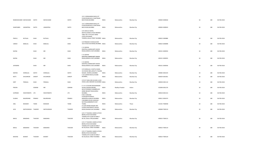|              | RAMESHKUMAR MAYACHAND  | SHETH              | MAYACHAND          | SHETH      | FLOOR ROOM NO 37, KHETWADI<br>BACK ROAD, MUMBAI                                                                                              | <b>INDIA</b> | Maharashtra    | Mumbai City | 400004 S000818 | 18 | 180 | 06-FEB-2018 |
|--------------|------------------------|--------------------|--------------------|------------|----------------------------------------------------------------------------------------------------------------------------------------------|--------------|----------------|-------------|----------------|----|-----|-------------|
|              | SHANTABEN<br>JAWANTRAJ | SHETH              | JAWANTRAJ          | SHETH      | 122 C GORAGANDHI BLDG,1ST<br>FLOOR ROOM NO 37, KHETWADI<br>BACK ROAD, MUMBAI                                                                 | <b>INDIA</b> | Maharashtra    | Mumbai City | 400004 S000819 | 18 | 180 | 06-FEB-2018 |
| PRAFUL       | <b>BUTALAL</b>         | SHAH               | <b>BUTALAL</b>     | SHAH       | C/O VADILAL RAJPAL<br>MEHTA, SHARE & STOCK BROKER<br>TABLE NO 3 5TH, EAST WING<br><b>STOCK EXCHANGE</b><br>TOWERS, DALAL STREET MUMBAI INDIA |              | Maharashtra    | Mumbai City | 400023 S000886 | 18 | 180 | 06-FEB-2018 |
|              |                        |                    |                    |            | C/O PRAKASH K SHAH,01/549                                                                                                                    |              |                |             |                |    |     |             |
| <b>UMESH</b> | BABULAL                | SHAH               | BABULAL            | SHAH       | 1013 STOCK EXCHANGE, MUMBAI, INDIA                                                                                                           |              | Maharashtra    | Mumbai City | 400023 S000898 | 18 | 180 | 06-FEB-2018 |
| <b>NAYNA</b> |                        | SHAH               | $\sf MR$           | SHAH       | C 15 SIDDHA<br>KSHETRA, CHAKRAVARTI ASHOK<br>ROAD, KANDIVLI EAST, MUMBAI                                                                     | <b>INDIA</b> | Maharashtra    | Mumbai City | 400101 S000934 | 18 | 180 | 06-FEB-2018 |
| <b>NAYNA</b> |                        | SHAH               | $\sf MR$           | SHAH       | C 15 SIDDHA<br>KSHETRA, CHAKRAVARTI ASHOK<br>ROAD, KANDIVLI EAST, MUMBAI                                                                     | <b>INDIA</b> | Maharashtra    | Mumbai City | 400101 S000935 | 18 | 180 | 06-FEB-2018 |
| JAYENDRA     |                        | SHAH               | MR                 | SHAH       | C 15 SIDDHA<br>KSHETRA, CHAKRAVARTI ASHOK<br>ROAD, KANDIVLI EAST, MUMBAI                                                                     | <b>INDIA</b> | Maharashtra    | Mumbai City | 400101 S000936 | 18 | 180 | 06-FEB-2018 |
| DEEPAK       | DHIRAJLAL              | SHETH              | DHIRAJLAL          | SHETH      | C/O DHIRAJLAL H SHETH, CHAWL<br>315 ROOM 3891, GROUP 3 TAGORE<br>NAGAR, VIKHROLI, MUMBAI<br>S 16 CUSROW BAUG, COLABA                         | <b>INDIA</b> | Maharashtra    | Mumbai City | 400083 S001019 | 18 | 180 | 06-FEB-2018 |
| RATTI        | KHUSHROW               | SHROFF             | KHUSHROW           | SHROFF     | MUMBAI,,                                                                                                                                     | <b>INDIA</b> | Maharashtra    | Mumbai City | 400039 S001061 | 18 | 180 | 06-FEB-2018 |
| KIRIT        | PRANLAL                | SHAH               | PRANLAL            | SHAH       | C/O N P SHAH, 206 GULSAN I, JUHU<br>CROSS LANE ANDHERI W, MUMBAI INDIA                                                                       |              | Maharashtra    | Mumbai City | 400058 S001110 | 18 | 180 | 06-FEB-2018 |
| PRAVIN       |                        | SOMANI             | MR                 | SOMANI     | E 1 H I G COLONY, RAVISHANKAR<br>SHUKLA NAGAR, INDORE,<br>402-B POONAM CHAMBERS, DR<br>ANNIE BESANT ROAD, WORLI                              | <b>INDIA</b> | Madhya Pradesh | Indore      | 452008 S001276 | 18 | 180 | 06-FEB-2018 |
| SUPREME      | INVESTMENTS LTD        |                    | <b>INVESTMENTS</b> | <b>LTD</b> | MUMBAI,<br>R NO 3 GROUND                                                                                                                     | <b>INDIA</b> | Maharashtra    | Mumbai City | 400018 S001314 | 18 | 180 | 06-FEB-2018 |
| SULBHA       | BALKRISHNA             | PRABHU             | BALKRISHNA         | PRABHU     | FLOOR, BATATAWALA<br>MANSION, LALBAUG MUMBAI,<br>3 MUMBAI HOUSE, VADAVALI<br>SECTION, AMBARNATH DIST                                         | <b>INDIA</b> | Maharashtra    | Mumbai City | 400012 S002474 | 18 | 180 | 06-FEB-2018 |
| ANIL         | <b>BHASKAR</b>         | <b>TADKE</b>       | <b>BHASKAR</b>     | TADKE      | THANE,<br>A 6 204 ANAND NAGAR 2ND                                                                                                            | <b>INDIA</b> | Maharashtra    | Thane       | 421501 T000058 | 18 | 180 | 06-FEB-2018 |
| JAYA         |                        | MATHURADAS THAKKER | MATHURADAS         | THAKKER    | FLOOR, CHHATRAPATI SHIVAJI<br>ROAD, DAHISAR EAST, MUMBAI                                                                                     | <b>INDIA</b> | Maharashtra    | Mumbai City | 400068 T000110 | 18 | 180 | 06-FEB-2018 |
|              |                        |                    |                    |            | C/O C P THACKER, SHARE & STOCK<br><b>BROKE, STOCK EXCHANGE</b><br>TOWERS, 4TH FLOOR W WING T                                                 |              |                |             |                |    |     |             |
| BAKUL        | BABUBHAI               | THACKER            | BABUBHAI           | THACKER    | NO 30, DALAL STRE, MUMBAI                                                                                                                    | <b>INDIA</b> | Maharashtra    | Mumbai City | 400023 T000115 | 18 | 180 | 06-FEB-2018 |
| BAKUL        | BABUBHAI               | THACKER            | <b>BABUBHAI</b>    | THACKER    | C/O C P THACKER, SHARE & STOCK<br><b>BROKE, STOCK EXCHANGE</b><br>TOWERS, 4TH FLOOR W WING T<br>NO 30, DALAL STREET MUMBAI                   | <b>INDIA</b> | Maharashtra    | Mumbai City | 400023 T000119 | 18 | 180 | 06-FEB-2018 |
|              |                        |                    |                    |            | C/O C P THACKER, SHARE & STOCK<br><b>BROKE, STOCK EXCHANGE</b><br>TOWERS, 4TH FLOOR W WING T                                                 |              |                |             |                |    |     |             |
| BHAVNA       | <b>BHARAT</b>          | THACKER            | <b>BHARAT</b>      | THACKER    | NO 30, DALAL STREET MUMBAI                                                                                                                   | <b>INDIA</b> | Maharashtra    | Mumbai City | 400023 T000120 | 18 | 180 | 06-FEB-2018 |

122 C GORAGANDHI BLDG,1ST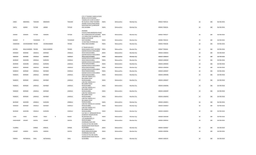|                |                      |                 |                 |              |                 | C/O C P THACKER, SHARE & STOCK<br><b>BROKE, STOCK EXCHANGE</b><br>TOWERS, 4TH FLOOR W WING T |              |             |             |                |    |     |             |
|----------------|----------------------|-----------------|-----------------|--------------|-----------------|----------------------------------------------------------------------------------------------|--------------|-------------|-------------|----------------|----|-----|-------------|
| SAROJ          | BABUBHAI             | THACKER         | BABUBHAI        |              | THACKER         | NO 30, DALAL STREET MUMBAI<br>ANANDI CHHAYA, PANDURANG<br>WADI ROAD NO 2,GOREGAON            | <b>INDIA</b> | Maharashtra | Mumbai City | 400023 T000122 | 18 | 180 | 06-FEB-2018 |
| SMITA          | ANAND                | <b>TOTADE</b>   | ANAND           |              | TOTADE          | EAST, MUMBAI                                                                                 | <b>INDIA</b> | Maharashtra | Mumbai City | 400063 T000226 | 18 | 180 | 06-FEB-2018 |
|                |                      |                 |                 |              |                 | ANANDEE<br>CHHAYA, PANDURANGWADI ROAD                                                        |              |             |             |                |    |     |             |
| ANAND          | WAMAN                | <b>TOTADE</b>   | WAMAN           |              | TOTADE          | NO 2, GOREGAON EAST, MUMBAI INDIA<br>1/11 BTRA STAFF QUARTERS, L B S<br>MARG, GHATKOPAR      |              | Maharashtra | Mumbai City | 400063 T000227 | 18 | 180 | 06-FEB-2018 |
| <b>BHARAT</b>  | P                    | <b>TODANKAR</b> | P               |              | <b>TODANKAR</b> | WEST, MUMBAI<br>15 GAUTAM, V M ROAD, VILE                                                    | <b>INDIA</b> | Maharashtra | Mumbai City | 400086 T000232 | 18 | 180 | 06-FEB-2018 |
| DAMODAR        | GOURISHANKER TRIVEDI |                 | GOURISHANKER    |              | <b>TRIVEDI</b>  | PARLE WEST, MUMBAI                                                                           | <b>INDIA</b> | Maharashtra | Mumbai City | 400056 T000258 | 18 | 180 | 06-FEB-2018 |
|                |                      |                 |                 |              |                 | D 7 RAJNI KUNJ, M G                                                                          |              |             |             |                |    |     |             |
| KIRTIDA        | BHALCHANDRA TRIVEDI  |                 | BHALCHANDRA     |              | <b>TRIVEDI</b>  | ROAD, KANDIVLI WEST, MUMBAI<br>GAZDAR HOUSE, 45 BHULABHAI                                    | <b>INDIA</b> | Maharashtra | Mumbai City | 400067 T000262 | 18 | 180 | 06-FEB-2018 |
| NERGISH        | BEHRAM               | UNWALA          | BEHRAM          |              | UNWALA          | DESAI ROAD, MUMBAI,<br>GAZDAR HOUSE, 45 BHULABHAI                                            | <b>INDIA</b> | Maharashtra | Mumbai City | 400026 U000032 | 18 | 180 | 06-FEB-2018 |
| <b>NERGISH</b> | BEHRAM               | UNWALA          | <b>BEHRAM</b>   |              | UNWALA          | DESAI ROAD, MUMBAI,<br>GAZDAR HOUSE, 45 BHULABHAI                                            | <b>INDIA</b> | Maharashtra | Mumbai City | 400026 U000033 | 18 | 180 | 06-FEB-2018 |
| BEHRAM         | <b>BURJORJI</b>      | <b>UNWALA</b>   | <b>BURJORJI</b> |              | UNWALA          | DESAI ROAD, MUMBAI,<br>GAZDAR HOUSE, 45 BHULABHAI                                            | <b>INDIA</b> | Maharashtra | Mumbai City | 400026 U000034 | 18 | 180 | 06-FEB-2018 |
| BEHRAM         | <b>BURJORJI</b>      | <b>UNWALA</b>   | <b>BURJORJI</b> |              | UNWALA          | DESAI ROAD, MUMBAI,<br>GAZDAR HOUSE, 45 BHULABHAI                                            | <b>INDIA</b> | Maharashtra | Mumbai City | 400026 U000035 | 18 | 180 | 06-FEB-2018 |
| MANECK         | BEHRAM               | <b>UNWALA</b>   | <b>BEHRAM</b>   |              | UNWALA          | DESAI ROAD, MUMBAI,<br>GAZDAR HOUSE, 45 BHULABHAI                                            | <b>INDIA</b> | Maharashtra | Mumbai City | 400026 U000036 | 18 | 180 | 06-FEB-2018 |
| MANECK         | BEHRAM               | <b>UNWALA</b>   | BEHRAM          |              | UNWALA          | DESAI ROAD, MUMBAI,<br>GAZDAR HOUSE, 45 BHULABHAI                                            | <b>INDIA</b> | Maharashtra | Mumbai City | 400026 U000037 | 18 | 180 | 06-FEB-2018 |
| MANECK         | BEHRAM               | <b>UNWALA</b>   | <b>BEHRAM</b>   |              | UNWALA          | DESAI ROAD, MUMBAI,<br>CARLTON TERRACE, 35 C                                                 | <b>INDIA</b> | Maharashtra | Mumbai City | 400026 U000038 | 18 | 180 | 06-FEB-2018 |
| MANECK         | <b>BEHRAM</b>        | UNWALA          | <b>BEHRAM</b>   |              | UNWALA          | BHULABHAI DESAI<br>ROAD, MUMBAI,<br>CARLTON TERRACE, 35 C                                    | <b>INDIA</b> | Maharashtra | Mumbai City | 400026 U000047 | 18 | 180 | 06-FEB-2018 |
| MANECK         | BEHRAM               | <b>UNWALA</b>   | <b>BEHRAM</b>   |              | <b>UNWALA</b>   | <b>BHULABHAI DESAI</b><br>ROAD, MUMBAI,<br>CARLTON TERRACE, 35 C                             | <b>INDIA</b> | Maharashtra | Mumbai City | 400026 U000048 | 18 | 180 | 06-FEB-2018 |
| NERGISH        | BEHRAM               | <b>UNWALA</b>   | <b>BEHRAM</b>   |              | UNWALA          | <b>BHULABHAI DESAI</b><br>ROAD, MUMBAI,<br>CARLTON TERRACE, 35 C                             | <b>INDIA</b> | Maharashtra | Mumbai City | 400026 U000049 | 18 | 180 | 06-FEB-2018 |
| MANECK         | <b>BEHRAM</b>        | UNWALA          | <b>BEHRAM</b>   |              | UNWALA          | <b>BHULABHAI DESAI</b><br>ROAD.MUMBAI.                                                       | <b>INDIA</b> | Maharashtra | Mumbai City | 400026 U000050 | 18 | 180 | 06-FEB-2018 |
|                |                      |                 |                 |              |                 | CARLTON TERRACE, 35 C<br><b>BHULABHAI DESAI</b>                                              |              |             |             |                |    |     |             |
| BEHRAM         | <b>BURJORJI</b>      | <b>UNWALA</b>   | <b>BURJORJI</b> |              | UNWALA          | ROAD, MUMBAI,<br>CARLTON TERRACE, 35 C B DESAI                                               | <b>INDIA</b> | Maharashtra | Mumbai City | 400026 U000051 | 18 | 180 | 06-FEB-2018 |
| NERGISH        | BEHRAM               | <b>UNWALA</b>   | <b>BEHRAM</b>   |              | UNWALA          | ROAD, MUMBAI,<br>CARLTON TERRACE, 35 C                                                       | <b>INDIA</b> | Maharashtra | Mumbai City | 400026 U000052 | 18 | 180 | 06-FEB-2018 |
| BEHRAM         | <b>BURJORJI</b>      | <b>UNWALA</b>   | <b>BURJORJI</b> |              | UNWALA          | <b>BHULABHAI DESAI</b><br>ROAD, MUMBAI,<br>FLAT NO 5 'C' WING, BLDG NO A2                    | <b>INDIA</b> | Maharashtra | Mumbai City | 400026 U000055 | 18 | 180 | 06-FEB-2018 |
|                |                      |                 |                 |              |                 | AVADHOOT NAGAR SHIVAJI                                                                       |              |             |             |                |    |     |             |
| <b>USHA</b>    | <b>VIKAS</b>         | WADIA           | VIKAS           | $\mathsf{R}$ | WADIA           | RO, DAHISAR (W),<br>1/53 ANGREWADI, V P                                                      | <b>INDIA</b> | Maharashtra | Mumbai City | 400068 U000206 | 18 | 180 | 06-FEB-2018 |
| SHASHIKANT     | VASANT               | VAIDYA          | VASANT          |              | VAIDYA          | ROAD, MUMBAI,<br>DHARMARAJ BLDG 3RD<br>FLOOR, FLAT NO 306 VISHAL                             | <b>INDIA</b> | Maharashtra | Mumbai City | 400004 V000054 | 18 | 180 | 06-FEB-2018 |
| TILAKRAJ       |                      | VARMA           | RAMLAL          |              | VARMA           | NAGAR, MARVE ROAD MALAD<br>W,MUMBAI                                                          | <b>INDIA</b> | Maharashtra | Mumbai City | 400064 V000067 | 18 | 180 | 06-FEB-2018 |
| VASANT         | GANESH               | VAIDYA          | GANESH          |              | VAIDYA          | 1/53 ANGREWADI, V P<br>ROAD, GIRGAUM, MUMBAI                                                 | <b>INDIA</b> | Maharashtra | Mumbai City | 400004 V000096 | 18 | 180 | 06-FEB-2018 |
|                |                      |                 |                 |              |                 | DHARMARAJ BLDG 3RD<br>FLOOR, FLAT NO 306 VISHAL<br>NAGAR, MARVE ROAD MALAD                   |              |             |             |                |    |     |             |
| SHIRISH        | NATWARLAL            | <b>VAKIL</b>    | NATWARLAL       |              | VAKIL           | W,MUMBAI                                                                                     | <b>INDIA</b> | Maharashtra | Mumbai City | 400064 V000105 | 18 | 180 | 06-FEB-2018 |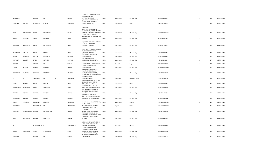| VISALAKSHY      |                   | AMMAL        | ${\sf MR}$        |   | AMMAL      | C/O MR G S KRISHNAN, 37 RIKHI<br>BHUVAN,L N ROAD<br>MATUNGA, MUMBAI<br>2/10 VAISHALI SOCIETY, BHD   | <b>INDIA</b> | Maharashtra | Mumbai City     | 400019 V000167 | 18 | 180 | 06-FEB-2018 |
|-----------------|-------------------|--------------|-------------------|---|------------|-----------------------------------------------------------------------------------------------------|--------------|-------------|-----------------|----------------|----|-----|-------------|
| VANDANA         | SHARAD            | CHAUDHARI    | SHARAD            |   | CHAUDHARI  | SHANKARSETH ROAD MIRA<br>389, GULTEKDI PUNE,                                                        | <b>INDIA</b> | Maharashtra | Pune            | 411037 V000601 | 18 | 180 | 06-FEB-2018 |
|                 |                   |              |                   |   |            | 102 DURGA<br>APARTMENT, RAMKUNVAR<br>THAKUR ROAD, NEAR RAJASHREE                                    |              |             |                 |                |    |     |             |
| RAJNI           | RAMKRISHNA WADIA  |              | RAMKRISHNA        |   | WADIA      | THEATRE, DAHISAR EAST, MUMBAI INDIA<br>C/O A G YAJNIK, CONGRESS<br>HOUSE, VITHAL SADAN, V P ROAD    |              | Maharashtra | Mumbai City     | 400068 W000025 | 18 | 180 | 06-FEB-2018 |
| KAMLA           | <b>GIRDHAR</b>    | YAJNIK       | <b>GIRDHAR</b>    |   | YAJNIK     | MUMBAI                                                                                              | <b>INDIA</b> | Maharashtra | Mumbai City     | 400004 Y000005 | 18 | 180 | 06-FEB-2018 |
|                 |                   |              |                   |   |            | 88/92 VEER VITHALDAS CHANDAN<br>ST,1ST FLOOR ROOM NO                                                |              |             |                 |                |    |     |             |
| <b>INDUMATI</b> | BALVANTRAI        | <b>DESAI</b> | <b>BALVANTRAI</b> |   | DESAI      | 5, VADGADI, MUMBAI                                                                                  | <b>INDIA</b> | Maharashtra | Mumbai City     | 400003 D000419 | 18 | 180 | 06-FEB-2018 |
|                 |                   |              |                   |   |            | 88/92 VEER VITHALDAS CHANDAN<br>ST,1ST FLOOR ROOM NO                                                |              |             |                 |                |    |     |             |
| BALVANTRAI      | VRAJLAL           | DESAI        | VRAJLAL           |   | DESAI      | 5, VADGADI, MUMBAI<br><b>B 4 SEA FACE PARK, B DESAI</b>                                             | <b>INDIA</b> | Maharashtra | Mumbai City     | 400003 D000420 | 18 | 180 | 06-FEB-2018 |
| ASHOK           | NAVNITLAL         | CHOKSHI      | NAVNITLAL         |   | CHOKSHI    | ROAD, MUMBAI,<br>600 JAME JAMSHED                                                                   | <b>INDIA</b> | Maharashtra | Mumbai City     | 400026 A000395 | 17 | 170 | 06-FEB-2018 |
| <b>JEHANGIR</b> | CURSETJI          | BAGLI        | <b>CURSETJI</b>   |   | NOWROJI    | ROAD, MATUNGA MUMBAI,,                                                                              | <b>INDIA</b> | Maharashtra | Mumbai City     | 400019 B000024 | 17 | 170 | 06-FEB-2018 |
| SHALINI         |                   | VASANT       | MR                |   | VASANT     | 1734 RAMDEO GALHI, BELGAUM,, INDIA<br>C 8 BEN NEVIS, WARDEN                                         |              | Karnataka   | Belgaum         | 590002 K000662 | 17 | 170 | 06-FEB-2018 |
| COOMI           | RUSTOM            | MEHTA        | RUSTOM            |   | MEHTA      | ROAD, MUMBAI,<br>B N KAPOL NIVAS ROOM NO                                                            | <b>INDIA</b> | Maharashtra | Mumbai City     | 400036 M000486 | 17 | 170 | 06-FEB-2018 |
| SHANTABAI       | LAXMIDAS          | SANGHVI      | LAXMIDAS          |   | SANGHVI    | 58, RAFI AHMED KIDWAI<br>ROAD, MATUNGA MUMBAI,<br>B M SAMADARIA & CO C A, ASHOK                     | <b>INDIA</b> | Maharashtra | Mumbai City     | 400019 S000032 | 17 | 170 | 06-FEB-2018 |
| R               | M                 | SAMDARIA     | M                 | M | SAMDARIA   | <b>BLDG B V IYENGAR</b><br>ROAD, BANGALORE,<br>KAHATRAKUNJ, FLAT NO 9 PLOT                          | <b>INDIA</b> | Karnataka   | Bangalore Urban | 560053 B000736 | 16 | 160 | 06-FEB-2018 |
| HEMA            | <b>MOHAN</b>      | <b>DESAI</b> | MOHAN             |   | DESAI      | NO 11,2ND FLOOR SECTOR 4<br>VASHI, NEW MUMBAI                                                       | <b>INDIA</b> | Maharashtra | Thane           | 400703 D000474 | 16 | 160 | 06-FEB-2018 |
| VALLABHDAS      | <b>JAMNADAS</b>   | ASHAR        | JAMNADAS          |   | ASHAR      | A/9 INDRALOK, R.B. MEHTA<br>MARG, GHATKOPAR E, MUMBAI<br>FLAT NO 3 408/C FORWARD                    | <b>INDIA</b> | Maharashtra | Mumbai City     | 400077 A000160 | 15 | 150 | 06-FEB-2018 |
| PUSHPA          | <b>KISHORE</b>    | HINDUJA      | <b>KISHORE</b>    |   | HINDUJA    | HOUSE, S T ROAD, CHEMBUR<br>MUMBAI,<br>C/O KAPOOR CHANDJI K                                         | <b>INDIA</b> | Maharashtra | Mumbai City     | 400071 H000061 | 15 | 150 | 06-FEB-2018 |
| JAYANTILAL      | <b>KAPOOR</b>     | CHANDJI      | KAPOOR            |   | CHANDJI    | JAIN, 214/7 JAGGIR NIWAS, OPP<br>SION HOSPITAL, SION MUMBAI                                         | <b>INDIA</b> | Maharashtra | Mumbai City     | 400022 K000016 | 15 | 150 | 06-FEB-2018 |
| <b>JIMMY</b>    | ARDESAR           | MAKUJINA     | ARDESAR           |   | MAKUJINA   | 53 RANI LAXMI NAGAR, NAGPUR,, INDIA                                                                 |              | Maharashtra | Nagpur          | 440010 M000060 | 15 | 150 | 06-FEB-2018 |
| MAGANLAL        |                   | MOTICHAND    | <b>MR</b>         |   | MOTICHAND  | 21 MAHAVEER<br>NAGAR, BILIMORIA, NAVSARI,<br>KAKAD NIKETAN FLAT NO C                                | <b>INDIA</b> | Gujarat     | Valsad          | 396321 M000073 | 15 | 150 | 06-FEB-2018 |
| KANTABEN        | HARAKHCHAND MEHTA |              | HARAKHCHAND       |   | MEHTA      | 15, DERASAR<br>LANE, GHATKOPAR, MUMBAI<br>VISHWABHARATI CO OP HSG<br>SOCY, BINDU 2ND FLOOR BL NO 9, | <b>INDIA</b> | Maharashtra | Mumbai City     | 400077 M000257 | 15 | 150 | 06-FEB-2018 |
| <b>JOLIN</b>    | VASANTLAL         | PAREKH       | VASANTLAL         |   | PAREKH     | 17TH JUHU L, ANDHERI WEST,<br>MUMBAI,                                                               | <b>INDIA</b> | Maharashtra | Mumbai City     | 400058 P000263 | 15 | 150 | 06-FEB-2018 |
|                 |                   |              |                   |   |            | C/O SHARE DEAL, PROFESSIONAL<br>MANAGEMENT GROUP,115                                                |              |             |                 |                |    |     |             |
|                 |                   | PUTTASWAMY S |                   |   | PUTTASWAMY | SHIVARAMPET MYSORE,<br>C/O S M SHAH, 91 STOCK<br>EXCHANGE BLDG, MUMBAI                              | <b>INDIA</b> | Karnataka   | Mysore          | 570001 P001047 | 15 | 150 | 06-FEB-2018 |
| KSHITIJ         | SHASHIKANT        | SHAH         | SHASHIKANT        |   | SHAH       | SAMACHAR MARG, MUMBAI<br>33 BRIJ KUTIR 3RD FLOOR,68<br>NAPEAN SEA ROAD, RUNGTA                      | <b>INDIA</b> | Maharashtra | Mumbai City     | 400023 S000552 | 15 | 150 | 06-FEB-2018 |
| SHANTILAL       |                   | SHAMJI       | MR                |   | SHAMJI     | LANE, MUMBAI                                                                                        | <b>INDIA</b> | Maharashtra | Mumbai City     | 400036 S001413 | 15 | 150 | 06-FEB-2018 |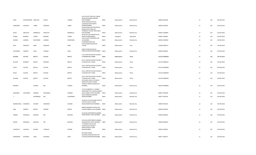| SUNIL                | SHYAMSUNDER HARLALKA |                | SHYAM           | SUNDER       | A/20, KALPITA ENCLAVE, SAHAR<br>ROAD, KOLDONGRI ANDHERI<br>EAST, MUMBAI<br>KUBAL NIWAS BLOCK NO                   | <b>INDIA</b> | Maharashtra | Mumbai City | 400069 S002328 | 15     | 150 | 06-FEB-2018 |
|----------------------|----------------------|----------------|-----------------|--------------|-------------------------------------------------------------------------------------------------------------------|--------------|-------------|-------------|----------------|--------|-----|-------------|
| SHANTABAI            | SADASHIV             | <b>TORNE</b>   | SADASHIV        | <b>TORNE</b> | 3, GOKHALE ROAD NORTH<br>DADAR, MUMBAI,<br>JEEVAN PARAG, OPP MUNICIPAL<br>WARD OFFICE ROAD NO                     | <b>INDIA</b> | Maharashtra | Mumbai City | 400028 T000216 | 15     | 150 | 06-FEB-2018 |
| DALAL                | SNEHLATA             | RAMNIKLAL      | SNEHLATA        | RAMNIKLAL    | 2, PRABHAT COLONY SANTACRUZ<br>EAST, MUMBAI                                                                       | <b>INDIA</b> | Maharashtra | Mumbai City | 400055 D000804 | 13     | 130 | 06-FEB-2018 |
| AVABAI               | <b>BEHRAM</b>        | <b>CHINOY</b>  | BEHRAM          | CHINOY       | DHUN VILLA, 64 SARDAR PATEL<br>ROAD, SECUNDERABAD,<br>14/A 15 GOVT QUARTERS, HAJI                                 | <b>INDIA</b> | Telangana   | Hyderabad   | 500003 C000061 | 12     | 120 | 06-FEB-2018 |
| SHARAD               | LAXMAN               | DESHPANDE      | LAXMAN          | DESHPANDE    | ALI, MUMBAI,<br>9 OMKARESHWAR HSG<br>SOCY, SAHAKAR NAGAR NO                                                       | <b>INDIA</b> | Maharashtra | Mumbai City | 400034 D000456 | 12     | 120 | 06-FEB-2018 |
| <b>DILIP</b>         | SADASHIV             | GORE           | SADASHIV        | GORE         | 1, PUNE,                                                                                                          | <b>INDIA</b> | Maharashtra | Pune        | 411009 G000271 | 12     | 120 | 06-FEB-2018 |
| VIDYADHAR            | VINAYAK              | <b>JOSHI</b>   | VINAYAK         | <b>JOSHI</b> | SARAH LODGE, 48 SHIVAJI<br>PARK, KELUSKAR ROAD, MUMBAI INDIA                                                      |              | Maharashtra | Mumbai City | 400028 J000282 | 12     | 120 | 06-FEB-2018 |
| DILAARA              | GUSTAD               | <b>MEHTA</b>   | GUSTAD          | MEHTA        | A 3/3 CENTURY RAYON COLONY, P<br>O SHAHAD, DIST THANE,                                                            | <b>INDIA</b> | Maharashtra | Thane       | 421103 M000366 | 12     | 120 | 06-FEB-2018 |
| GUSTAD               | <b>BURJORJI</b>      | <b>MEHTA</b>   | <b>BURJORJI</b> | MEHTA        | A2/11 CENTURY RAYON COLONY, P<br>O SHAHAD, DIST THANE,                                                            | <b>INDIA</b> | Maharashtra | Thane       | 421103 M000447 | 12     | 120 | 06-FEB-2018 |
| PILOO                | <b>GUSTAD</b>        | MEHTA          | GUSTAD          | MEHTA        | A2/11 CENTURY RAYON COLONY, P<br>O SHAHAD, DIST THANE,                                                            | <b>INDIA</b> | Maharashtra | Thane       | 421103 M000448 | 12     | 120 | 06-FEB-2018 |
| PILOO                | <b>GUSTAD</b>        | MEHTA          | GUSTAD          | MEHTA        | A2/11 CENTURY RAYON COLONY, P<br>O SHAHAD, DIST THANE,                                                            | <b>INDIA</b> | Maharashtra | Thane       | 421103 M000449 | 12     | 120 | 06-FEB-2018 |
| DILAARA              | GUSTAD               | MEHTA          | GUSTAD          | MEHTA        | A2/11 CENTURY RAYON COLONY, P<br>O SHAHAD, DIST THANE,<br>105 GOKUL VIEW 1ST FLOOR B<br>WING, OPP GOKUL TOWER     | <b>INDIA</b> | Maharashtra | Thane       | 421103 M000450 | 12     | 120 | 06-FEB-2018 |
| MORARJI              |                      | VASANJI        | MR              | VASANJI      | THAKUR COMPLEX, KANDIVALI E<br>MUMBAI,                                                                            | <b>INDIA</b> | Maharashtra | Mumbai City | 400101 M000895 | 12     | 120 | 06-FEB-2018 |
|                      |                      |                |                 |              | C/O D R PARMAR,C 17 SUMAN<br>APARTMENT 4TH FLOOR, SHANKAR                                                         |              |             |             |                |        |     |             |
| KANTABEN             | DAHYABHAI            | PARMAR         | DAHYABHAI       | PARMAR       | LANE, KANDIVLI WEST, MUMBAI<br>46/179 SRINIVAS, GARODIA                                                           | <b>INDIA</b> | Maharashtra | Mumbai City | 400067 P000168 | 12     | 120 | 06-FEB-2018 |
| T                    |                      | SIVARAMAN      | MR              | SIVARAMAN    | NAGAR, MUMBAI,<br>LA BELLA CO OP HOUSING SOCIETY                                                                  | <b>INDIA</b> | Maharashtra | Mumbai City | 400077 S001245 | 12     | 120 | 06-FEB-2018 |
| DHANSUKHLAL NAGINDAS |                      | SOLANKI        | NAGINDAS        | SOLANKI      | LTD, PLOT NO 75/1 AZAD<br>ROAD, ANDHERI EAST MUMBAI,                                                              | <b>INDIA</b> | Maharashtra | Mumbai City | 400069 S001265 | 12     | 120 | 06-FEB-2018 |
|                      |                      |                |                 |              | BANOO MANSION A BLOCK, 4TH                                                                                        |              |             |             |                |        |     |             |
| SAM                  | PHIROZE              | <b>DRIVER</b>  | PHIROZE         | DRIVER       | FLOOR, CUMBALLA HILL, MUMBAI INDIA                                                                                |              | Maharashtra | Mumbai City | 400036 S002053 | 12     | 120 | 06-FEB-2018 |
| AMRISH               | KISHANLAL            | BHAYANI        | MR              | BHAYANI      | 3A/10 BAJ APARTMENTS, SAIBABA<br>NAGAR BORIVLI WEST, MUMBAI, INDIA                                                |              | Maharashtra | Mumbai City | 400092 B000301 | 12     | 120 | 06-FEB-2018 |
| ARUNA                | KISHANLAL            | BHAYANI        | MR              | BHAYANI      | 3A/10 BAJ APARTMENTS, SAIBABA<br>NAGAR, BORIVLI WEST MUMBAI, INDIA<br>13 WARDEN COURT 2ND<br>FLOOR, AUGUST KRANTI |              | Maharashtra | Mumbai City | 400092 B000302 | $12\,$ | 120 | 06-FEB-2018 |
| JAYANTILAL           | CHUNILAL             | <b>JHAVERI</b> | CHUNILAL        | JHAVERI      | MARG, GOWALIA TANK<br>ROAD, MUMBAI                                                                                | <b>INDIA</b> | Maharashtra | Mumbai City | 400036 J000183 | 11     | 110 | 06-FEB-2018 |
| KARSONDAS            | RATANSHI             | <b>JOSHI</b>   | RATANSHI        | <b>JOSHI</b> | RATANSHI KHIMJI<br>BUILDING, JAWAHAR BLDG OPP<br>STATION, GHATKOPAR, MUMBAI                                       | <b>INDIA</b> | Maharashtra | Mumbai City | 400077 J000273 | 11     | 110 | 06-FEB-2018 |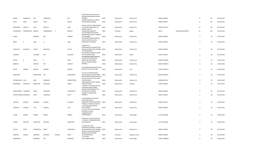|                         |                               |              |               |              |             | JEEVAN ASHA 3RD FLOOR,60 A<br>PEDDAR ROAD, BEHIND ALPANA                                          |              |             |                        |                |                     |              |     |             |
|-------------------------|-------------------------------|--------------|---------------|--------------|-------------|---------------------------------------------------------------------------------------------------|--------------|-------------|------------------------|----------------|---------------------|--------------|-----|-------------|
| <b>DINESH</b>           | CHANDULAL                     | KAJI         | CHANDULAL     |              | KAJI        | MUMBAI,                                                                                           | <b>INDIA</b> | Maharashtra | Mumbai City            | 400026 K000022 |                     | 11           | 110 | 06-FEB-2018 |
| PILOO                   | SAPAL                         | MEHTA        | SAPAL         |              | MEHTA       | SANJANA MANSION,1 CARTER<br>ROAD, BANDRA, MUMBAI                                                  | <b>INDIA</b> | Maharashtra | Mumbai City            | 400050 P000777 |                     | 10           | 100 | 06-FEB-2018 |
|                         |                               |              |               |              |             | GANGA VIHAR, 1ST FLOOR ROOM                                                                       |              |             |                        |                |                     |              |     |             |
| BHANUMATI               | KANTILAL                      | SHAH         | KANTILAL      |              | SHAH        | 11, ROKADIA LANE, BORIVLI W<br>BADDUR LANE, TQ                                                    | <b>INDIA</b> | Maharashtra | Mumbai City            | 400092 S001197 |                     | 10           | 100 | 06-FEB-2018 |
|                         | VISHWANATH SHANKARAPPA BADDUR |              | SHANKARAPPA   | $\mathsf{S}$ | BADDUR      | JAMAKHANDI,, BANHATTI<br>13/14 HAKOBA HOUSE, NEAR<br>SHRIKRISHNA NAGAR P O, BORIVLI               | <b>INDIA</b> | Karnataka   | Bijapur                | 587311         | 12010600-00412899-0 | 10           | 100 | 06-FEB-2018 |
| ASHOK                   |                               | MORARJI      | MR            |              | MORARJI     | EAST MUMBAI,<br>49 JAWAHAR NAGAR ROAD NO                                                          | <b>INDIA</b> | Maharashtra | Mumbai City            | 400066 A000275 |                     | $\mathbf{q}$ | 90  | 06-FEB-2018 |
| BEENA                   | $\overline{A}$                | SHAH         | $\mathsf{A}$  |              | SHAH        | 6,2ND FLOOR VIPUL NIVAS<br>GOREGAON W, MUMBAI,                                                    | <b>INDIA</b> | Maharashtra | Mumbai City            | 400062 B000744 |                     | - Q          | 90  | 06-FEB-2018 |
|                         |                               |              |               |              |             | VARMA VILLA<br>MAGANWADI, VITHALBHAI PATEL                                                        |              |             |                        |                |                     |              |     |             |
| JAYANTILAL              | KESHAVLAL                     | CHITLIA      | KESHAVLAL     |              | CHITLIA     | ROAD, VILE PARLE WEST, MUMBAI INDIA<br>C/O PROGRESSIVE                                            |              | Maharashtra | Mumbai City            | 400056 J000382 |                     | 9            | 90  | 06-FEB-2018 |
| JAYSHREE                |                               | KULKARNI     | MR            |              | KULKARNI    | INVESTMENT, BESEMENT DATAR<br>APT, VAKILWADI NASIK,<br>49 JAWAHAR NAGAR ROAD NO                   | <b>INDIA</b> | Maharashtra | Nashik                 | 422001 J000551 |                     | -9           | 90  | 06-FEB-2018 |
| KAVITA                  | $\mathsf{A}$                  | SHAH         | $\mathsf{A}$  |              | SHAH        | 6, VIPUL NIVAS 2ND FLOOR<br>GOREGAON W, MUMBAI,<br>B-46 I I T CAMPUS, POWAI                       | <b>INDIA</b> | Maharashtra | Mumbai City            | 400062 K000989 |                     | $\mathbf{q}$ | 90  | 06-FEB-2018 |
| HARIHAR                 |                               | MATHUR       | MR            |              | MATHUR      | MUMBAI,,                                                                                          | <b>INDIA</b> | Maharashtra | Mumbai City            | 400076 M000035 |                     | $\mathbf{q}$ | 90  | 06-FEB-2018 |
|                         |                               |              |               |              |             | 320 KOREGAON PARK, RIVER VIEW                                                                     |              |             |                        |                |                     |              |     |             |
| NALINI                  | <b>HEMANT</b>                 | MATANI       | HEMANT        |              | MATANI      | BLDG NO 4 FLAT NO 2, PUNE,                                                                        | <b>INDIA</b> | Maharashtra | Pune                   | 411001 M000117 |                     | - q          | 90  | 06-FEB-2018 |
| NEMCHAND                |                               | SAKERCHAND   | MR            |              | SAKERCHAND  | FLAT NO 9 VINOD, RAGHAVJI<br>ROAD, GOWALIA TANK, MUMBAI<br>MR PAKYANATHAN SILAS ISAAC,10          | <b>INDIA</b> | Maharashtra | Mumbai City            | 400026 N000242 |                     | $\alpha$     | 90  | 06-FEB-2018 |
| PAKYANATHAN SILAS       |                               | <b>ISAAC</b> | ABRAHAM       |              | PAKYANATHAN | STELLA HOUSE PLOT 4, STATION<br>ROAD GOVANDI,<br>YOGESHWARA,F 236/3 TARABAI                       | <b>INDIA</b> | Maharashtra | Mumbai City            | 400088 P001314 |                     | $\mathbf{q}$ | 90  | 06-FEB-2018 |
| BALKRISHNA              | YESHWANT                      | RAJADHYAX    | YESHWANT      |              | ANANT       | PARK, KOLHAPUR,<br>C/O MRS A C KALUSKAR, 303 RAJ                                                  | <b>INDIA</b> | Maharashtra | Kolhapur               | 416003 R000015 |                     | $\mathbf{q}$ | 90  | 06-FEB-2018 |
|                         |                               |              |               |              |             | TOWER WESTERN EXPRESS<br>HIGHWA, GHARTANPADA NO 2                                                 |              |             |                        |                |                     |              |     |             |
| BHALCHANDRA YESHWANT    |                               | SAMEL        | YESHWANT      |              | VISHWANATH  | DAHISAR EAST MUMBAI,<br>VASANT 9TH ROAD, KHAR                                                     | <b>INDIA</b> | Maharashtra | Mumbai City            | 400068 S000026 |                     | - q          | 90  | 06-FEB-2018 |
| SURESHCHANDR/ CHIMANLAL |                               | SHETH        | CHIMANLAL     |              | SHETH       | MUMBAI,,                                                                                          | <b>INDIA</b> | Maharashtra | Mumbai City            | 400052 S000423 |                     | $\mathbf{q}$ | 90  | 06-FEB-2018 |
|                         |                               |              |               |              |             | 518 DARSHANA APTS, 90 FEET<br>ROAD SANE GURUJI                                                    |              |             |                        |                |                     |              |     |             |
| SHAILAJA                | <b>DEVIDAS</b>                | KULKARNI     | DEVIDAS       |              | KULKARNI    | NAGAR, MULUND EAST, MUMBAI<br>PANNALAL TERRACE ROOM NO                                            | <b>INDIA</b> | Maharashtra | Mumbai City            | 400081 S001737 |                     | $\mathbf{q}$ | 90  | 06-FEB-2018 |
| JAGANATH                | KISANLAL                      | VYAS         | KISANLAL      |              | VYAS        | 12,64 KUARI ROAD, MALAD<br>EAST, MUMBAI<br>ATITHI CO-OP HSG SOC, BEHIND<br><b>BORAWKE COLLEGE</b> | <b>INDIA</b> | Maharashtra | Mumbai City            | 400064 V000207 |                     | q            | 90  | 06-FEB-2018 |
|                         |                               |              |               |              |             | SHRIRAMPUR, DIST                                                                                  |              |             |                        |                |                     |              |     |             |
| VISHNU                  | BHARAT                        | PRABHU       | <b>BHARAT</b> |              | PRABHU      | AHMEDNAGAR,                                                                                       | <b>INDIA</b> | Maharashtra | Ahmednagar             | 413709 V000248 |                     | 9            | 90  | 06-FEB-2018 |
| VASANT                  | PRALHAD                       | MAHAPURE     | PRALHAD       |              | MAHAPURE    | SARASWATI COLONY, WARD NO<br>7, AT AND P O SHRIRAMPUR, DIST<br>AHMEDNAGAR                         | <b>INDIA</b> | Maharashtra | Ahmednagar             | 413709 V000258 |                     | 9            | 90  | 06-FEB-2018 |
| PALLAVI                 | RAMIT                         | KHANDWALA    | RAMIT         |              | KHANDWALA   | 59 VAKDA PIPE LINE<br>KHANDWALLA BUNGAL, TULSIPIPE<br>ROAD SANTACRUZ EAST, MUMBAI, INDIA          |              | Maharashtra | Mumbai City            | 400055 K000442 |                     | $\mathbf{R}$ | 80  | 06-FEB-2018 |
| KUNDOTH                 | KUNJAN                        | KRISHNAN     | KUNDOTH       | KUNJAN       | KRISH       | INCOME TAX OFFICER, CENTRAL<br>REVENUES BLDG, QUEENS<br>ROAD, BANGALORE                           | <b>INDIA</b> | Karnataka   | <b>Bangalore Urban</b> | 560001 K000601 |                     |              | 80  | 06-FEB-2018 |
|                         |                               |              |               |              |             | 7213 PINJAR                                                                                       |              |             |                        |                |                     |              |     |             |
| OMPRAKASH               |                               | MUNDADA      | MR            |              | MUNDADA     | GALLI, AHMEDNAGAR,,                                                                               | <b>INDIA</b> | Maharashtra | Ahmednagar             | 414001 M000843 |                     |              | 80  | 06-FEB-2018 |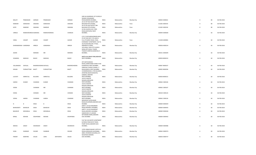|   |                       |                      |                      |                |          |              | SWAMI VIVEKANAND                                                            |              |             |             |                |    |    |             |
|---|-----------------------|----------------------|----------------------|----------------|----------|--------------|-----------------------------------------------------------------------------|--------------|-------------|-------------|----------------|----|----|-------------|
|   | MALATI                | PRABHAKAR            | SARNAIK              | PRABHAKAR      |          | SARNAIK      | ROAD, BANDRA MUMBAI,<br>JAI CO OP HSG SOCIETY, 384                          | <b>INDIA</b> | Maharashtra | Mumbai City | 400050 S000022 | -8 | 80 | 06-FEB-2018 |
|   | NAMDAR                | DARASHAH             | SANJANA              | DARASHAH       |          | SANJANA      | BHAVANI PETH, POONA,<br>JAI CO OP HSG SOCIETY, 384                          | <b>INDIA</b> | Maharashtra | Pune        | 411002 S000193 |    | 80 | 06-FEB-2018 |
|   | KATIE                 | NAMDAR               | SANJANA              | <b>NAMDAR</b>  |          | SANJANA      | BHAVANI PETH, POONA,<br>44 SEA QUEEN, JUHU TARA                             | <b>INDIA</b> | Maharashtra | Pune        | 411002 S000194 |    | 80 | 06-FEB-2018 |
|   | URMILA                | RAMESHWARDAS AGRAWAL |                      | RAMESHWARDAS   |          | CHANSUK      | ROAD, SANTACRUZ WEST<br>MUMBAI,                                             | <b>INDIA</b> | Maharashtra | Mumbai City | 400049 A000028 |    | 60 | 06-FEB-2018 |
|   |                       |                      |                      |                |          |              | C/O V S KOCHARGAONKAR, AKHIL<br>CO OP HSG SOCY LTD, BLDG 3                  |              |             |             |                |    |    |             |
|   | VIMAL                 | VASANT               | ALEKAR               | VASANT         |          | ALEKAR       | FLA,179 KARVE ROAD, PUNE,<br>EVERSWEET APARTMENT, FLAT B-                   | <b>INDIA</b> | Maharashtra | Pune        | 411038 A000081 | -6 | 60 | 06-FEB-2018 |
|   | DHARAMSENGH GIANSINGH |                      | ARNEJA               | GIANSINGH      |          | ARNEJA       | 20, FOUR BUNGLOW J P ROA,<br>ANDHERI W, MUM,,<br>105 GOKUL VIEW 1ST FLOOR B | <b>INDIA</b> | Maharashtra | Mumbai City | 400058 A000154 |    | 60 | 06-FEB-2018 |
|   |                       |                      |                      |                |          |              | WING, OPP GOKUL TOWER<br>THAKUR COMPLEX, KANDIVALI E                        |              |             |             |                |    |    |             |
|   | <b>ASHOK</b>          |                      | MORARJI              | MR             |          | MORARJI      | MUMBAI,                                                                     | <b>INDIA</b> | Maharashtra | Mumbai City | 400101 A000209 |    | 60 | 06-FEB-2018 |
|   | SUNANDA               | MADHAV               | BHAVE                | MADHAV         |          | BHAVE        | SMITA LALLUBHAI PARK, ANDHERI<br>WEST MUMBAI,,                              | <b>INDIA</b> | Maharashtra |             | 400058 B000210 |    | 60 | 06-FEB-2018 |
|   |                       |                      |                      |                |          |              |                                                                             |              |             | Mumbai City |                |    |    |             |
|   |                       |                      |                      |                |          |              | OFF MATHURADAS<br>ROAD, LAXMICHAND CHAWL R NO                               |              |             |             |                |    |    |             |
|   | VALLABHDAS            | DAYALAL              | BHADRESHWARA DAYALAL |                |          | BHADRESHWARA | 8, KANDIVALI WEST, MUMBAI                                                   | <b>INDIA</b> | Maharashtra | Mumbai City | 400067 B000237 |    | 60 | 06-FEB-2018 |
|   | KISHAN                | PURSHOTTAM           | <b>BHATT</b>         | PURSHOTTAM     |          | BHATT        | HARIVIJAY CHOGLE CHAWL,L T<br>ROAD, BORIVLI WEST, MUMBAI                    | <b>INDIA</b> | Maharashtra | Mumbai City | 400092 B000296 |    | 60 | 06-FEB-2018 |
|   |                       |                      |                      |                |          |              | 23 BHARDAWADI, 27/B SAUJANYA<br>APARTME, NEAR MUNICIPAL<br>GARDEN, ANDHERI  |              |             |             |                |    |    |             |
|   | LILAVATI              | AMRATLAL             | BULSARA              | AMRATLAL       |          | BULSARA      | WEST, MUMBAI,                                                               | <b>INDIA</b> | Maharashtra | Mumbai City | 400058 B000515 | -6 | 60 | 06-FEB-2018 |
|   |                       |                      |                      |                |          |              | 10/312 SHASTRI<br>NAGAR, GOREGAON                                           |              |             |             |                |    |    |             |
|   | <b>HARISH</b>         | KUMAR                | CHAINANI             | KUMAR          |          | CHAINANI     | WEST, MUMBAI,<br>10/312 SHASTRI<br>NAGAR, GOREGAON                          | <b>INDIA</b> | Maharashtra | Mumbai City | 400062 C000106 |    | 60 | 06-FEB-2018 |
|   | VEENA                 |                      | CHAINANI             | MR             |          | CHAINANI     | WEST, MUMBAI,                                                               | <b>INDIA</b> | Maharashtra | Mumbai City | 400062 C000107 |    | 60 | 06-FEB-2018 |
|   |                       |                      |                      |                |          |              | 10/312 SHASTRI<br>NAGAR, GOREGAON                                           |              |             |             |                |    |    |             |
|   | VEENA                 |                      | CHENANI              | MR             |          | CHENANI      | WEST, MUMBAI,<br>10/312 SHASTRI                                             | <b>INDIA</b> | Maharashtra | Mumbai City | 400104 C000124 |    | 60 | 06-FEB-2018 |
|   |                       |                      |                      |                |          |              | NAGAR, GOREGAON                                                             |              |             |             |                |    |    |             |
|   | VEENA                 | <b>HARISH</b>        | CHAINANI             | HARISH         |          | CHAINANI     | WEST, MUMBAI,<br>MEGHDOOT B/39, SAHAR<br>ROAD, KOLDONGRI, ANDHERI EAST      | <b>INDIA</b> | Maharashtra | Mumbai City | 400062 C000126 |    | 60 | 06-FEB-2018 |
| N |                       |                      | DESAI                | B              |          | DESAI        | <b>MUMBAI</b>                                                               | <b>INDIA</b> | Maharashtra | Mumbai City | 400069 D000429 |    | 60 | 06-FEB-2018 |
|   | BHANUMATI             | <b>BAHADUR</b>       | DESAI                | <b>BAHADUR</b> |          | DESAI        | AARTI C 14 OLD NAGARDAS<br>ROAD, ANDHERI E MUMBAI,                          | <b>INDIA</b> | Maharashtra | Mumbai City | 400069 D000435 | -6 | 60 | 06-FEB-2018 |
|   | <b>BAHADUR</b>        | MOHANLAL             | <b>DESAI</b>         | MOHANLAL       |          | DESAI        | AARTI C 14, OLD NAGARDAS<br>ROAD, ANDHERI E, MUMBAI<br>SAMADHAN G IV, SWAMI | <b>INDIA</b> | Maharashtra | Mumbai City | 400069 D000436 |    | 60 | 06-FEB-2018 |
|   | MINAL                 | <b>MOHAN</b>         | DESHPANDE            | <b>MOHAN</b>   |          | DESHPANDE    | NITYANAND MARG, ANDHERI<br>EAST, MUMBAI                                     | <b>INDIA</b> | Maharashtra | Mumbai City | 400069 D000442 | -6 | 60 | 06-FEB-2018 |
|   |                       |                      |                      |                |          |              | FLAT NO 102 MISTRY APARTMENT<br><b>B, PARASI PANCHAYAT ROAD,</b>            |              |             |             |                |    |    |             |
|   | MEDHA                 | SANJIV               | DESHMUKH             | SANJIV         |          | DESHMUKH     | PUMP HOUSE, ANDHERI EAST,<br>MUMBAI,                                        | <b>INDIA</b> | Maharashtra | Mumbai City | 400069 D000486 |    | 60 | 06-FEB-2018 |
|   |                       |                      |                      |                |          |              | 12/93 UNNAD NAGAR 3,OPP M G                                                 |              |             |             |                |    |    |             |
|   | SUNIL                 | SHANKAR              | DHUME                | SHANKAR        |          | DHUME        | ROAD, GOREGAON W, MUMBAI<br>ABDUL REHMAN BUILDING, 22 D<br>NAVAPADA BANDRA  | <b>INDIA</b> | Maharashtra | Mumbai City | 400062 D000574 |    | 60 | 06-FEB-2018 |
|   | FRANKY                | MARIYND              | SOUZA                | <b>JOHN</b>    | ANTHONYD | SOUZA        | EAST, MUMBAI,                                                               | <b>INDIA</b> | Maharashtra | Mumbai City | 400050 D000737 | -6 | 60 | 06-FEB-2018 |

SHRI SAI ASHIRWAD 1ST FLOOR,10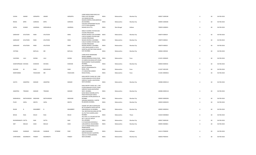| SUDHA                | ANAND              | <b>GERSAPPA</b> | ANAND           |         | GERSAPPA       | LAXMI NIWAS, PARK ROAD, VILE<br>PARLE EAST, MUMBAI<br>102 SARJAN RAYANI                   | <b>INDIA</b> | Maharashtra | Mumbai City | 400057 G000184 | -6  | 60 | 06-FEB-2018 |
|----------------------|--------------------|-----------------|-----------------|---------|----------------|-------------------------------------------------------------------------------------------|--------------|-------------|-------------|----------------|-----|----|-------------|
| REKHA                | <b>BIPIN</b>       | <b>GORODIA</b>  | <b>BIPIN</b>    |         | <b>GORODIA</b> | NAGAR, SHIMPOLI ROAD, BORIVALI<br>(W) MUMBAI,                                             | <b>INDIA</b> | Maharashtra | Mumbai City | 400092 G000283 |     | 60 | 06-FEB-2018 |
|                      |                    |                 |                 |         |                | VASUDHA APPARTMENT BLOCK<br>C1F,P O DESH BANDHU                                           |              |             |             |                |     |    |             |
| GOPAL                | <b>KUMAR</b>       | AGARWAL         | GIRDHARILAL     |         | AGARWAL        | NAGAR, CALCUTTA,<br>X083/14 GODREJ STATION SIDE                                           | <b>INDIA</b> | West Bengal | Kolkata     | 700059 G000651 |     | 60 | 06-FEB-2018 |
| GARSHASP             | <b>AFLATOON</b>    | <b>IRANI</b>    | <b>AFLATOON</b> |         | IRANI          | COLONY, PIROJSHAW<br>NAGAR, VIKHROLI EAST, MUMBAI                                         | <b>INDIA</b> | Maharashtra | Mumbai City | 400079 1000019 | -6  | 60 | 06-FEB-2018 |
|                      |                    |                 |                 |         |                | X-83/14 GODREJ STATION SIDE<br>COLONY, PIROJSHAW                                          |              |             |             |                |     |    |             |
| GARSHASP             | <b>AFLATOON</b>    | <b>IRANI</b>    | <b>AFLATOON</b> |         | <b>IRANI</b>   | NAGAR, VIKHROLI E, MUMBAI<br>X-83/14 GODREJ STATION SIDE                                  | <b>INDIA</b> | Maharashtra | Mumbai City | 400079 1000022 |     | 60 | 06-FEB-2018 |
| GARSHASP             | <b>AFLATOON</b>    | <b>IRANI</b>    | <b>AFLATOON</b> |         | <b>IRANI</b>   | COLONY, PIROJSHAW<br>NAGAR, VIKHROLI E, MUMBAI<br>3 DEVI KRUPA, NEAR S K PATIL            | <b>INDIA</b> | Maharashtra | Mumbai City | 400079 1000023 |     | 60 | 06-FEB-2018 |
| <b>JYOTSNA</b>       |                    | <b>BAPULAL</b>  | <b>MR</b>       |         | BAPULAL        | HOSPITAL, DAFTARY ROAD MALAD<br>EAST, MUMBAI                                              | <b>INDIA</b> | Maharashtra | Mumbai City | 400064 J000344 | -6  | 60 | 06-FEB-2018 |
|                      |                    |                 |                 |         |                | LAXMI NIVAS NAINANAND<br>SOCIETY, ANAND                                                   |              |             |             |                |     |    |             |
| VIJAYSING            | LALJI              | KHONA           | LALI            |         | KHONA          | NAGAR, SENHAGAD ROAD, PUNE<br>23 HARESH BHUWAN, 30TH ROAD<br>NEAR BANDRA TALKIES, BANDRA  | <b>INDIA</b> | Maharashtra | Pune        | 411051 K000445 |     | 60 | 06-FEB-2018 |
| SHANTAPRASAD DEVIDAS |                    | <b>KOWSHIK</b>  | <b>DEVIDAS</b>  |         | <b>KOWSHIK</b> | MUMBAI,<br>36/3 VRINDAVAN                                                                 | <b>INDIA</b> | Maharashtra | Mumbai City | 400050 K000542 |     | 60 | 06-FEB-2018 |
| <b>KAUSHIK</b>       | M                  | SHAH            | MURLIDHAR       |         | SHAH           | SOCIETY, SHAHKARSHETH<br>ROAD, PUNE<br>271 MAHATMA GANDHI                                 | <b>INDIA</b> | Maharashtra | Pune        | 411037 K001509 |     | 60 | 06-FEB-2018 |
| MARIYAMBAI           |                    | FIDAHUSEN       | MR              |         | FIDAHUSEN      | ROAD, POONA,,                                                                             | <b>INDIA</b> | Maharashtra | Pune        | 411001 M000016 | -6  | 60 | 06-FEB-2018 |
|                      |                    |                 |                 |         |                | KANJI MISTRY CHAWL NO 2,2ND<br>FLOOR SANGHAVI ESTATE, NEAR<br>SHREYAS TALKIES, GHATKOPAR  |              |             |             |                |     |    |             |
| SAVITA               | ANANTRAI           | <b>MANIAR</b>   | ANANTRAI        |         | MANIAR         | WEST, MUMBAI                                                                              | <b>INDIA</b> | Maharashtra | Mumbai City | 400086 M000114 | 6   | 60 | 06-FEB-2018 |
|                      |                    |                 |                 |         |                | KANJI MISTRY CHAWL NO 2, 2ND<br>FLOOR, SANGHAVI ESTATE, NEAR<br>SHREYAS TALKIE, GHATKOPAR |              |             |             |                |     |    |             |
| ANANTRAI             | TRIKAMJI           | <b>MANIAR</b>   | TRIKAMJI        |         | MANIAR         | WEST, MUMBAI,<br>B/302 MRUD KISHORE, DATTA                                                | <b>INDIA</b> | Maharashtra | Mumbai City | 400086 M000118 | -6  | 60 | 06-FEB-2018 |
|                      |                    |                 |                 |         |                | PADA PHATAK, B/H GOKUL<br>SHOPPING CENTRE, BORIVALI W                                     |              |             |             |                |     |    |             |
| MANHARLAL            | MATHURADAS MADHANI |                 | MATHURADAS      |         | MADHANI        | <b>MUMBAI</b><br>SANJANA MANSION,1 CARTER                                                 | <b>INDIA</b> | Maharashtra | Mumbai City | 400092 M000206 | -6  | 60 | 06-FEB-2018 |
| PILOO                | SAPAL              | MEHTA           | SAPAL           |         | MEHTA          | RD, BANDRA MUMBAI,                                                                        | <b>INDIA</b> | Maharashtra | Mumbai City | 400050 M000235 |     | 60 | 06-FEB-2018 |
|                      |                    |                 |                 |         |                | VASANT APT 2ND FLOOR BLOCK<br>NO 10, SHIMPOLI ROAD KASTUR                                 |              |             |             |                |     |    |             |
| RAJAN                | В                  | MHAMBREY        | $\overline{B}$  |         | MHAMBREY       | PARK, BORIVALI W MUMBAI,<br>702, WESTEND BUILDING, SECTOR<br>19, PLOT NO.10, NERUL, NAVI  | <b>INDIA</b> | Maharashtra | Mumbai City | 400092 M000541 | - 6 | 60 | 06-FEB-2018 |
| BHOJA                | RAJA               | MULKI           | RAJA            |         | MULKI          | MUMBAI<br>45/1758 C G S COLONY, SECTOR<br>NO 7 S M PLOT, ANTOP                            | <b>INDIA</b> | Maharashtra | Thane       | 416544 M000820 |     | 60 | 06-FEB-2018 |
| RAVINDRANATH DATTA   |                    | <b>NAIK</b>     | DATTA           |         | <b>NAIK</b>    | HILL, MUMBAI<br>D-10 SAIDHAM, SODAWALA                                                    | <b>INDIA</b> | Maharashtra | Mumbai City | 400037 N000160 |     | 60 | 06-FEB-2018 |
| SMT                  | NEELAH             | SHAH            | NEELAH          |         | SHAH           | LANE, BORIVALI [W], MUMBAI<br>C/O S G PRABHUDESAI, 10/12<br>PRABHUDESAI                   | <b>INDIA</b> | Maharashtra | Mumbai City | 400092 N000821 |     | 60 | 06-FEB-2018 |
| SHARAD               | SHANKAR            | PARCHURE        | SHANKAR         | SITARAM | PARC           | WADA, NAGARPALIKA<br>LANE, ICHALKARNJI<br>WESTER RAILWAY QUARTERS                         | <b>INDIA</b> | Maharashtra | Kolhapur    | 416115 P000039 |     | 60 | 06-FEB-2018 |
| CHINTAMAN            | KEDARNATH          | PANDEY          | KEDARNATH       |         | PANDEY         | 183/11,S V ROAD, BANDRA<br>WEST, MUMBAI                                                   | <b>INDIA</b> | Maharashtra | Mumbai City | 400050 P000343 | -6  | 60 | 06-FEB-2018 |
|                      |                    |                 |                 |         |                |                                                                                           |              |             |             |                |     |    |             |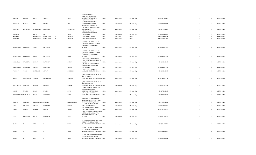|                         |                  |                      |                   |   |               | B 2/12 PANCHAVATI                                         |              |             |             |                |    |    |             |
|-------------------------|------------------|----------------------|-------------------|---|---------------|-----------------------------------------------------------|--------------|-------------|-------------|----------------|----|----|-------------|
|                         |                  |                      |                   |   |               | APARTMENTS, JUHU LANE                                     |              |             |             |                |    |    |             |
| MADHU                   | VASANT           | PATIL                | VASANT            |   | PATIL         | ANDHERI WEST, MUMBAI,                                     | <b>INDIA</b> | Maharashtra | Mumbai City | 400058 P000489 | 6  | 60 | 06-FEB-2018 |
|                         |                  |                      |                   |   |               | <b>B 2/12 PANCHAVATI</b>                                  |              |             |             |                |    |    |             |
| MADHAVI                 | MADHU            | PATIL                | MADHU             |   | PATIL         | APARTMENTS, JUHU LANE<br>ANDHERI WEST, MUMBAI,            | <b>INDIA</b> |             |             | 400058 P000490 | -6 | 60 | 06-FEB-2018 |
|                         |                  |                      |                   |   |               | JEEVAA TARA BUILDING BLOCK 27                             |              | Maharashtra | Mumbai City |                |    |    |             |
|                         |                  |                      |                   |   |               | 2ND FL, AZAD ROAD, VILE PARLE                             |              |             |             |                |    |    |             |
| TAHERBHOY               | <b>ESOOFALLY</b> | RANGWALLA            | ESOOFALLY         |   | RANGWALLA     | EAST MUMBAI,                                              | <b>INDIA</b> | Maharashtra | Mumbai City | 400057 R000050 |    | 60 | 06-FEB-2018 |
|                         |                  |                      |                   |   |               | 403 ARADHANA, A 14                                        |              |             |             |                |    |    |             |
|                         |                  |                      |                   |   |               | GOKULDHAM, GOREGAON                                       |              |             |             |                |    |    |             |
| THANMAL                 |                  | RATHI                | MR                |   | RATHI         | EAST, MUMBAI                                              | <b>INDIA</b> | Maharashtra | Mumbai City | 400063 R000098 | -6 | 60 | 06-FEB-2018 |
| RUBABBAI                |                  | <b>FIDAHUSAIN</b>    | <b>FIDAHUSAIN</b> | M | WAHEDAL       | 271 M G ROAD, POONA,,                                     | <b>INDIA</b> | Maharashtra | Pune        | 411001 R000176 | -6 | 60 | 06-FEB-2018 |
| SAKINABAI               |                  | FIDAHUSAIN           | FIDAHUSAIN        | M | WAHEDAL       | 271 M G ROAD, POONA,,                                     | <b>INDIA</b> | Maharashtra | Pune        | 411001 S000020 | -6 | 60 | 06-FEB-2018 |
|                         |                  |                      |                   |   |               |                                                           |              |             |             |                |    |    |             |
|                         |                  |                      |                   |   |               | SAVITA SADAN 2ND FLOOR BL                                 |              |             |             |                |    |    |             |
|                         |                  |                      |                   |   |               | 5, NR VAIBHAV HOTEL, ANDHERI                              |              |             |             |                |    |    |             |
|                         |                  |                      |                   |   |               | SAHAR ROAD, ANDHERI EAST,                                 |              |             |             |                |    |    |             |
| SAVITAGAURI             | BALDEVDAS        | SHAH                 | BALDEVDAS         |   | SHAH          | MUMBAI,                                                   | <b>INDIA</b> | Maharashtra | Mumbai City | 400069 S000379 | 6  | 60 | 06-FEB-2018 |
|                         |                  |                      |                   |   |               |                                                           |              |             |             |                |    |    |             |
|                         |                  |                      |                   |   |               | SAVITA SADAN 2ND FLOOR BL                                 |              |             |             |                |    |    |             |
|                         |                  |                      |                   |   |               | 5, NR VAIBHAV HOTEL, ANDHERI                              |              |             |             |                |    |    |             |
|                         |                  |                      |                   |   |               | SAHAR ROAD, ANDHERI EAST,                                 |              |             |             |                |    |    |             |
| SAVITAGAURI             | BALDEVDAS        | SHAH                 | BALDEVDAS         |   | SHAH          | MUMBAI,                                                   | <b>INDIA</b> | Maharashtra | Mumbai City | 400069 S000395 | 6  | 60 | 06-FEB-2018 |
|                         |                  |                      |                   |   |               | 1/26 VASUDEO NAGAR, PARSI<br>PUNCHAYET ROAD, ANDHERI EAST |              |             |             |                |    |    |             |
| KUNDAPUR                | NARENDRA         | SHENOY               | NARENDRA          |   | SHENOY        | MUMBAI,                                                   | <b>INDIA</b> | Maharashtra | Mumbai City | 400069 S000397 |    | 60 | 06-FEB-2018 |
|                         |                  |                      |                   |   |               | 1/26 VASUDEO NAGAR, PARSI                                 |              |             |             |                |    |    |             |
|                         |                  |                      |                   |   |               | PUNCHAYET ROAD, ANDHERI                                   |              |             |             |                |    |    |             |
| ANNAPURNA               | NARENDRA         | SHENOY               | NARENDRA          |   | SHENOY        | EAST, MUMBAI                                              | <b>INDIA</b> | Maharashtra | Mumbai City | 400069 S000414 | 6  | 60 | 06-FEB-2018 |
|                         |                  |                      |                   |   |               | 1/26 VASUDEV NAGAR, P P                                   |              |             |             |                |    |    |             |
| ARCHANA                 | ANANT            | SHIRODKAR            | ANANT             |   | SHIRODKAR     | ROAD, ANDHERI EAST, MUMBAI                                | <b>INDIA</b> | Maharashtra | Mumbai City | 400069 S000667 | -6 | 60 | 06-FEB-2018 |
|                         |                  |                      |                   |   |               |                                                           |              |             |             |                |    |    |             |
|                         |                  |                      |                   |   |               | 3/7 SARASWAT SUBURBAN CO OP                               |              |             |             |                |    |    |             |
|                         |                  |                      |                   |   |               | HSG SOC, TALMIKI                                          |              |             |             |                |    |    |             |
| ARUNA                   | MAHESHWAR        | SHARMA               | MAHESHWAR         |   | SHARMA        | ROAD, SANTACRUZ WEST, MUMBAI INDIA                        |              | Maharashtra | Mumbai City | 400054 S000754 | 6  | 60 | 06-FEB-2018 |
|                         |                  |                      |                   |   |               |                                                           |              |             |             |                |    |    |             |
|                         |                  |                      |                   |   |               | 3/7 SARASWAT SUBURBAN CO OP                               |              |             |             |                |    |    |             |
|                         |                  |                      |                   |   |               | HSG SOCY, TALMIKI                                         |              |             |             |                |    |    |             |
| MAHESHWAR               | <b>DIWAKER</b>   | SHARMA               | DIWAKER           |   | SHARMA        | ROAD, SANTACRUZ WEST, MUMBAI INDIA                        |              | Maharashtra | Mumbai City | 400054 S000755 |    | 60 | 06-FEB-2018 |
|                         |                  |                      |                   |   |               | C 3 H 12 MAHAVIR SOCIETY, UST<br>FLOOR, SHANKAR LANE,     |              |             |             |                |    |    |             |
| KUSUM                   | RAMESH           | SHAH                 | RAMESH            |   | SHAH          | KANDIWALI WEST, MUMBAI,                                   | <b>INDIA</b> | Maharashtra | Mumbai City | 400067 S000807 | 6  | 60 | 06-FEB-2018 |
|                         |                  |                      |                   |   |               | ARTI 7 A,OLD NAGARDAS                                     |              |             |             |                |    |    |             |
| SURESHCHANDR/ CHIMANLAL |                  | SHAH                 | CHIMANLAL         |   | SHAH          | ROAD, ANDHERI EAST, MUMBAI                                | <b>INDIA</b> | Maharashtra | Mumbai City | 400069 S000992 | 6  | 60 | 06-FEB-2018 |
|                         |                  |                      |                   |   |               |                                                           |              |             |             |                |    |    |             |
|                         |                  |                      |                   |   |               | SUKH SHANTI 1ST FLOOR,65/6                                |              |             |             |                |    |    |             |
|                         |                  |                      |                   |   |               | NUTAN LAXMI SOCIETY, N S ROAD                             |              |             |             |                |    |    |             |
| <b>TRICHUR</b>          | KRISHNAN         | SUBRAMANIAM KRISHNAN |                   |   | SUBRAMANIAM   | NO 8 JUHU SCHEME, MUMBAI                                  | <b>INDIA</b> | Maharashtra | Mumbai City | 400049 T000250 |    | 60 | 06-FEB-2018 |
|                         |                  |                      |                   |   |               | 15 GAUTAM, V M ROAD, VILE                                 |              |             |             |                |    |    |             |
| VIJAY                   | DAMODAR          | <b>TRIVEDI</b>       | DAMODAR           |   | TRIVEDI       | PARLE WEST, MUMBAI                                        | <b>INDIA</b> | Maharashtra | Mumbai City | 400056 T000257 | -6 | 60 | 06-FEB-2018 |
|                         |                  |                      |                   |   |               | A 20 CUSROW BAUG, COLABA                                  |              |             |             |                |    |    |             |
| <b>BANOO</b>            | <b>MINOO</b>     | UNVALA               | <b>MINOO</b>      |   | <b>UNVALA</b> | CAUSEWAY, MUMBAI,                                         | <b>INDIA</b> | Maharashtra | Mumbai City | 400039 U000056 |    | 60 | 06-FEB-2018 |
|                         |                  |                      |                   |   |               | VIRESHWAR DARSHAN, BLDG NO 5                              |              |             |             |                |    |    |             |
|                         |                  |                      |                   |   |               | 1ST FLR, GANGARAM BHAVAN,                                 |              |             |             |                |    |    |             |
| <b>USHA</b>             | KRISHNALAL       | DALAL                | KRISHNALAL        |   | DALAL         | INDULKAR MARG, VILE PARLE E,<br>MUMBAI,                   | <b>INDIA</b> |             | Mumbai City | 400057 U000096 | -6 | 60 | 06-FEB-2018 |
|                         |                  |                      |                   |   |               |                                                           |              | Maharashtra |             |                |    |    |             |
|                         |                  |                      |                   |   |               | 34 GURUCHHAYA CO OP SOCY, 5TH                             |              |             |             |                |    |    |             |
|                         |                  |                      |                   |   |               | FLOOR FLAT NO 58, MANISH                                  |              |             |             |                |    |    |             |
| SARLA                   | R                | VAKIL                | $\mathsf{R}$      |   | VAKIL         | NAGAR ANDHERI WEST, MUMBAI INDIA                          |              | Maharashtra | Mumbai City | 400058 V000098 | 6  | 60 | 06-FEB-2018 |
|                         |                  |                      |                   |   |               |                                                           |              |             |             |                |    |    |             |
|                         |                  |                      |                   |   |               | 34 GURUCHHAYA CO OP SOCY, 5TH                             |              |             |             |                |    |    |             |
|                         |                  |                      |                   |   |               | FLOOR FLAT NO 58, MANISH                                  |              |             |             |                |    |    |             |
| KUNAL                   | $\mathsf{R}$     | VAKIL                | $\mathsf{R}$      |   | VAKIL         | NAGAR ANDHERI WEST, MUMBAI INDIA                          |              | Maharashtra | Mumbai City | 400058 V000099 | -6 | 60 | 06-FEB-2018 |
|                         |                  |                      |                   |   |               |                                                           |              |             |             |                |    |    |             |
|                         |                  |                      |                   |   |               | 34 GURUCHHAYA CO OP SOCY, 5TH                             |              |             |             |                |    |    |             |
|                         |                  |                      |                   |   |               | FLOOR FLAT NO 58, MANISH                                  |              |             |             |                |    |    |             |
| KUNAL                   | R                | VAKIL                | $\mathsf{R}$      |   | VAKIL         | NAGAR ANDHERI WEST, MUMBAI INDIA                          |              | Maharashtra | Mumbai City | 400058 V000100 | -6 | 60 | 06-FEB-2018 |
|                         |                  |                      |                   |   |               |                                                           |              |             |             |                |    |    |             |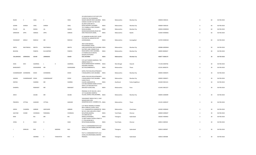|              |                       |                   |               |                |            |               | FLOOR FLAT NO 58, MANISH                                                             |              |             |                 |                |                         |                 |             |
|--------------|-----------------------|-------------------|---------------|----------------|------------|---------------|--------------------------------------------------------------------------------------|--------------|-------------|-----------------|----------------|-------------------------|-----------------|-------------|
|              | RAJEN                 | C                 | VAKIL         | $\mathsf{C}$   |            | VAKIL         | NAGAR ANDHERI WEST, MUMBAI INDIA<br>SCINDIA COLONY FLAT NO F/49-                     |              | Maharashtra | Mumbai City     | 400058 V000101 | 6                       | 60              | 06-FEB-2018 |
|              | SOHINI                | SHIRISH           | VAKIL         | SHIRISH        |            | VAKIL         | 50,2ND FLOOR SIR N V<br>ROAD, ANDHERI E, MUMBAI<br>701 CUMBALLA CREST, PEDDER        | <b>INDIA</b> | Maharashtra | Mumbai City     | 400069 V000103 | 6                       | 60              | 06-FEB-2018 |
|              | PILLOO                | JAL               | WADIA         | JAL            |            | WADIA         | ROAD, MUMBAI,                                                                        | <b>INDIA</b> | Maharashtra | Mumbai City     | 400036 W000034 | 6                       | 60              | 06-FEB-2018 |
|              | SHRIDHAR              | APPA              | <b>HARDAS</b> | APPA           |            | <b>HARDAS</b> | MURLIDHAR BHAVAN, HOUSE NO<br>4445 PANCHAVATI, NASIK,                                | <b>INDIA</b> | Maharashtra | Nashik          | 422003 W000061 | 6                       | 60              | 06-FEB-2018 |
|              |                       |                   |               |                |            |               | AT DHAMORI KHURD, POST LASUR<br>STATION, TAL GANGAPUR DIST                           |              |             |                 |                |                         |                 |             |
|              | YESHWANT              | GENUJI            | RANVILE       | ${\sf MR}$     |            | RANVILE       | AURANGABAD,                                                                          | <b>INDIA</b> | Maharashtra | Aurangabad      | 423702 W000102 | 6                       | 60              | 06-FEB-2018 |
|              |                       |                   |               |                |            |               | 3RD FLOOR MADHU<br>KUNJ, NAOROJI CROSS                                               |              |             |                 |                |                         |                 |             |
|              | SMITA                 | NAUTAMLAL         | MEHTA         | NAUTAMLAL      |            | MEHTA         | LANE, GHATKOPAR WEST, MUMBAI INDIA<br>FACTORY LANE CORNER, TILAK                     |              | Maharashtra | Mumbai City     | 400086 M000464 | 5                       | 50              | 06-FEB-2018 |
|              | <b>BHAVNA</b>         |                   | PANDYA        | KULVANTRAY     |            | PANDYA        | ROAD BORIVLI WEST, MUMBAI,<br>A-9 INDRALOK, R B MEHTA                                | <b>INDIA</b> | Maharashtra | Mumbai City     | 400092 B000637 | $\overline{4}$          | 40              | 06-FEB-2018 |
|              | VALLABHDAS            | <b>JAMNADAS</b>   | ASHAR         | JAMNADAS       |            | ASHAR         | NAGAR, GHATKOPER<br>EAST, MUMBAI                                                     | <b>INDIA</b> | Maharashtra | Mumbai City     | 400077 A000170 | $\mathbf{3}$            | 30              | 06-FEB-2018 |
|              |                       |                   |               |                |            |               | C/O LALIT KUMAR AGARWAL, 7 SRI                                                       |              |             |                 |                |                         |                 |             |
|              | ASHA                  | DEVI              | AGARWAL       | $\blacksquare$ | К          | AGARWAL       | ARBIND ROAD PO<br>SALKIA, BANDHAGHAT HOWRAH, INDIA                                   |              | West Bengal | Howrah          | 711106 A000766 | $\overline{3}$          | 30              | 06-FEB-2018 |
|              |                       |                   |               |                |            |               | SADHANA, VADOWLI                                                                     |              |             |                 |                |                         |                 |             |
|              | BHANUMATI             |                   | EASHWARAN     | <b>MR</b>      |            | EASHWARAN     | SECTION, AMBERNATH,                                                                  | <b>INDIA</b> | Maharashtra | Thane           | 421501 B000276 | $\overline{3}$          | 30              | 06-FEB-2018 |
|              | CHANDRAKANT AVENINDRA |                   | <b>DOSHI</b>  | AVENINDRA      |            | DOSHI         | GOPAL PURI 502, DOULATNAGAR S<br>V ROAD, BORIVLI EAST, MUMBAI                        | <b>INDIA</b> | Maharashtra | Mumbai City     | 400092 D000670 | $\overline{3}$          | 30              | 06-FEB-2018 |
|              | ANJANA                | CHANDRAKANT DOSHI |               | CHANDRAKANT    |            | DOSHI         | GOPAL PURI 502, DOULATNAGAR S<br>V ROAD, BORIVLI EAST, MUMBAI INDIA<br>N-89/2, TELCO |              | Maharashtra | Mumbai City     | 400092 D000671 | $\overline{3}$          | 30              | 06-FEB-2018 |
|              | DEEPAK                |                   | SHARMA        | MR             |            | SHARMA        | COLONY, JAMSHEDPUR,<br>C/O ANIL NEMANI SHARE & STOCK                                 | <b>INDIA</b> | Jharkhand   | Purba Singhbhum | 831004 D001241 | $\overline{\mathbf{3}}$ | 30              | 06-FEB-2018 |
|              | DHANPAL               |                   | RANAWAT       | MR             |            | RANAWAT       | SERVIC, 107 BHAVANI PETH<br>GROUND FLOOR, PUNE,                                      | <b>INDIA</b> | Maharashtra | Pune            | 411042 D001257 | $\overline{3}$          | 30              | 06-FEB-2018 |
|              |                       |                   |               |                |            |               | PRERANA CO OP HSG SOC, 105 B<br>1ST FLO, BEHIND SHIMPOLI                             |              |             |                 |                |                         |                 |             |
|              | ARUN                  |                   | GAUBA         | $\sf MR$       |            | GAUBA         | VILLAGE, BORIVLI WES, MUMBAI, INDIA                                                  |              | Maharashtra | Mumbai City     | 400092 G000099 | $\overline{\mathbf{3}}$ | 30              | 06-FEB-2018 |
|              |                       |                   |               |                |            |               | YASHAWANT NIWAS R NO 2, VIJAY<br>NAGAR, NEAR AYRE                                    |              |             |                 |                |                         |                 |             |
|              | PRADNYA               | VITTHAL           | GAWADE        | VITTHAL        |            | GAWADE        | GRAMPANCHAYAT, DOMBIVLI EA,, INDIA                                                   |              | Maharashtra | Thane           | 421201 G000107 | $\mathbf{3}$            | 30              | 06-FEB-2018 |
|              |                       |                   |               |                |            |               | C/O TRIVDI TRADERS, 9 CHANDU<br>BHAI COMPLEX,, GOKUL GALLI,                          |              |             |                 |                |                         |                 |             |
|              | <b>GIRISH</b>         | CHANDRA           | AMBANI        | AMICHAND       |            | AMBANI        | P.O. CHANDRAPUR, CHANDRAPUR INDIA<br>NO 22/1 2ND LANE, APPU STREET                   |              | Maharashtra | Chandrapur      | 442402 G000642 | $\overline{\mathbf{3}}$ | 30              | 06-FEB-2018 |
|              | GAUTAM                | CHAND             | CHORADIA      | PARASMAL       |            | CHORADIA      | MYLAPORE, MADRAS,                                                                    | <b>INDIA</b> | Tamil Nadu  | Chennai         | 600004 G000647 | $\overline{\mathbf{3}}$ | 30              | 06-FEB-2018 |
|              | RAM                   |                   | RAJ           | $\sf MR$       |            | RAJ           | 23-6-868 SHA-ALI-<br>BANDA, HYDERABAD,,                                              | <b>INDIA</b> | Telangana   | Hyderabad       | 500265 H000463 | $\overline{\mathbf{3}}$ | 30              | 06-FEB-2018 |
|              |                       |                   |               |                |            |               | 12 WEST MADA CHURCH STREET R<br>C C TRU, ROOM NO 6                                   |              |             |                 |                |                         |                 |             |
|              | <b>JIVRAJ</b>         | D                 | SHAH          | D              |            | SHAH          | ROYAPURAM, MADRAS,                                                                   | <b>INDIA</b> | Tamil Nadu  | Chennai         | 600013 J000544 | $\overline{3}$          | 30 <sup>°</sup> | 06-FEB-2018 |
|              |                       |                   |               |                |            |               | PLOT 11 CHAINNANNATHOTA OLD<br>ALWAL, SECUNDERABAD, ANDHRA                           |              |             |                 |                |                         |                 |             |
| J            |                       | SRINIVAS          | RAO           | $\perp$        | NARSING    | RAO           | PRADESH,                                                                             | <b>INDIA</b> | Telangana   | Hyderabad       | 500010 J000587 | $\overline{\mathbf{3}}$ | 30              | 06-FEB-2018 |
|              |                       |                   |               |                |            |               | PLOT 11 CHINNAMMATHOTA OLD<br>ALWAL, SECUNDERABAD, ANDHRA                            |              |             |                 |                |                         |                 |             |
| $\mathbf{I}$ |                       |                   | SWARNA        | $\mathsf{V}$   | THIRUPATHI | <b>RAO</b>    | PRADESH,                                                                             | <b>INDIA</b> | Telangana   | Hyderabad       | 500010 J000588 | $\overline{3}$          | 30              | 06-FEB-2018 |

34 GURUCHHAYA CO OP SOCY,5TH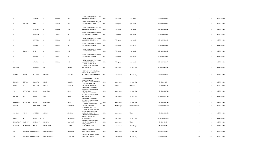|                 |                        | SWARNA          | J              | SRINIVAS | RAO             | PLOT 11 CHINNANNA THOTA, OLD<br>ALWAL, SECUNDERABAD,                                                             | <b>INDIA</b> | Telangana   | Hyderabad         | 500010 J000789 | $\overline{\mathbf{3}}$ | 30   | 06-FEB-2018 |
|-----------------|------------------------|-----------------|----------------|----------|-----------------|------------------------------------------------------------------------------------------------------------------|--------------|-------------|-------------------|----------------|-------------------------|------|-------------|
| $\mathbf{J}$    | SRINIVAS               | RAO             | J              | NARSING  | RAO             | PLOT 11 CHINNANNA THOTA, OLD<br>ALWAL, SECUNDERABAD,                                                             | <b>INDIA</b> | Telangana   | Hyderabad         | 500010 J000790 | $\overline{3}$          | 30   | 06-FEB-2018 |
| J               |                        | ARAVIND         | J              | SRINIVAS | RAO             | PLOT 11 CHINNANNA THOTA, OLD<br>ALWAL, SECUNDERABAD,                                                             | <b>INDIA</b> | Telangana   | Hyderabad         | 500010 J000791 | $\overline{\mathbf{3}}$ | 30   | 06-FEB-2018 |
| <b>J</b>        |                        | ARAVIND         | $\mathbf{J}$   | SRINIVAS | RAO             | PLOT 11 CHINNANNATHOTA, OLD<br>ALWAL, SECUNDERABAD AP,                                                           | <b>INDIA</b> | Telangana   | Hyderabad         | 500010 J000802 | $\overline{3}$          | 30   | 06-FEB-2018 |
| $\mathsf{J}$    |                        | SWARNA          | J              | SRINIVAS | RAO             | PLOT 11 CHINNANNATHOTA, OLD<br>ALWAL, SECUNDERABAD AP,                                                           | <b>INDIA</b> | Telangana   | Hyderabad         | 500010 J000803 | $\overline{\mathbf{3}}$ | 30   | 06-FEB-2018 |
| J               |                        | SWARNA          | IJ             | SRINIVAS | RAO             | PLOT 11 CHINNANNATHOTA, OLD<br>ALWAL, SECUNDERABAD,                                                              | <b>INDIA</b> | Telangana   | Hyderabad         | 500010 J000804 | $\overline{\mathbf{3}}$ | 30   | 06-FEB-2018 |
| J               | SRINIVAS               | RAO             | J              | NARSING  | RAO             | PLOT 11 CHINNANNATHOTA, OLD<br>ALWAL, SECUNDERABAD,                                                              | <b>INDIA</b> | Telangana   | Hyderabad         | 500010 J000805 | $\overline{3}$          | 30   | 06-FEB-2018 |
| ال              |                        | SWARNA          | $\overline{1}$ | SRINIVAS | RAO             | PLOT 11 CHINNANNATHOTA, OLD<br>ALWAL, SECUNDERABAD,                                                              | <b>INDIA</b> | Telangana   | Hyderabad         | 500010 J000806 | $\overline{\mathbf{3}}$ | 30   | 06-FEB-2018 |
| J               |                        | ARAVIND         | $\Box$         | SRINIVAS | RAO             | PLOT 11 CHINNANNATHOTA, OLD<br>ALWAL, SECUNDERABAD,<br>KHAJURIA BUNGALOW,155                                     | <b>INDIA</b> | Telangana   | Hyderabad         | 500010 J000807 | $\overline{\mathbf{3}}$ | 30   | 06-FEB-2018 |
| KARSANDAS       |                        | <b>JIVANDAS</b> | MR             |          | <b>JIVANDAS</b> | KHAJURIA ROAD, KANDIVALI<br>WEST, MUMBAI                                                                         | <b>INDIA</b> | Maharashtra | Mumbai City       | 400067 K000216 | $\overline{3}$          | 30   | 06-FEB-2018 |
| DEEPAK          | <b>DEVIDAS</b>         | KULKARNI        | <b>DEVIDAS</b> |          | KULKARNI        | 518 DARSHANA APARTMENT,90<br>FEET ROAD SANE GURUJI<br>NAGAR, MULUND EAST, MUMBAI                                 | <b>INDIA</b> | Maharashtra | Mumbai City       | 400081 K000653 | $\overline{3}$          | 30   | 06-FEB-2018 |
| SHAILAJA        | <b>DEVIDAS</b>         | KULKARNI        | <b>DEVIDAS</b> |          | KULKARNI        | 518 DARSHANA APTS, 90 FEET<br>ROAD SANE GURUJI<br>NAGAR, MULUND EAST, MUMBAI INDIA                               |              | Maharashtra | Mumbai City       | 400081 K000654 | $\overline{\mathbf{3}}$ | 30   | 06-FEB-2018 |
| KULDIP          | D                      | GAUTAM          | <b>DURGA</b>   |          | GAUTAM          | AT/PO GOAUDABA, VIA<br>THELAMARA,, SONITPUR<br>A 9 GAUTAM NAGAR 2ND                                              | <b>INDIA</b> | Assam       | Sonitpur          | 784149 K001555 | $\overline{\mathbf{3}}$ | 30   | 06-FEB-2018 |
| AJIT            | JAYANTILAL             | MODI            | JAYANTILAL     |          | MODI            | FLOOR, TILAK ROAD BORIVLI<br>WEST, MUMBAI,<br>A 9 GAUTAM NAGAR 2ND                                               | <b>INDIA</b> | Maharashtra | Mumbai City       | 400092 M000713 | $\overline{\mathbf{3}}$ | 30   | 06-FEB-2018 |
| <b>BHAVNA</b>   | AJIT                   | <b>MODI</b>     | AJIT           |          | MODI            | FLOOR, TILAK ROAD BORIVLI<br>WEST, MUMBAI,<br>A 9 GAUTAM NAGAR 2ND                                               | <b>INDIA</b> | Maharashtra | Mumbai City       | 400092 M000714 | $\overline{3}$          | 30   | 06-FEB-2018 |
| <b>GOMTIBEN</b> | JAYANTILAL             | <b>MODI</b>     | JAYANTILAL     |          | MODI            | FLOOR, TILAK ROAD BORIVLI<br>WEST, MUMBAI,                                                                       | <b>INDIA</b> | Maharashtra | Mumbai City       | 400092 M000715 | $\overline{3}$          | 30   | 06-FEB-2018 |
| MADHU           |                        | SINGHANIA       | <b>BIMAL</b>   |          | SINGHANIA       | EC 207 2ND FLOOR, SECTOR 1 SALT<br>LAKE CITY, CALCUTTA,<br>6 PRATIBHA COOP HSG SOC<br>LTD, NEAR M S E B CONSUMER | <b>INDIA</b> | West Bengal | South 24 Parganas | 700064 M001260 | $\overline{\mathbf{3}}$ | 30   | 06-FEB-2018 |
| MANDAN          | ASHOK                  | AMDEKAR         | <b>ASHOK</b>   |          | AMDEKAR         | SERVISING CENT, AGARKAR<br>ROAD, DOMBIVALI EAST<br>A-7 MUKTANAND CO-OP HSG                                       | <b>INDIA</b> | Maharashtra | Thane             | 421201 M001263 | $\overline{3}$          | 30   | 06-FEB-2018 |
| MEERA           | $\mathsf{R}$           | MANGUDKAR       |                |          | MANGUDKAR       | SOC, HALL ROAD KURLA<br>(W), MUMBAI-70,                                                                          | <b>INDIA</b> | Maharashtra | Mumbai City       | 400070 M001442 | $\overline{3}$          | 30   | 06-FEB-2018 |
| SUNDARKANT      | MADHAV                 | NAGARKAR        | MADHAV         |          | NAGARKAR        | SHRIRAM NIWAS ROOM NO<br>2, KOPRI VILLAGE, THANE,                                                                | <b>INDIA</b> | Maharashtra | Thane             | 400603 N000056 | $\overline{\mathbf{3}}$ | 30   | 06-FEB-2018 |
| SADHANA         | MANSUKHLAL             | <b>NAHAR</b>    | MANSUKHLAL     |          | <b>NAHAR</b>    | SHREE, STATION<br>ROAD, AHMEDNAGAR,                                                                              | <b>INDIA</b> | Maharashtra | Ahmednagar        | 414001 N000129 | $\overline{3}$          | 30   | 06-FEB-2018 |
| DR              | DILEEPMAHADEC NADKARNI |                 | DILEEPMAHADEO  |          | NADKARNI        | B-406 K K TOWER, G D AMBEKAR<br>MARG PAREL, MUMBAI,                                                              | <b>INDIA</b> | Maharashtra | Mumbai City       | 400012 N000155 | $\overline{\mathbf{3}}$ | 30   | 06-FEB-2018 |
| DR              | DILEEPMAHADEC NADKARNI |                 | DILEEPMAHADEO  |          | NADKARNI        | B-406 K K TOWER, G D AMBEKAR<br>MARG PAREL, MUMBAI,                                                              | <b>INDIA</b> | Maharashtra | Mumbai City       | 400012 N000155 | 294                     | 2940 | 06-FEB-2018 |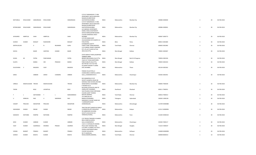|              |                      |                      |               |              |              | C/O N P SANGHRAJKA 17 ANIL<br>APARTMENT, 18/20 JAGDUSHA<br>NAGAR, GOLIBAR ROAD                                                 |              |                   |                   |                |                         |    |             |
|--------------|----------------------|----------------------|---------------|--------------|--------------|--------------------------------------------------------------------------------------------------------------------------------|--------------|-------------------|-------------------|----------------|-------------------------|----|-------------|
| NATVARLAL    | NYALCHAND            | SANGHRAJKA NYALCHAND |               |              | SANGHRAJKA   | GHATKOPAR, MUMBAI<br>C/O N P SANGHRAJKA 17 ANIL<br>APARTMENT, 18/20 JAGDUSHA<br>NAGAR, GOLIBAR ROAD                            | <b>INDIA</b> | Maharashtra       | Mumbai City       | 400086 S000040 | $\overline{\mathbf{3}}$ | 30 | 06-FEB-2018 |
| NITINKUMAR   | NYALCHAND            | SANGHRAJKA           | NYALCHAND     |              | SANGHRAJKA   | GHATKOPAR, MUMBAI<br>A/4 ABHINAV APARTMENT,<br>KAMAL WADI, CHHATRAPATI<br>SHIVAJI MARG, BEHIND BOHRA<br>COLONY, KANDIWALI WEST | <b>INDIA</b> | Maharashtra       | Mumbai City       | 400086 S000041 | $\mathbf{3}$            | 30 | 06-FEB-2018 |
| JAYASHREE    | AMRITLAL             | SHAH                 | AMRITLAL      |              | SHAH         | <b>MUMBAI</b><br>C/O DR SUMAN KANT<br>JHA, RAJENDRA PATH NORTH SK                                                              | <b>INDIA</b> | Maharashtra       | Mumbai City       | 400067 S000772 | $\overline{\mathbf{3}}$ | 30 | 06-FEB-2018 |
| SUDESH       | KUMAR                | <b>BHAGAT</b>        | RAJKISHORE    |              | BHAGAT       | PURI, PATNA,<br>8 PONNAPPA CHETTY                                                                                              | <b>INDIA</b> | Bihar             | Patna             | 800013 S001800 | $\overline{\mathbf{3}}$ | 30 | 06-FEB-2018 |
| SENTHILVELAN |                      | K                    | $\mathsf{N}$  | RKUMARA      | GURU         | STREET, PARK TOWN, MADRAS,<br>C/O SUNRISE SPARES COMPANY<br>PVT LTD, 1ST FLOOR SUIT NO                                         | <b>INDIA</b> | Tamil Nadu        | Chennai           | 600003 S001982 | $\overline{\mathbf{3}}$ | 30 | 06-FEB-2018 |
| SHOVA        |                      | BAGRI                | SANTOSH       | <b>KUMAR</b> | BAGRI        | 28/4, CALCUTTA,                                                                                                                | <b>INDIA</b> | West Bengal       | Kolkata           | 700001 S002067 | $\overline{3}$          | 30 | 06-FEB-2018 |
|              |                      |                      |               |              |              | STATE BANK OF INDIA, AGARPARA<br>TEXMECO AREA                                                                                  |              |                   |                   |                |                         |    |             |
| SUSHIL       | $\mathsf{KR}\xspace$ | PATRA                | PANCHANAN     |              | PATRA        | BRANCH, BELGHARIA CALCUTTA, INDIA<br>156/41 B T ROAD, NORTHERN                                                                 |              | West Bengal       | North 24 Parganas | 700056 S002326 | $\overline{3}$          | 30 | 06-FEB-2018 |
| SUJATA       |                      | BANKA                | OM            | PRAKASH      | BANKA        | PARK DUNLOP, CALCUTTA,<br>SECTOR NO 2-B-4 FLAT NO<br>42, SHANTI NAGAR P O MIRA                                                 | <b>INDIA</b> | West Bengal       | Kolkata           | 700035 S002343 | $\overline{3}$          | 30 | 06-FEB-2018 |
| SULOCHANA    | <b>V</b>             | <b>BAGADIA</b>       | VIJAY         |              | BAGADIA      | EAST, MUMBAI,                                                                                                                  | <b>INDIA</b> | Maharashtra       | Thane             | 401104 S002362 | $\overline{\mathbf{3}}$ | 30 | 06-FEB-2018 |
|              |                      |                      | <b>GIRISH</b> | CHANDRA      |              | PARAM COLLECTION,,9<br>CHANDUBHAI COMPLEX, GOKUL<br>GALLI,, CHANDRAPUR M S                                                     | <b>INDIA</b> |                   |                   |                | $\overline{\mathbf{3}}$ | 30 | 06-FEB-2018 |
| SAROJ        |                      | AMBANI               |               |              | AMBAN        |                                                                                                                                |              | Maharashtra       | Chandrapur        | 442402 S002441 |                         |    |             |
|              |                      |                      |               |              |              | B/6 SAMARPAN CO OP<br>SOCIETY, SHIMPOLI ROAD NR<br>GOKHALE HIGH SCHOOL, RAIYANI                                                |              |                   |                   |                |                         |    |             |
| URMILA       | MADHUSUDAN TRIVEDI   |                      | MADHUSUDAN    |              | TRIVEDI      | GRAM BORIVLI W, MUMBAI<br>K WORAH & CO<br>BUILDING, FATEHPUR LANE PO                                                           | <b>INDIA</b> | Maharashtra       | Mumbai City       | 400092 T000240 | $\overline{\mathbf{3}}$ | 30 | 06-FEB-2018 |
| <b>TAPAN</b> |                      | <b>BOLE</b>          | JAYANTILAL    |              | BOLE         | JHARIA, DIST DHANBAD,<br>54/4 PALWELS ROAD SRIPURAM<br>COLONY, SAINT THOMAS                                                    | <b>INDIA</b> | Jharkhand         | Dhanbad           | 828111 T000351 | $\overline{\mathbf{3}}$ | 30 | 06-FEB-2018 |
| T            | $\mathbf{L}$         | SEETHARAM            | T             | $\mathbf{L}$ | NARASIMMIAH  | MOUNT, MADRAS,<br>23-6-868, SHA-ALI-                                                                                           | <b>INDIA</b> | Tamil Nadu        | Chennai           | 600016 T000413 | $\overline{3}$          | 30 | 06-FEB-2018 |
| $\mathbf{U}$ | SRINIVAS             | RAO                  | $\cup$        | NARSINGH     | RAO          | BANDA, HYDERABAD,<br>SARASWATI COLONY WARD NO<br>7, SHRIRAMPUR, DIST                                                           | <b>INDIA</b> | Telangana         | Hyderabad         | 500265 U000138 | $\overline{3}$          | 30 | 06-FEB-2018 |
| VASANT       | PRALHAD              | MAHAPURE             | PRALHAD       |              | MAHAPURE     | AHMEDNAGAR,                                                                                                                    | <b>INDIA</b> | Maharashtra       | Ahmednagar        | 413709 W000088 | $\overline{3}$          | 30 | 06-FEB-2018 |
| SAKHARAM     | SHAMJI               | <b>NIKAM</b>         | SHAMJI        |              | <b>NIKAM</b> | TRACTOR DEPT, SHREEPUR FARM, P<br>O SHREEPUR, DIST SHOLAPUR<br>DR AMBEDKAR HOUSING                                             | <b>INDIA</b> | Maharashtra       | Solapur           | 413112 W000094 | $\overline{\mathbf{3}}$ | 30 | 06-FEB-2018 |
| SADASHIV     | <b>NATHOBA</b>       | RANPISE              | NATHOBA       |              | RANPISE      | SOCIETY, HOUSE NO 212<br>YERWADA, POONA,                                                                                       | <b>INDIA</b> | Maharashtra       | Pune              | 411003 W000103 | $\overline{\mathbf{3}}$ | 30 | 06-FEB-2018 |
|              |                      |                      |               |              |              |                                                                                                                                |              |                   |                   |                |                         |    |             |
|              |                      |                      |               |              |              | C/O TRIVEDI TRADERS, 9 CHANDU<br>BHAI COMPLEX, GOPAL                                                                           |              |                   |                   |                |                         |    |             |
| GESH         | KUMAR                | AMBANI               | KUMAR         |              | AMBANI       | GALLI, CHANDRAPUR<br>114/1 S C M ROAD, PO SHEDRA                                                                               | <b>INDIA</b> | Maharashtra       | Chandrapur        | 442402 Y000117 | $\overline{3}$          | 30 | 06-FEB-2018 |
| VIJAY        | KUMAR                | AGARWALA             | <b>DWARKA</b> | PRASAD       | AGARWA       | PHULY, DIST HOOGHLY WB,<br>C/O SHRI Y G KAMAT, FLAT NO 2<br>DURGA APARTMENTS, MALI                                             | <b>INDIA</b> | West Bengal       | Hooghly           | 712223 V000547 | $\overline{\mathbf{3}}$ | 30 | 06-FEB-2018 |
| VISHNU       | <b>BHARAT</b>        | PRABHU               | <b>BHARAT</b> |              | PRABHU       | COLONY KOLHAPUR,                                                                                                               | <b>INDIA</b> | Maharashtra       | Kolhapur          | 416008 W000098 | $\overline{2}$          | 20 | 06-FEB-2018 |
| SURESH       | <b>KUMAR</b>         | BHAIYA               | <b>KUMAR</b>  |              | BHAIYA       | NO 74 MARSHALL<br>ROAD, EGMORE, MADRAS,                                                                                        | <b>INDIA</b> | <b>Tamil Nadu</b> | Chennai           | 600008 B000414 | <sup>1</sup>            | 10 | 06-FEB-2018 |
|              |                      |                      |               |              |              |                                                                                                                                |              |                   |                   |                |                         |    |             |